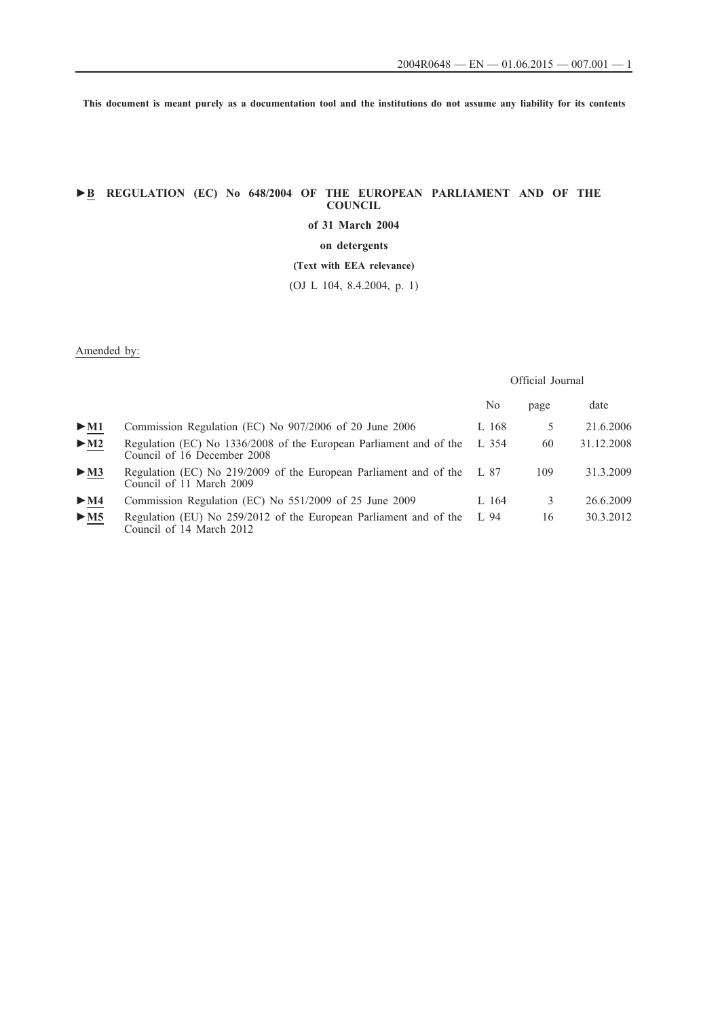**This document is meant purely as a documentation tool and the institutions do not assume any liability for its contents**

# **►B REGULATION (EC) No 648/2004 OF THE EUROPEAN PARLIAMENT AND OF THE COUNCIL**

**of 31 March 2004**

**on detergents**

**(Text with EEA relevance)**

(OJ L 104, 8.4.2004, p. 1)

## Amended by:

## Official Journal

|                          |                                                                                                   | No    | page | date       |
|--------------------------|---------------------------------------------------------------------------------------------------|-------|------|------------|
| $>$ M1                   | Commission Regulation (EC) No 907/2006 of 20 June 2006                                            | L 168 |      | 21.6.2006  |
| $\blacktriangleright$ M2 | Regulation (EC) No 1336/2008 of the European Parliament and of the<br>Council of 16 December 2008 | L 354 | 60   | 31.12.2008 |
| $\triangleright$ M3      | Regulation (EC) No 219/2009 of the European Parliament and of the<br>Council of 11 March 2009     | L 87  | 109  | 31.3.2009  |
| $\blacktriangleright$ M4 | Commission Regulation (EC) No 551/2009 of 25 June 2009                                            | L 164 | 3    | 26.6.2009  |
| > M5                     | Regulation (EU) No 259/2012 of the European Parliament and of the<br>Council of 14 March 2012     | L 94  | 16   | 30.3.2012  |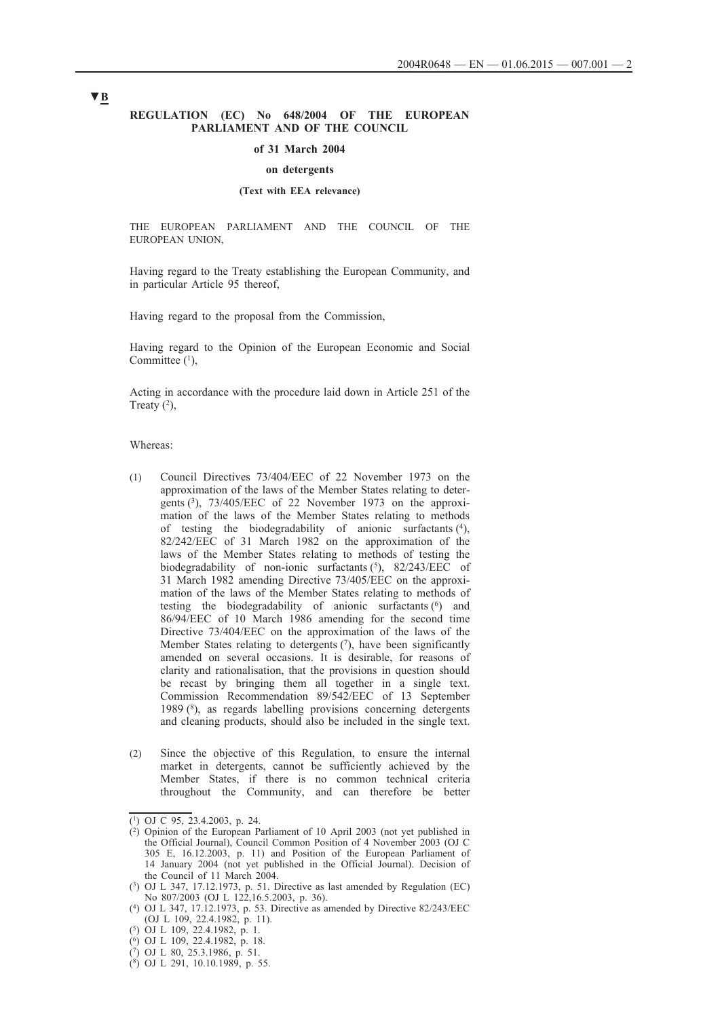### **REGULATION (EC) No 648/2004 OF THE EUROPEAN PARLIAMENT AND OF THE COUNCIL**

#### **of 31 March 2004**

### **on detergents**

## **(Text with EEA relevance)**

THE EUROPEAN PARLIAMENT AND THE COUNCIL OF THE EUROPEAN UNION,

Having regard to the Treaty establishing the European Community, and in particular Article 95 thereof,

Having regard to the proposal from the Commission,

Having regard to the Opinion of the European Economic and Social Committee  $(1)$ ,

Acting in accordance with the procedure laid down in Article 251 of the Treaty  $(2)$ ,

Whereas:

- (1) Council Directives 73/404/EEC of 22 November 1973 on the approximation of the laws of the Member States relating to detergents (3), 73/405/EEC of 22 November 1973 on the approximation of the laws of the Member States relating to methods of testing the biodegradability of anionic surfactants (4), 82/242/EEC of 31 March 1982 on the approximation of the laws of the Member States relating to methods of testing the biodegradability of non-ionic surfactants  $(5)$ , 82/243/EEC of 31 March 1982 amending Directive 73/405/EEC on the approximation of the laws of the Member States relating to methods of testing the biodegradability of anionic surfactants  $(6)$  and 86/94/EEC of 10 March 1986 amending for the second time Directive 73/404/EEC on the approximation of the laws of the Member States relating to detergents  $(7)$ , have been significantly amended on several occasions. It is desirable, for reasons of clarity and rationalisation, that the provisions in question should be recast by bringing them all together in a single text. Commission Recommendation 89/542/EEC of 13 September 1989 (8), as regards labelling provisions concerning detergents and cleaning products, should also be included in the single text.
- (2) Since the objective of this Regulation, to ensure the internal market in detergents, cannot be sufficiently achieved by the Member States, if there is no common technical criteria throughout the Community, and can therefore be better

 $(1)$  OJ C 95, 23.4.2003, p. 24.

 $(2)$  Opinion of the European Parliament of 10 April 2003 (not yet published in the Official Journal), Council Common Position of 4 November 2003 (OJ C 305 E, 16.12.2003, p. 11) and Position of the European Parliament of 14 January 2004 (not yet published in the Official Journal). Decision of the Council of 11 March 2004.

<sup>(3)</sup> OJ L 347, 17.12.1973, p. 51. Directive as last amended by Regulation (EC) No 807/2003 (OJ L 122,16.5.2003, p. 36).

<sup>(4)</sup> OJ L 347, 17.12.1973, p. 53. Directive as amended by Directive 82/243/EEC (OJ L 109, 22.4.1982, p. 11).

<sup>(5)</sup> OJ L 109, 22.4.1982, p. 1.

<sup>(6)</sup> OJ L 109, 22.4.1982, p. 18.

<sup>(7)</sup> OJ L 80, 25.3.1986, p. 51.

 $(8)$  OJ L 291, 10.10.1989, p. 55.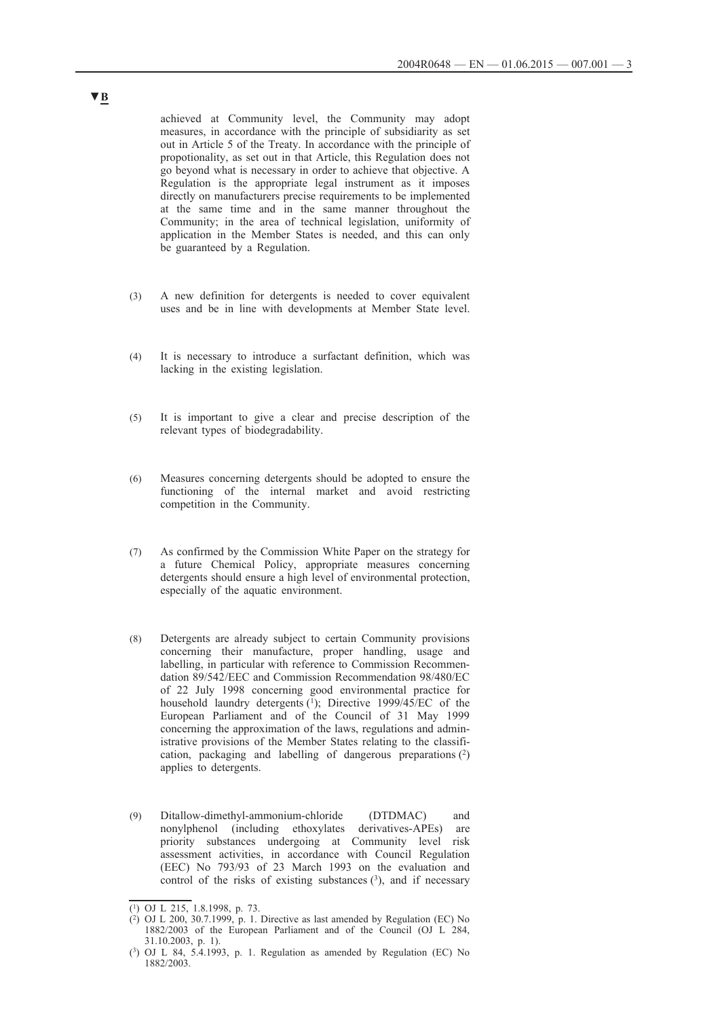achieved at Community level, the Community may adopt measures, in accordance with the principle of subsidiarity as set out in Article 5 of the Treaty. In accordance with the principle of propotionality, as set out in that Article, this Regulation does not go beyond what is necessary in order to achieve that objective. A Regulation is the appropriate legal instrument as it imposes directly on manufacturers precise requirements to be implemented at the same time and in the same manner throughout the Community; in the area of technical legislation, uniformity of application in the Member States is needed, and this can only be guaranteed by a Regulation.

- (3) A new definition for detergents is needed to cover equivalent uses and be in line with developments at Member State level.
- (4) It is necessary to introduce a surfactant definition, which was lacking in the existing legislation.
- (5) It is important to give a clear and precise description of the relevant types of biodegradability.
- (6) Measures concerning detergents should be adopted to ensure the functioning of the internal market and avoid restricting competition in the Community.
- (7) As confirmed by the Commission White Paper on the strategy for a future Chemical Policy, appropriate measures concerning detergents should ensure a high level of environmental protection, especially of the aquatic environment.
- (8) Detergents are already subject to certain Community provisions concerning their manufacture, proper handling, usage and labelling, in particular with reference to Commission Recommendation 89/542/EEC and Commission Recommendation 98/480/EC of 22 July 1998 concerning good environmental practice for household laundry detergents (1); Directive 1999/45/EC of the European Parliament and of the Council of 31 May 1999 concerning the approximation of the laws, regulations and administrative provisions of the Member States relating to the classification, packaging and labelling of dangerous preparations (2) applies to detergents.
- (9) Ditallow-dimethyl-ammonium-chloride (DTDMAC) and nonylphenol (including ethoxylates derivatives-APEs) are priority substances undergoing at Community level risk assessment activities, in accordance with Council Regulation (EEC) No 793/93 of 23 March 1993 on the evaluation and control of the risks of existing substances  $(3)$ , and if necessary

 $\overline{(^1)}$  OJ L 215, 1.8.1998, p. 73.

 $(2)$  OJ L 200, 30.7.1999, p. 1. Directive as last amended by Regulation (EC) No 1882/2003 of the European Parliament and of the Council (OJ L 284, 31.10.2003, p. 1).

<sup>(3)</sup> OJ L 84, 5.4.1993, p. 1. Regulation as amended by Regulation (EC) No 1882/2003.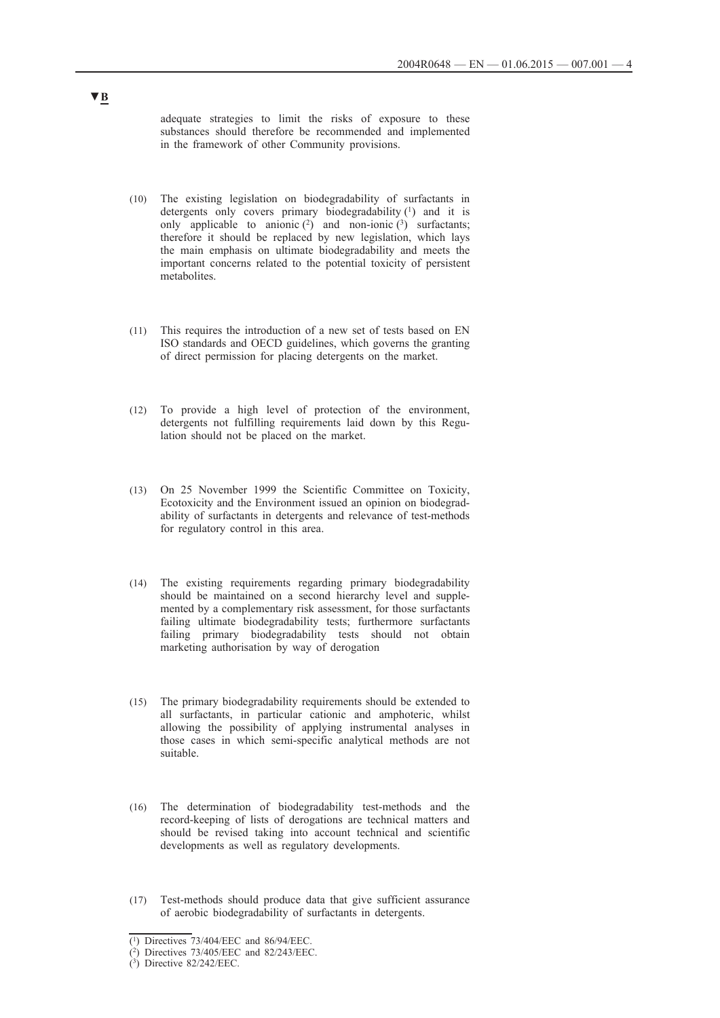adequate strategies to limit the risks of exposure to these substances should therefore be recommended and implemented in the framework of other Community provisions.

- (10) The existing legislation on biodegradability of surfactants in detergents only covers primary biodegradability (1) and it is only applicable to anionic  $(2)$  and non-ionic  $(3)$  surfactants; therefore it should be replaced by new legislation, which lays the main emphasis on ultimate biodegradability and meets the important concerns related to the potential toxicity of persistent metabolites.
- (11) This requires the introduction of a new set of tests based on EN ISO standards and OECD guidelines, which governs the granting of direct permission for placing detergents on the market.
- (12) To provide a high level of protection of the environment, detergents not fulfilling requirements laid down by this Regulation should not be placed on the market.
- (13) On 25 November 1999 the Scientific Committee on Toxicity, Ecotoxicity and the Environment issued an opinion on biodegradability of surfactants in detergents and relevance of test-methods for regulatory control in this area.
- (14) The existing requirements regarding primary biodegradability should be maintained on a second hierarchy level and supplemented by a complementary risk assessment, for those surfactants failing ultimate biodegradability tests; furthermore surfactants failing primary biodegradability tests should not obtain marketing authorisation by way of derogation
- (15) The primary biodegradability requirements should be extended to all surfactants, in particular cationic and amphoteric, whilst allowing the possibility of applying instrumental analyses in those cases in which semi-specific analytical methods are not suitable.
- (16) The determination of biodegradability test-methods and the record-keeping of lists of derogations are technical matters and should be revised taking into account technical and scientific developments as well as regulatory developments.
- (17) Test-methods should produce data that give sufficient assurance of aerobic biodegradability of surfactants in detergents.

<sup>(1)</sup> Directives 73/404/EEC and 86/94/EEC.

<sup>(2)</sup> Directives 73/405/EEC and 82/243/EEC.

<sup>(3)</sup> Directive 82/242/EEC.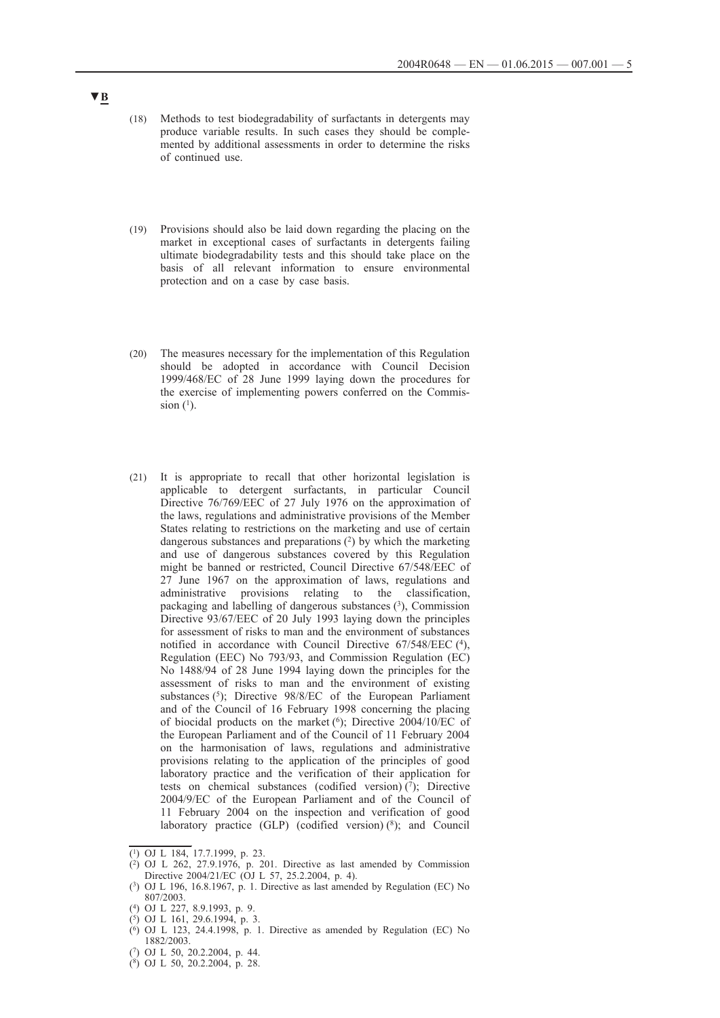- (18) Methods to test biodegradability of surfactants in detergents may produce variable results. In such cases they should be complemented by additional assessments in order to determine the risks of continued use.
- (19) Provisions should also be laid down regarding the placing on the market in exceptional cases of surfactants in detergents failing ultimate biodegradability tests and this should take place on the basis of all relevant information to ensure environmental protection and on a case by case basis.
- (20) The measures necessary for the implementation of this Regulation should be adopted in accordance with Council Decision 1999/468/EC of 28 June 1999 laying down the procedures for the exercise of implementing powers conferred on the Commission  $(1)$ .
- (21) It is appropriate to recall that other horizontal legislation is applicable to detergent surfactants, in particular Council Directive 76/769/EEC of 27 July 1976 on the approximation of the laws, regulations and administrative provisions of the Member States relating to restrictions on the marketing and use of certain dangerous substances and preparations  $(2)$  by which the marketing and use of dangerous substances covered by this Regulation might be banned or restricted, Council Directive 67/548/EEC of 27 June 1967 on the approximation of laws, regulations and administrative provisions relating to the classification, packaging and labelling of dangerous substances (3), Commission Directive 93/67/EEC of 20 July 1993 laying down the principles for assessment of risks to man and the environment of substances notified in accordance with Council Directive 67/548/EEC (4), Regulation (EEC) No 793/93, and Commission Regulation (EC) No 1488/94 of 28 June 1994 laying down the principles for the assessment of risks to man and the environment of existing substances (5); Directive 98/8/EC of the European Parliament and of the Council of 16 February 1998 concerning the placing of biocidal products on the market (6); Directive 2004/10/EC of the European Parliament and of the Council of 11 February 2004 on the harmonisation of laws, regulations and administrative provisions relating to the application of the principles of good laboratory practice and the verification of their application for tests on chemical substances (codified version) $(7)$ ; Directive 2004/9/EC of the European Parliament and of the Council of 11 February 2004 on the inspection and verification of good laboratory practice  $(GLP)$  (codified version)  $(^{8})$ ; and Council

(7) OJ L 50, 20.2.2004, p. 44.

 $\overline{(^1)}$  OJ L 184, 17.7.1999, p. 23.

 $(2)$  OJ L 262, 27.9.1976, p. 201. Directive as last amended by Commission Directive 2004/21/EC (OJ L 57, 25.2.2004, p. 4).

<sup>(3)</sup> OJ L 196, 16.8.1967, p. 1. Directive as last amended by Regulation (EC) No 807/2003.

<sup>(4)</sup> OJ L 227, 8.9.1993, p. 9.

 $(5)$  OJ L 161, 29.6.1994, p. 3.

 $(6)$  OJ L 123, 24.4.1998, p. 1. Directive as amended by Regulation (EC) No 1882/2003.

<sup>(8)</sup> OJ L 50, 20.2.2004, p. 28.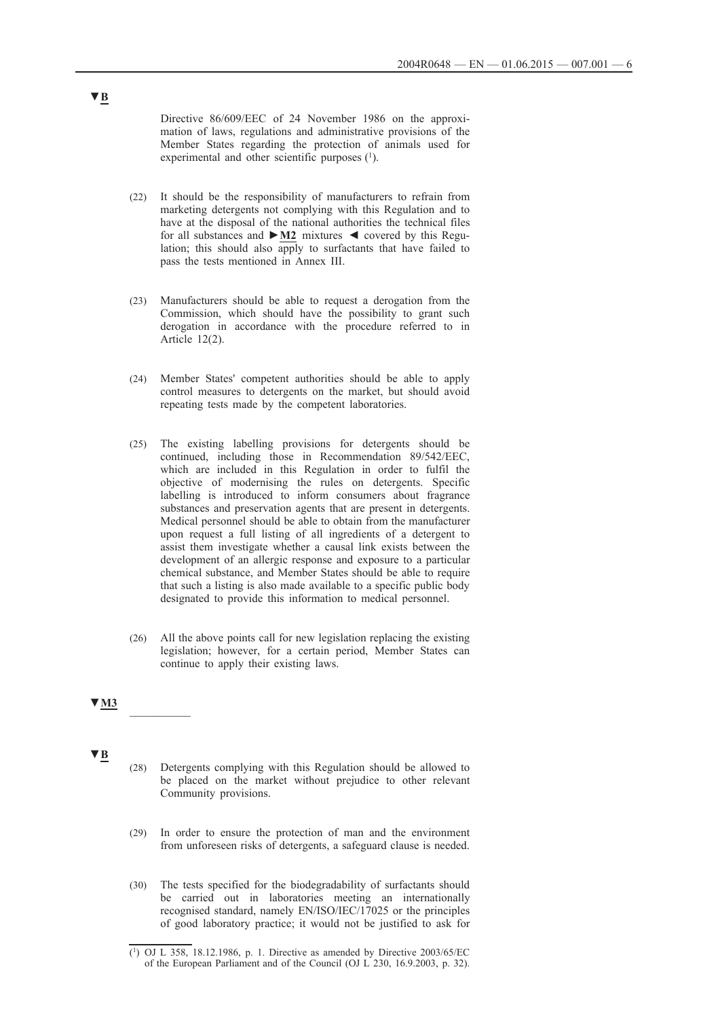Directive 86/609/EEC of 24 November 1986 on the approximation of laws, regulations and administrative provisions of the Member States regarding the protection of animals used for experimental and other scientific purposes  $(1)$ .

- (22) It should be the responsibility of manufacturers to refrain from marketing detergents not complying with this Regulation and to have at the disposal of the national authorities the technical files for all substances and **►M2** mixtures ◄ covered by this Regulation; this should also apply to surfactants that have failed to pass the tests mentioned in Annex III.
- (23) Manufacturers should be able to request a derogation from the Commission, which should have the possibility to grant such derogation in accordance with the procedure referred to in Article 12(2).
- (24) Member States' competent authorities should be able to apply control measures to detergents on the market, but should avoid repeating tests made by the competent laboratories.
- (25) The existing labelling provisions for detergents should be continued, including those in Recommendation 89/542/EEC, which are included in this Regulation in order to fulfil the objective of modernising the rules on detergents. Specific labelling is introduced to inform consumers about fragrance substances and preservation agents that are present in detergents. Medical personnel should be able to obtain from the manufacturer upon request a full listing of all ingredients of a detergent to assist them investigate whether a causal link exists between the development of an allergic response and exposure to a particular chemical substance, and Member States should be able to require that such a listing is also made available to a specific public body designated to provide this information to medical personnel.
- (26) All the above points call for new legislation replacing the existing legislation; however, for a certain period, Member States can continue to apply their existing laws.

### **▼M3** \_\_\_\_\_\_\_\_\_\_

**▼B**

- (28) Detergents complying with this Regulation should be allowed to be placed on the market without prejudice to other relevant Community provisions.
- (29) In order to ensure the protection of man and the environment from unforeseen risks of detergents, a safeguard clause is needed.
- (30) The tests specified for the biodegradability of surfactants should be carried out in laboratories meeting an internationally recognised standard, namely EN/ISO/IEC/17025 or the principles of good laboratory practice; it would not be justified to ask for

<sup>(1)</sup> OJ L 358, 18.12.1986, p. 1. Directive as amended by Directive 2003/65/EC of the European Parliament and of the Council (OJ L 230, 16.9.2003, p. 32).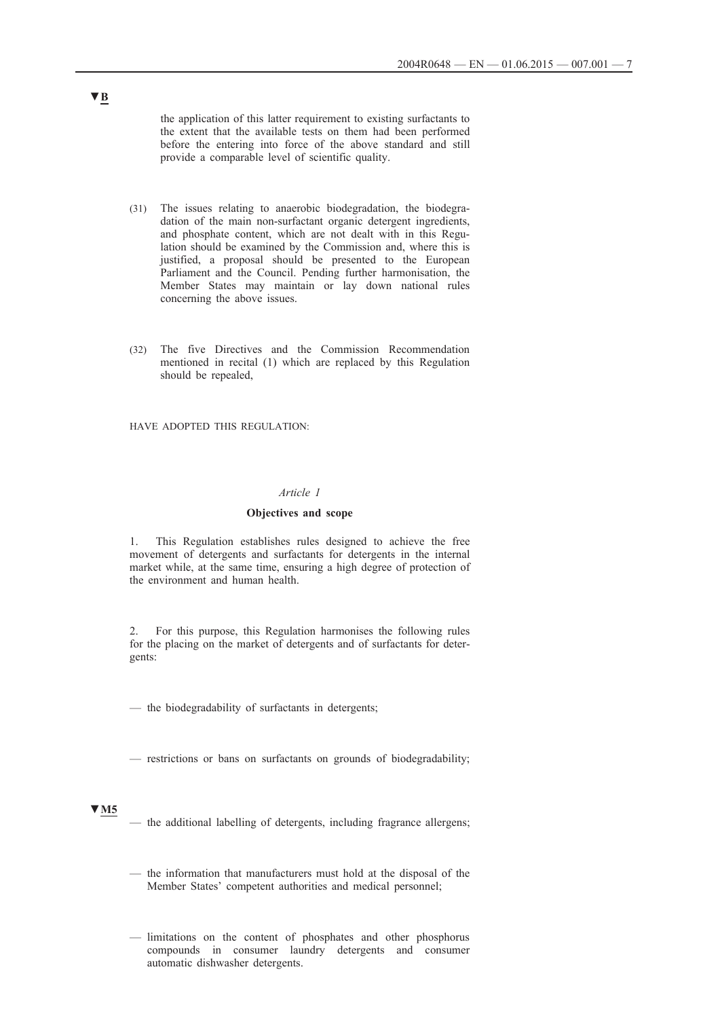the application of this latter requirement to existing surfactants to the extent that the available tests on them had been performed before the entering into force of the above standard and still provide a comparable level of scientific quality.

- (31) The issues relating to anaerobic biodegradation, the biodegradation of the main non-surfactant organic detergent ingredients, and phosphate content, which are not dealt with in this Regulation should be examined by the Commission and, where this is justified, a proposal should be presented to the European Parliament and the Council. Pending further harmonisation, the Member States may maintain or lay down national rules concerning the above issues.
- (32) The five Directives and the Commission Recommendation mentioned in recital (1) which are replaced by this Regulation should be repealed,

HAVE ADOPTED THIS REGULATION:

### *Article 1*

## **Objectives and scope**

1. This Regulation establishes rules designed to achieve the free movement of detergents and surfactants for detergents in the internal market while, at the same time, ensuring a high degree of protection of the environment and human health.

2. For this purpose, this Regulation harmonises the following rules for the placing on the market of detergents and of surfactants for detergents:

— the biodegradability of surfactants in detergents;

— restrictions or bans on surfactants on grounds of biodegradability;

### **▼M5**

- the additional labelling of detergents, including fragrance allergens;
- the information that manufacturers must hold at the disposal of the Member States' competent authorities and medical personnel;
- limitations on the content of phosphates and other phosphorus compounds in consumer laundry detergents and consumer automatic dishwasher detergents.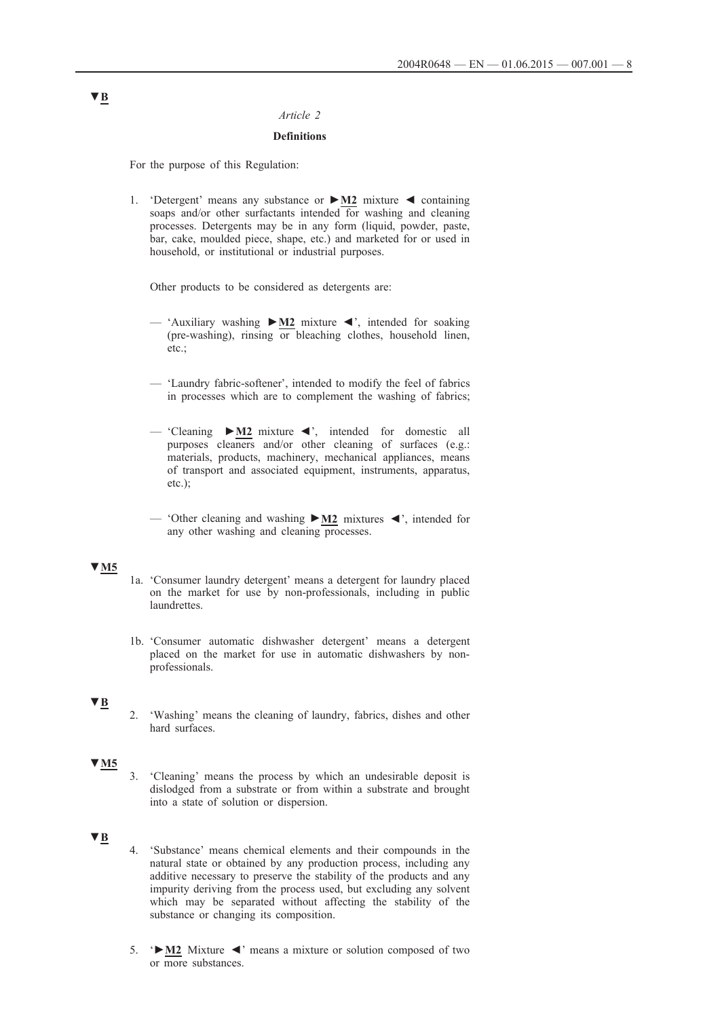## *Article 2*

### **Definitions**

For the purpose of this Regulation:

1. 'Detergent' means any substance or **►M2** mixture ◄ containing soaps and/or other surfactants intended for washing and cleaning processes. Detergents may be in any form (liquid, powder, paste, bar, cake, moulded piece, shape, etc.) and marketed for or used in household, or institutional or industrial purposes.

Other products to be considered as detergents are:

- 'Auxiliary washing **►M2** mixture ◄', intended for soaking (pre-washing), rinsing or bleaching clothes, household linen, etc.;
- 'Laundry fabric-softener', intended to modify the feel of fabrics in processes which are to complement the washing of fabrics;
- 'Cleaning **►M2** mixture ◄', intended for domestic all purposes cleaners and/or other cleaning of surfaces (e.g.: materials, products, machinery, mechanical appliances, means of transport and associated equipment, instruments, apparatus, etc.);
- 'Other cleaning and washing **►M2** mixtures ◄', intended for any other washing and cleaning processes.

## **▼M5**

- 1a. 'Consumer laundry detergent' means a detergent for laundry placed on the market for use by non-professionals, including in public laundrettes.
- 1b. 'Consumer automatic dishwasher detergent' means a detergent placed on the market for use in automatic dishwashers by nonprofessionals.

### **▼B**

2. 'Washing' means the cleaning of laundry, fabrics, dishes and other hard surfaces.

# **▼M5**

3. 'Cleaning' means the process by which an undesirable deposit is dislodged from a substrate or from within a substrate and brought into a state of solution or dispersion.

## **▼B**

- 4. 'Substance' means chemical elements and their compounds in the natural state or obtained by any production process, including any additive necessary to preserve the stability of the products and any impurity deriving from the process used, but excluding any solvent which may be separated without affecting the stability of the substance or changing its composition.
- 5. '**►M2** Mixture ◄' means a mixture or solution composed of two or more substances.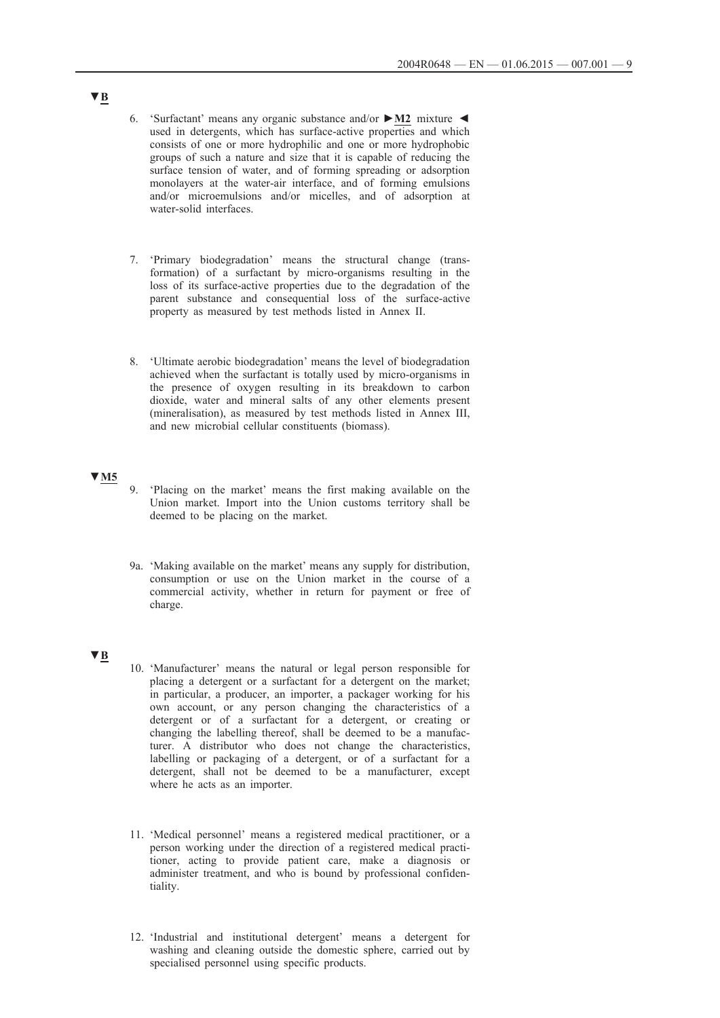- 6. 'Surfactant' means any organic substance and/or **►M2** mixture ◄ used in detergents, which has surface-active properties and which consists of one or more hydrophilic and one or more hydrophobic groups of such a nature and size that it is capable of reducing the surface tension of water, and of forming spreading or adsorption monolayers at the water-air interface, and of forming emulsions and/or microemulsions and/or micelles, and of adsorption at water-solid interfaces.
- 7. 'Primary biodegradation' means the structural change (transformation) of a surfactant by micro-organisms resulting in the loss of its surface-active properties due to the degradation of the parent substance and consequential loss of the surface-active property as measured by test methods listed in Annex II.
- 8. 'Ultimate aerobic biodegradation' means the level of biodegradation achieved when the surfactant is totally used by micro-organisms in the presence of oxygen resulting in its breakdown to carbon dioxide, water and mineral salts of any other elements present (mineralisation), as measured by test methods listed in Annex III, and new microbial cellular constituents (biomass).

# **▼M5**

- 9. 'Placing on the market' means the first making available on the Union market. Import into the Union customs territory shall be deemed to be placing on the market.
- 9a. 'Making available on the market' means any supply for distribution, consumption or use on the Union market in the course of a commercial activity, whether in return for payment or free of charge.

## **▼B**

- 10. 'Manufacturer' means the natural or legal person responsible for placing a detergent or a surfactant for a detergent on the market; in particular, a producer, an importer, a packager working for his own account, or any person changing the characteristics of a detergent or of a surfactant for a detergent, or creating or changing the labelling thereof, shall be deemed to be a manufacturer. A distributor who does not change the characteristics, labelling or packaging of a detergent, or of a surfactant for a detergent, shall not be deemed to be a manufacturer, except where he acts as an importer.
- 11. 'Medical personnel' means a registered medical practitioner, or a person working under the direction of a registered medical practitioner, acting to provide patient care, make a diagnosis or administer treatment, and who is bound by professional confidentiality.
- 12. 'Industrial and institutional detergent' means a detergent for washing and cleaning outside the domestic sphere, carried out by specialised personnel using specific products.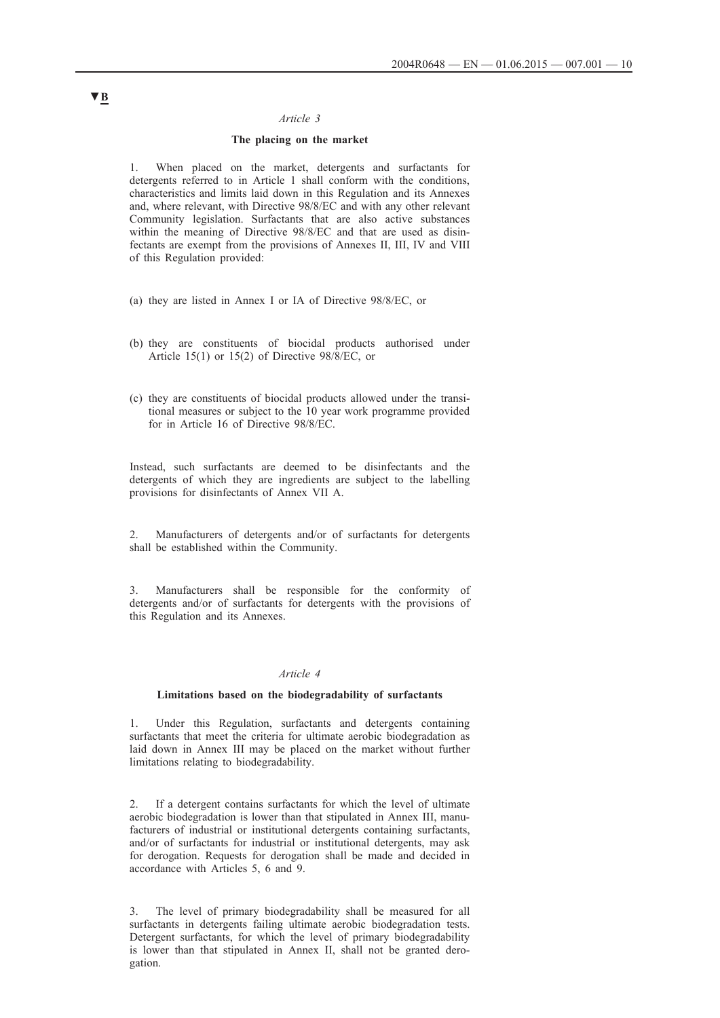### *Article 3*

## **The placing on the market**

1. When placed on the market, detergents and surfactants for detergents referred to in Article 1 shall conform with the conditions, characteristics and limits laid down in this Regulation and its Annexes and, where relevant, with Directive 98/8/EC and with any other relevant Community legislation. Surfactants that are also active substances within the meaning of Directive 98/8/EC and that are used as disinfectants are exempt from the provisions of Annexes II, III, IV and VIII of this Regulation provided:

- (a) they are listed in Annex I or IA of Directive 98/8/EC, or
- (b) they are constituents of biocidal products authorised under Article 15(1) or 15(2) of Directive 98/8/EC, or
- (c) they are constituents of biocidal products allowed under the transitional measures or subject to the 10 year work programme provided for in Article 16 of Directive 98/8/EC.

Instead, such surfactants are deemed to be disinfectants and the detergents of which they are ingredients are subject to the labelling provisions for disinfectants of Annex VII A.

2. Manufacturers of detergents and/or of surfactants for detergents shall be established within the Community.

Manufacturers shall be responsible for the conformity of detergents and/or of surfactants for detergents with the provisions of this Regulation and its Annexes.

#### *Article 4*

#### **Limitations based on the biodegradability of surfactants**

1. Under this Regulation, surfactants and detergents containing surfactants that meet the criteria for ultimate aerobic biodegradation as laid down in Annex III may be placed on the market without further limitations relating to biodegradability.

2. If a detergent contains surfactants for which the level of ultimate aerobic biodegradation is lower than that stipulated in Annex III, manufacturers of industrial or institutional detergents containing surfactants, and/or of surfactants for industrial or institutional detergents, may ask for derogation. Requests for derogation shall be made and decided in accordance with Articles 5, 6 and 9.

3. The level of primary biodegradability shall be measured for all surfactants in detergents failing ultimate aerobic biodegradation tests. Detergent surfactants, for which the level of primary biodegradability is lower than that stipulated in Annex II, shall not be granted derogation.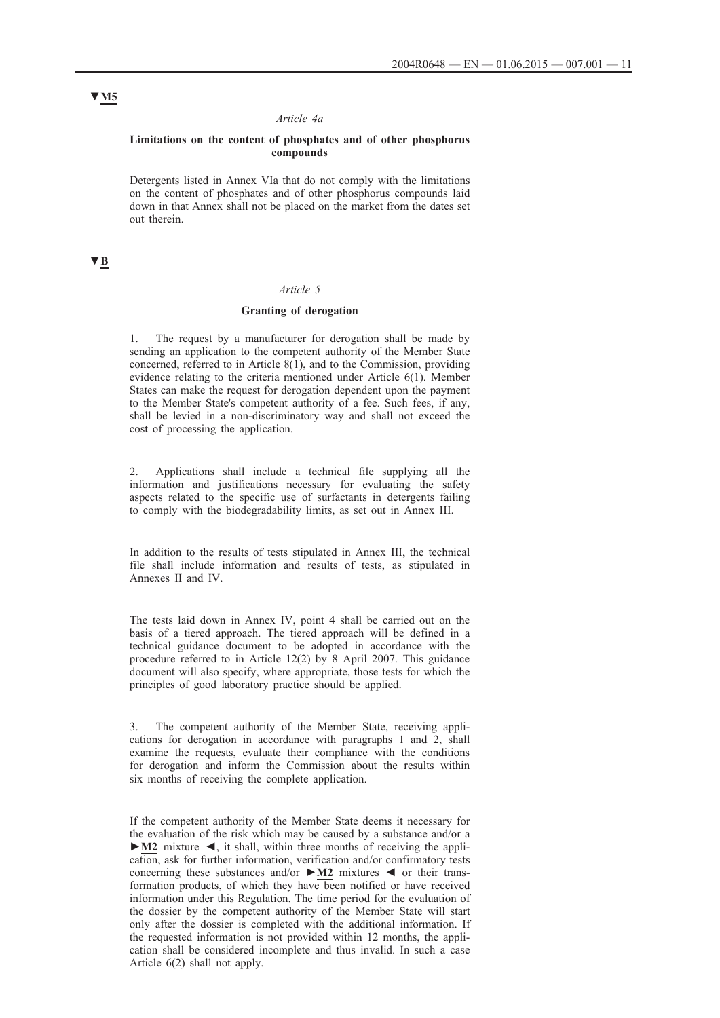#### *Article 4a*

### **Limitations on the content of phosphates and of other phosphorus compounds**

Detergents listed in Annex VIa that do not comply with the limitations on the content of phosphates and of other phosphorus compounds laid down in that Annex shall not be placed on the market from the dates set out therein.

# **▼B**

## *Article 5*

### **Granting of derogation**

The request by a manufacturer for derogation shall be made by sending an application to the competent authority of the Member State concerned, referred to in Article  $8(1)$ , and to the Commission, providing evidence relating to the criteria mentioned under Article 6(1). Member States can make the request for derogation dependent upon the payment to the Member State's competent authority of a fee. Such fees, if any, shall be levied in a non-discriminatory way and shall not exceed the cost of processing the application.

2. Applications shall include a technical file supplying all the information and justifications necessary for evaluating the safety aspects related to the specific use of surfactants in detergents failing to comply with the biodegradability limits, as set out in Annex III.

In addition to the results of tests stipulated in Annex III, the technical file shall include information and results of tests, as stipulated in Annexes II and IV.

The tests laid down in Annex IV, point 4 shall be carried out on the basis of a tiered approach. The tiered approach will be defined in a technical guidance document to be adopted in accordance with the procedure referred to in Article 12(2) by 8 April 2007. This guidance document will also specify, where appropriate, those tests for which the principles of good laboratory practice should be applied.

3. The competent authority of the Member State, receiving applications for derogation in accordance with paragraphs 1 and 2, shall examine the requests, evaluate their compliance with the conditions for derogation and inform the Commission about the results within six months of receiving the complete application.

If the competent authority of the Member State deems it necessary for the evaluation of the risk which may be caused by a substance and/or a **►M2** mixture ◄, it shall, within three months of receiving the application, ask for further information, verification and/or confirmatory tests concerning these substances and/or **►M2** mixtures ◄ or their transformation products, of which they have been notified or have received information under this Regulation. The time period for the evaluation of the dossier by the competent authority of the Member State will start only after the dossier is completed with the additional information. If the requested information is not provided within 12 months, the application shall be considered incomplete and thus invalid. In such a case Article 6(2) shall not apply.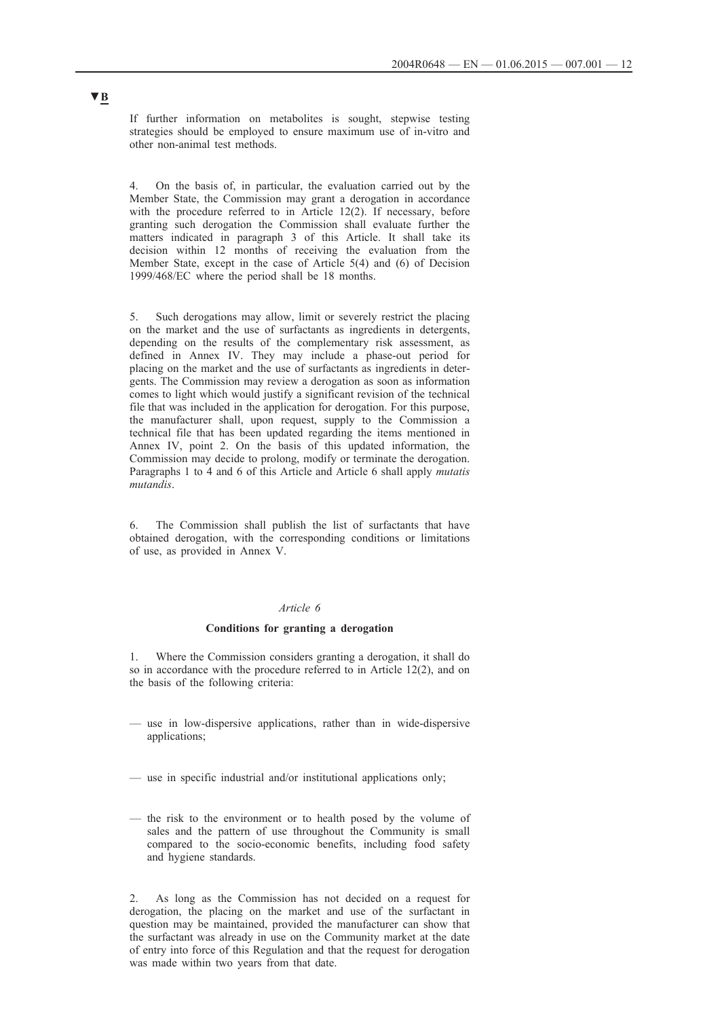If further information on metabolites is sought, stepwise testing strategies should be employed to ensure maximum use of in-vitro and other non-animal test methods.

4. On the basis of, in particular, the evaluation carried out by the Member State, the Commission may grant a derogation in accordance with the procedure referred to in Article 12(2). If necessary, before granting such derogation the Commission shall evaluate further the matters indicated in paragraph 3 of this Article. It shall take its decision within 12 months of receiving the evaluation from the Member State, except in the case of Article 5(4) and (6) of Decision 1999/468/EC where the period shall be 18 months.

5. Such derogations may allow, limit or severely restrict the placing on the market and the use of surfactants as ingredients in detergents, depending on the results of the complementary risk assessment, as defined in Annex IV. They may include a phase-out period for placing on the market and the use of surfactants as ingredients in detergents. The Commission may review a derogation as soon as information comes to light which would justify a significant revision of the technical file that was included in the application for derogation. For this purpose, the manufacturer shall, upon request, supply to the Commission a technical file that has been updated regarding the items mentioned in Annex IV, point 2. On the basis of this updated information, the Commission may decide to prolong, modify or terminate the derogation. Paragraphs 1 to 4 and 6 of this Article and Article 6 shall apply *mutatis mutandis*.

6. The Commission shall publish the list of surfactants that have obtained derogation, with the corresponding conditions or limitations of use, as provided in Annex V.

## *Article 6*

#### **Conditions for granting a derogation**

1. Where the Commission considers granting a derogation, it shall do so in accordance with the procedure referred to in Article 12(2), and on the basis of the following criteria:

- use in low-dispersive applications, rather than in wide-dispersive applications;
- use in specific industrial and/or institutional applications only;
- the risk to the environment or to health posed by the volume of sales and the pattern of use throughout the Community is small compared to the socio-economic benefits, including food safety and hygiene standards.

2. As long as the Commission has not decided on a request for derogation, the placing on the market and use of the surfactant in question may be maintained, provided the manufacturer can show that the surfactant was already in use on the Community market at the date of entry into force of this Regulation and that the request for derogation was made within two years from that date.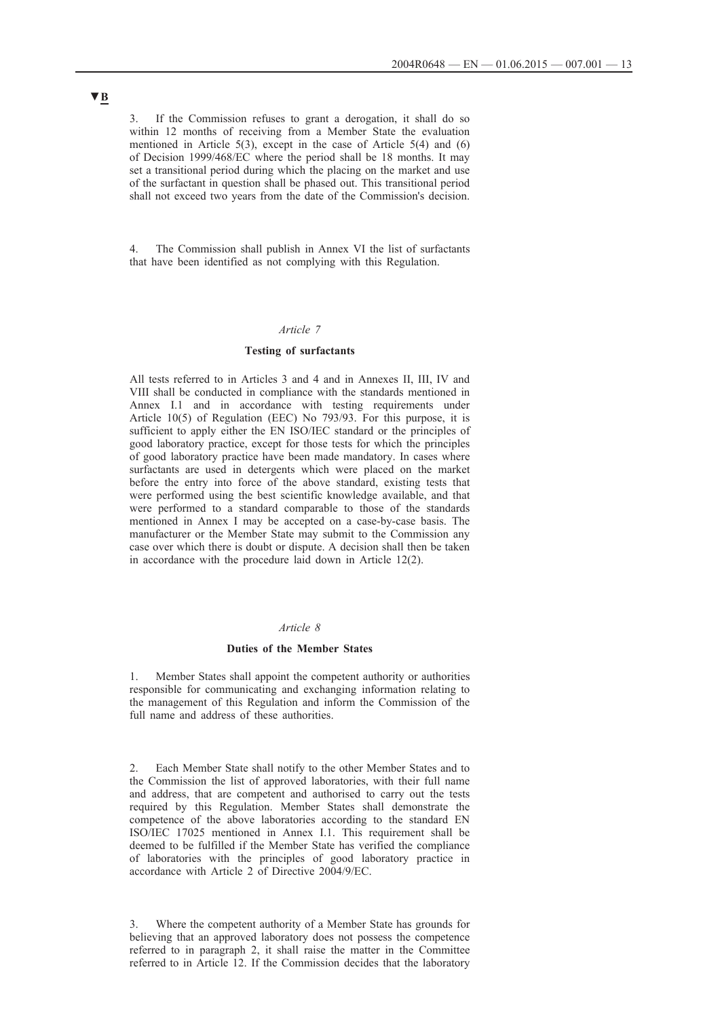3. If the Commission refuses to grant a derogation, it shall do so within 12 months of receiving from a Member State the evaluation mentioned in Article 5(3), except in the case of Article 5(4) and (6) of Decision 1999/468/EC where the period shall be 18 months. It may set a transitional period during which the placing on the market and use of the surfactant in question shall be phased out. This transitional period shall not exceed two years from the date of the Commission's decision.

4. The Commission shall publish in Annex VI the list of surfactants that have been identified as not complying with this Regulation.

## *Article 7*

## **Testing of surfactants**

All tests referred to in Articles 3 and 4 and in Annexes II, III, IV and VIII shall be conducted in compliance with the standards mentioned in Annex I.1 and in accordance with testing requirements under Article 10(5) of Regulation (EEC) No 793/93. For this purpose, it is sufficient to apply either the EN ISO/IEC standard or the principles of good laboratory practice, except for those tests for which the principles of good laboratory practice have been made mandatory. In cases where surfactants are used in detergents which were placed on the market before the entry into force of the above standard, existing tests that were performed using the best scientific knowledge available, and that were performed to a standard comparable to those of the standards mentioned in Annex I may be accepted on a case-by-case basis. The manufacturer or the Member State may submit to the Commission any case over which there is doubt or dispute. A decision shall then be taken in accordance with the procedure laid down in Article 12(2).

### *Article 8*

#### **Duties of the Member States**

Member States shall appoint the competent authority or authorities responsible for communicating and exchanging information relating to the management of this Regulation and inform the Commission of the full name and address of these authorities.

2. Each Member State shall notify to the other Member States and to the Commission the list of approved laboratories, with their full name and address, that are competent and authorised to carry out the tests required by this Regulation. Member States shall demonstrate the competence of the above laboratories according to the standard EN ISO/IEC 17025 mentioned in Annex I.1. This requirement shall be deemed to be fulfilled if the Member State has verified the compliance of laboratories with the principles of good laboratory practice in accordance with Article 2 of Directive 2004/9/EC.

3. Where the competent authority of a Member State has grounds for believing that an approved laboratory does not possess the competence referred to in paragraph 2, it shall raise the matter in the Committee referred to in Article 12. If the Commission decides that the laboratory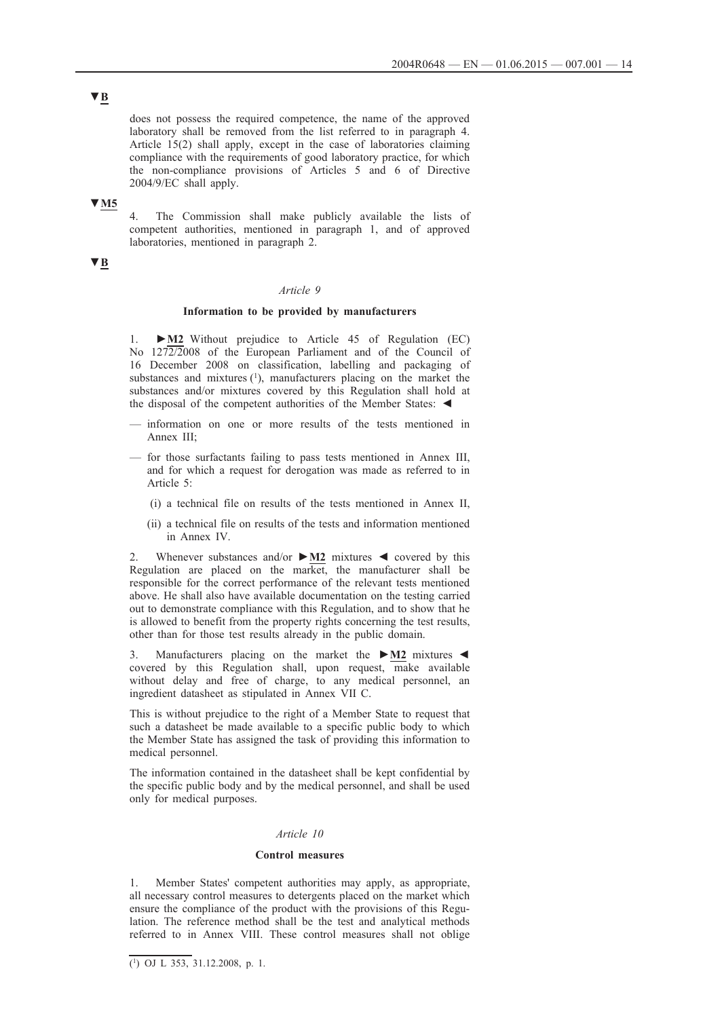**▼B**

does not possess the required competence, the name of the approved laboratory shall be removed from the list referred to in paragraph 4. Article 15(2) shall apply, except in the case of laboratories claiming compliance with the requirements of good laboratory practice, for which the non-compliance provisions of Articles 5 and 6 of Directive 2004/9/EC shall apply.

## **▼M5**

4. The Commission shall make publicly available the lists of competent authorities, mentioned in paragraph 1, and of approved laboratories, mentioned in paragraph 2.

# **▼B**

### *Article 9*

## **Information to be provided by manufacturers**

1. **►M2** Without prejudice to Article 45 of Regulation (EC) No 1272/2008 of the European Parliament and of the Council of 16 December 2008 on classification, labelling and packaging of substances and mixtures  $(1)$ , manufacturers placing on the market the substances and/or mixtures covered by this Regulation shall hold at the disposal of the competent authorities of the Member States: ◄

- information on one or more results of the tests mentioned in Annex III;
- for those surfactants failing to pass tests mentioned in Annex III, and for which a request for derogation was made as referred to in Article 5:
	- (i) a technical file on results of the tests mentioned in Annex II,
	- (ii) a technical file on results of the tests and information mentioned in Annex IV.

2. Whenever substances and/or **►M2** mixtures ◄ covered by this Regulation are placed on the market, the manufacturer shall be responsible for the correct performance of the relevant tests mentioned above. He shall also have available documentation on the testing carried out to demonstrate compliance with this Regulation, and to show that he is allowed to benefit from the property rights concerning the test results, other than for those test results already in the public domain.

3. Manufacturers placing on the market the **►M2** mixtures ◄ covered by this Regulation shall, upon request, make available without delay and free of charge, to any medical personnel, an ingredient datasheet as stipulated in Annex VII C.

This is without prejudice to the right of a Member State to request that such a datasheet be made available to a specific public body to which the Member State has assigned the task of providing this information to medical personnel.

The information contained in the datasheet shall be kept confidential by the specific public body and by the medical personnel, and shall be used only for medical purposes.

### *Article 10*

### **Control measures**

1. Member States' competent authorities may apply, as appropriate, all necessary control measures to detergents placed on the market which ensure the compliance of the product with the provisions of this Regulation. The reference method shall be the test and analytical methods referred to in Annex VIII. These control measures shall not oblige

 $(1)$  OJ L 353, 31.12.2008, p. 1.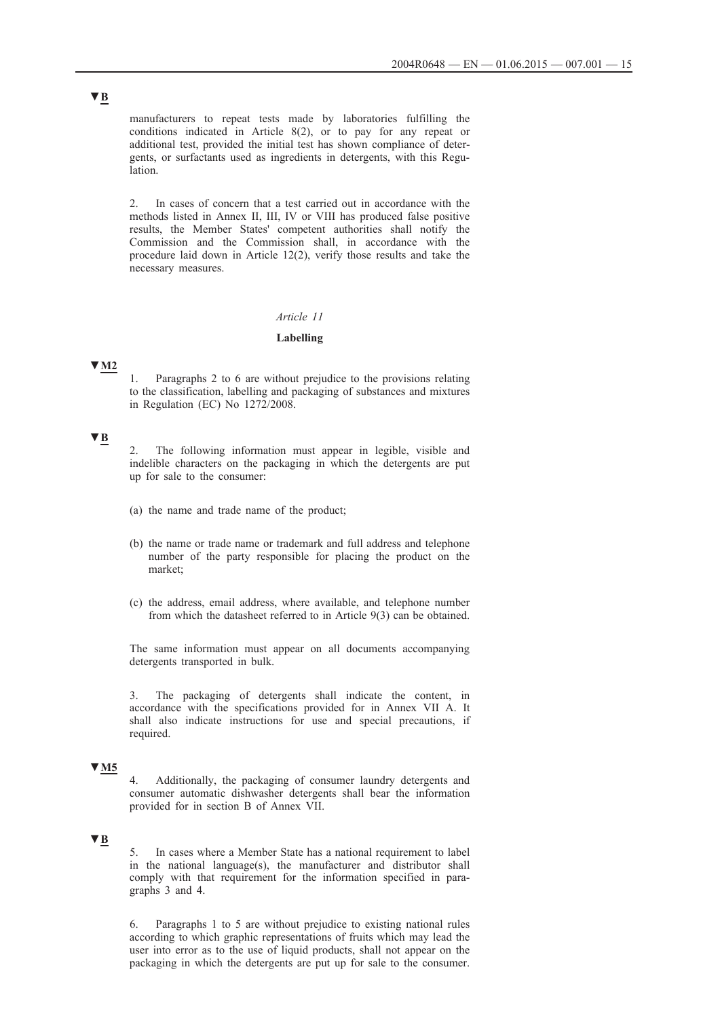manufacturers to repeat tests made by laboratories fulfilling the conditions indicated in Article 8(2), or to pay for any repeat or additional test, provided the initial test has shown compliance of detergents, or surfactants used as ingredients in detergents, with this Regulation.

2. In cases of concern that a test carried out in accordance with the methods listed in Annex II, III, IV or VIII has produced false positive results, the Member States' competent authorities shall notify the Commission and the Commission shall, in accordance with the procedure laid down in Article 12(2), verify those results and take the necessary measures.

## *Article 11*

#### **Labelling**

## **▼M2**

1. Paragraphs 2 to 6 are without prejudice to the provisions relating to the classification, labelling and packaging of substances and mixtures in Regulation (EC) No 1272/2008.

## **▼B**

The following information must appear in legible, visible and indelible characters on the packaging in which the detergents are put up for sale to the consumer:

- (a) the name and trade name of the product;
- (b) the name or trade name or trademark and full address and telephone number of the party responsible for placing the product on the market;
- (c) the address, email address, where available, and telephone number from which the datasheet referred to in Article 9(3) can be obtained.

The same information must appear on all documents accompanying detergents transported in bulk.

3. The packaging of detergents shall indicate the content, in accordance with the specifications provided for in Annex VII A. It shall also indicate instructions for use and special precautions, if required.

## **▼M5**

4. Additionally, the packaging of consumer laundry detergents and consumer automatic dishwasher detergents shall bear the information provided for in section B of Annex VII.

## **▼B**

5. In cases where a Member State has a national requirement to label in the national language(s), the manufacturer and distributor shall comply with that requirement for the information specified in paragraphs 3 and 4.

6. Paragraphs 1 to 5 are without prejudice to existing national rules according to which graphic representations of fruits which may lead the user into error as to the use of liquid products, shall not appear on the packaging in which the detergents are put up for sale to the consumer.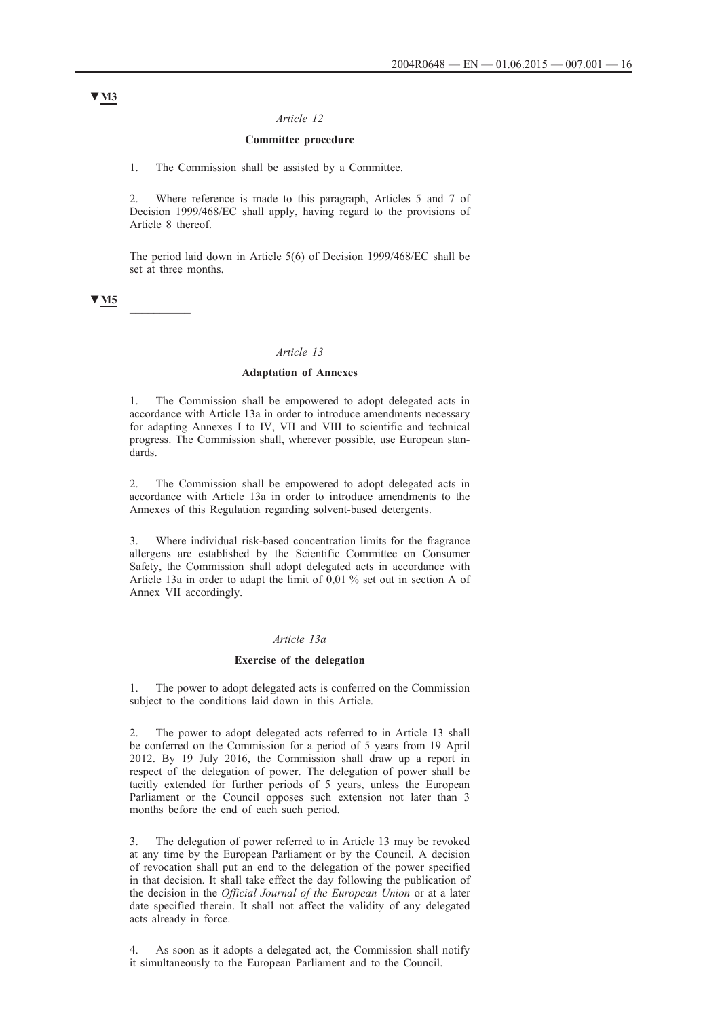### *Article 12*

### **Committee procedure**

1. The Commission shall be assisted by a Committee.

2. Where reference is made to this paragraph, Articles 5 and 7 of Decision 1999/468/EC shall apply, having regard to the provisions of Article 8 thereof.

The period laid down in Article 5(6) of Decision 1999/468/EC shall be set at three months.

## **▼M5** \_\_\_\_\_\_\_\_\_\_

#### *Article 13*

#### **Adaptation of Annexes**

1. The Commission shall be empowered to adopt delegated acts in accordance with Article 13a in order to introduce amendments necessary for adapting Annexes I to IV, VII and VIII to scientific and technical progress. The Commission shall, wherever possible, use European standards.

2. The Commission shall be empowered to adopt delegated acts in accordance with Article 13a in order to introduce amendments to the Annexes of this Regulation regarding solvent-based detergents.

3. Where individual risk-based concentration limits for the fragrance allergens are established by the Scientific Committee on Consumer Safety, the Commission shall adopt delegated acts in accordance with Article 13a in order to adapt the limit of 0,01 % set out in section A of Annex VII accordingly.

### *Article 13a*

#### **Exercise of the delegation**

1. The power to adopt delegated acts is conferred on the Commission subject to the conditions laid down in this Article.

The power to adopt delegated acts referred to in Article 13 shall be conferred on the Commission for a period of 5 years from 19 April 2012. By 19 July 2016, the Commission shall draw up a report in respect of the delegation of power. The delegation of power shall be tacitly extended for further periods of 5 years, unless the European Parliament or the Council opposes such extension not later than 3 months before the end of each such period.

3. The delegation of power referred to in Article 13 may be revoked at any time by the European Parliament or by the Council. A decision of revocation shall put an end to the delegation of the power specified in that decision. It shall take effect the day following the publication of the decision in the *Official Journal of the European Union* or at a later date specified therein. It shall not affect the validity of any delegated acts already in force.

4. As soon as it adopts a delegated act, the Commission shall notify it simultaneously to the European Parliament and to the Council.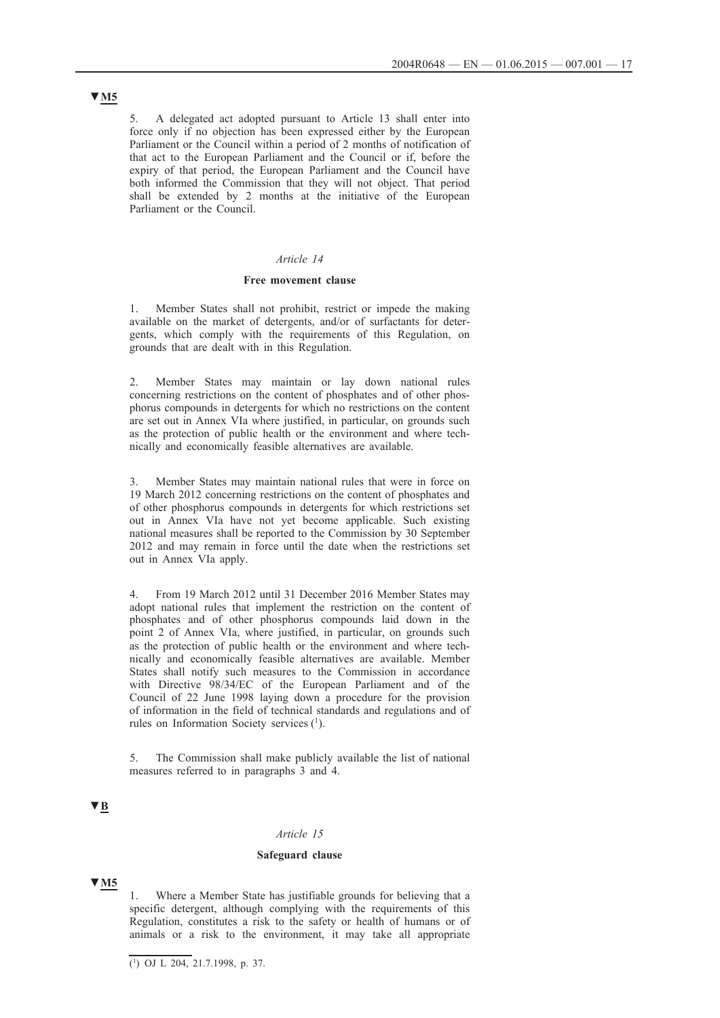5. A delegated act adopted pursuant to Article 13 shall enter into force only if no objection has been expressed either by the European Parliament or the Council within a period of 2 months of notification of that act to the European Parliament and the Council or if, before the expiry of that period, the European Parliament and the Council have both informed the Commission that they will not object. That period shall be extended by 2 months at the initiative of the European Parliament or the Council.

## *Article 14*

#### **Free movement clause**

1. Member States shall not prohibit, restrict or impede the making available on the market of detergents, and/or of surfactants for detergents, which comply with the requirements of this Regulation, on grounds that are dealt with in this Regulation.

2. Member States may maintain or lay down national rules concerning restrictions on the content of phosphates and of other phosphorus compounds in detergents for which no restrictions on the content are set out in Annex VIa where justified, in particular, on grounds such as the protection of public health or the environment and where technically and economically feasible alternatives are available.

3. Member States may maintain national rules that were in force on 19 March 2012 concerning restrictions on the content of phosphates and of other phosphorus compounds in detergents for which restrictions set out in Annex VIa have not yet become applicable. Such existing national measures shall be reported to the Commission by 30 September 2012 and may remain in force until the date when the restrictions set out in Annex VIa apply.

4. From 19 March 2012 until 31 December 2016 Member States may adopt national rules that implement the restriction on the content of phosphates and of other phosphorus compounds laid down in the point 2 of Annex VIa, where justified, in particular, on grounds such as the protection of public health or the environment and where technically and economically feasible alternatives are available. Member States shall notify such measures to the Commission in accordance with Directive 98/34/EC of the European Parliament and of the Council of 22 June 1998 laying down a procedure for the provision of information in the field of technical standards and regulations and of rules on Information Society services (1).

5. The Commission shall make publicly available the list of national measures referred to in paragraphs 3 and 4.

## **▼B**

### *Article 15*

### **Safeguard clause**

## **▼M5**

1. Where a Member State has justifiable grounds for believing that a specific detergent, although complying with the requirements of this Regulation, constitutes a risk to the safety or health of humans or of animals or a risk to the environment, it may take all appropriate

 $(1)$  OJ L 204, 21.7.1998, p. 37.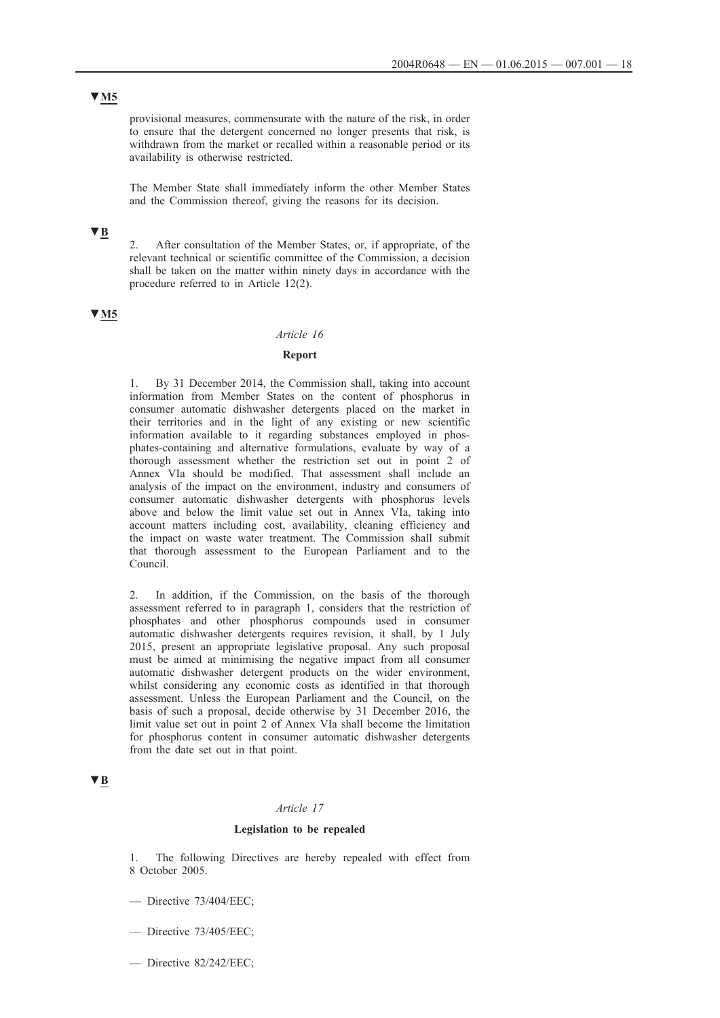## **▼M5**

provisional measures, commensurate with the nature of the risk, in order to ensure that the detergent concerned no longer presents that risk, is withdrawn from the market or recalled within a reasonable period or its availability is otherwise restricted.

The Member State shall immediately inform the other Member States and the Commission thereof, giving the reasons for its decision.

# **▼B**

2. After consultation of the Member States, or, if appropriate, of the relevant technical or scientific committee of the Commission, a decision shall be taken on the matter within ninety days in accordance with the procedure referred to in Article 12(2).

### **▼M5**

#### *Article 16*

## **Report**

By 31 December 2014, the Commission shall, taking into account information from Member States on the content of phosphorus in consumer automatic dishwasher detergents placed on the market in their territories and in the light of any existing or new scientific information available to it regarding substances employed in phosphates-containing and alternative formulations, evaluate by way of a thorough assessment whether the restriction set out in point 2 of Annex VIa should be modified. That assessment shall include an analysis of the impact on the environment, industry and consumers of consumer automatic dishwasher detergents with phosphorus levels above and below the limit value set out in Annex VIa, taking into account matters including cost, availability, cleaning efficiency and the impact on waste water treatment. The Commission shall submit that thorough assessment to the European Parliament and to the Council.

2. In addition, if the Commission, on the basis of the thorough assessment referred to in paragraph 1, considers that the restriction of phosphates and other phosphorus compounds used in consumer automatic dishwasher detergents requires revision, it shall, by 1 July 2015, present an appropriate legislative proposal. Any such proposal must be aimed at minimising the negative impact from all consumer automatic dishwasher detergent products on the wider environment, whilst considering any economic costs as identified in that thorough assessment. Unless the European Parliament and the Council, on the basis of such a proposal, decide otherwise by 31 December 2016, the limit value set out in point 2 of Annex VIa shall become the limitation for phosphorus content in consumer automatic dishwasher detergents from the date set out in that point.

## **▼B**

#### *Article 17*

### **Legislation to be repealed**

1. The following Directives are hereby repealed with effect from 8 October 2005.

- Directive 73/404/EEC;
- Directive 73/405/EEC;
- Directive 82/242/EEC;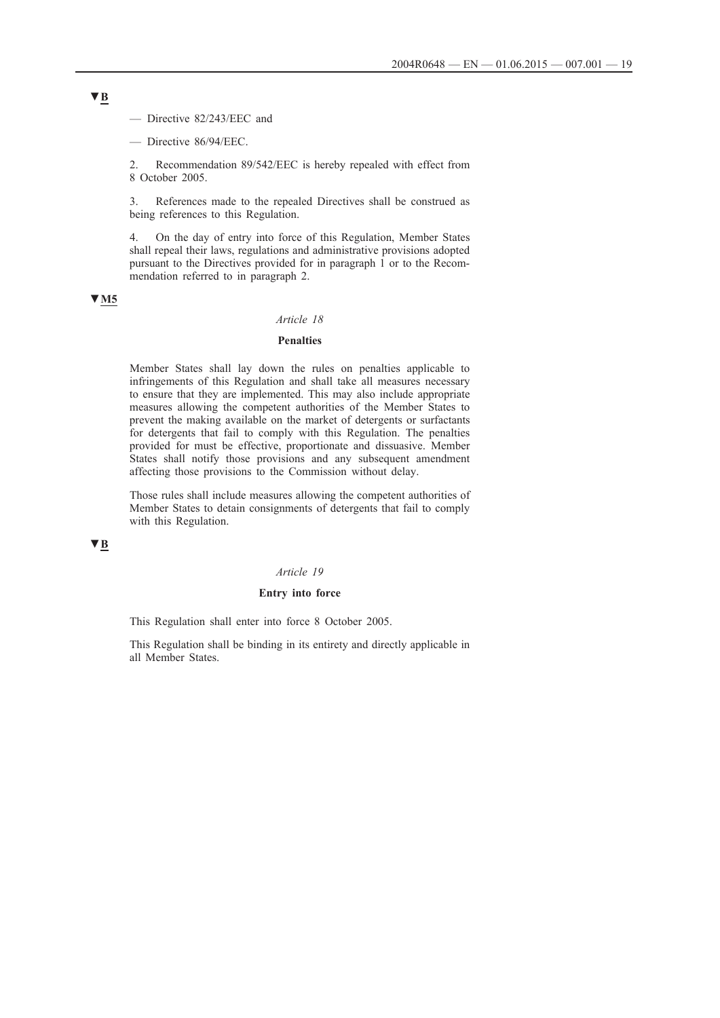— Directive 82/243/EEC and

— Directive 86/94/EEC.

2. Recommendation 89/542/EEC is hereby repealed with effect from 8 October 2005.

3. References made to the repealed Directives shall be construed as being references to this Regulation.

4. On the day of entry into force of this Regulation, Member States shall repeal their laws, regulations and administrative provisions adopted pursuant to the Directives provided for in paragraph 1 or to the Recommendation referred to in paragraph 2.

## **▼M5**

## *Article 18*

## **Penalties**

Member States shall lay down the rules on penalties applicable to infringements of this Regulation and shall take all measures necessary to ensure that they are implemented. This may also include appropriate measures allowing the competent authorities of the Member States to prevent the making available on the market of detergents or surfactants for detergents that fail to comply with this Regulation. The penalties provided for must be effective, proportionate and dissuasive. Member States shall notify those provisions and any subsequent amendment affecting those provisions to the Commission without delay.

Those rules shall include measures allowing the competent authorities of Member States to detain consignments of detergents that fail to comply with this Regulation.

## **▼B**

#### *Article 19*

### **Entry into force**

This Regulation shall enter into force 8 October 2005.

This Regulation shall be binding in its entirety and directly applicable in all Member States.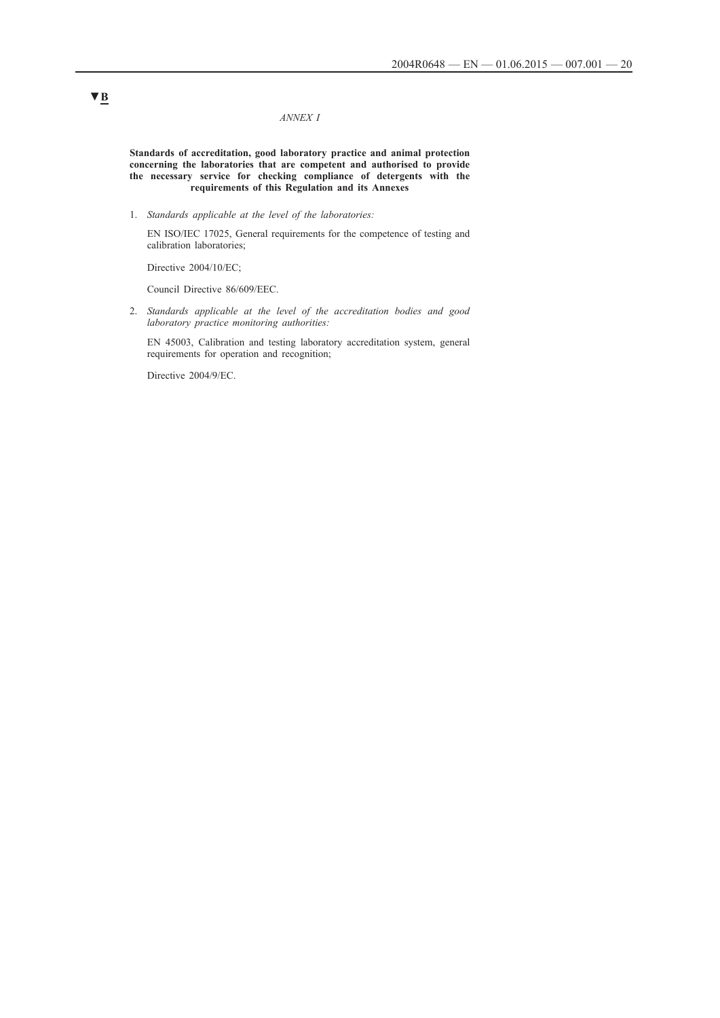#### *ANNEX I*

**Standards of accreditation, good laboratory practice and animal protection concerning the laboratories that are competent and authorised to provide the necessary service for checking compliance of detergents with the requirements of this Regulation and its Annexes**

1. *Standards applicable at the level of the laboratories:*

EN ISO/IEC 17025, General requirements for the competence of testing and calibration laboratories;

Directive 2004/10/EC;

Council Directive 86/609/EEC.

2. *Standards applicable at the level of the accreditation bodies and good laboratory practice monitoring authorities:*

EN 45003, Calibration and testing laboratory accreditation system, general requirements for operation and recognition;

Directive 2004/9/EC.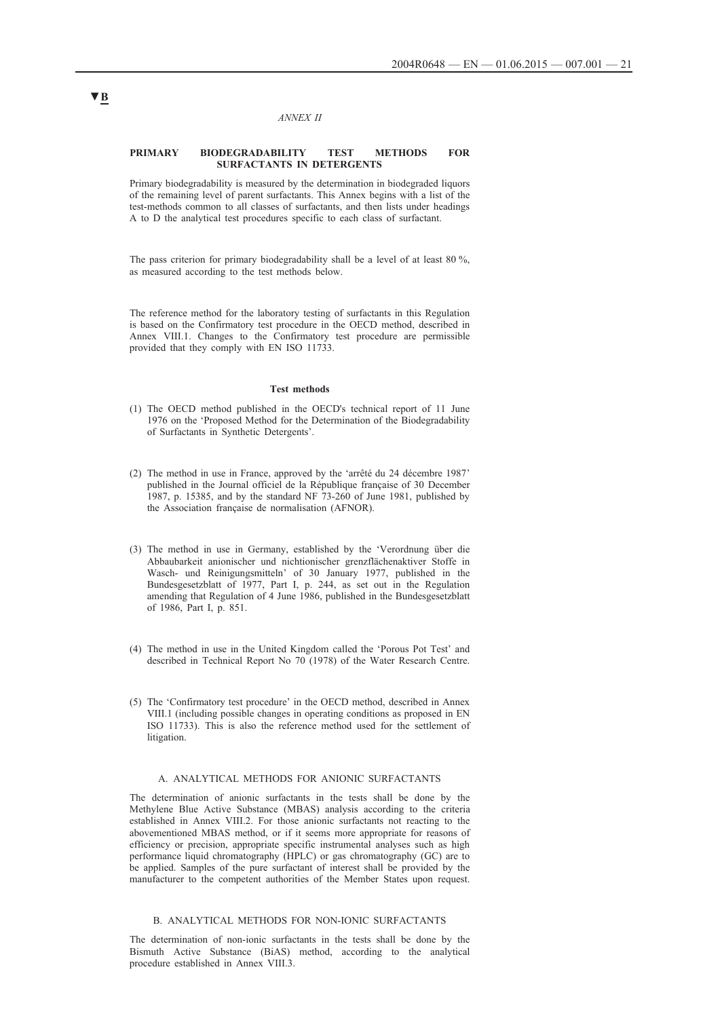#### *ANNEX II*

#### **PRIMARY BIODEGRADABILITY TEST METHODS FOR SURFACTANTS IN DETERGENTS**

Primary biodegradability is measured by the determination in biodegraded liquors of the remaining level of parent surfactants. This Annex begins with a list of the test-methods common to all classes of surfactants, and then lists under headings A to D the analytical test procedures specific to each class of surfactant.

The pass criterion for primary biodegradability shall be a level of at least 80 %, as measured according to the test methods below.

The reference method for the laboratory testing of surfactants in this Regulation is based on the Confirmatory test procedure in the OECD method, described in Annex VIII.1. Changes to the Confirmatory test procedure are permissible provided that they comply with EN ISO 11733.

#### **Test methods**

- (1) The OECD method published in the OECD's technical report of 11 June 1976 on the 'Proposed Method for the Determination of the Biodegradability of Surfactants in Synthetic Detergents'.
- (2) The method in use in France, approved by the 'arrêté du 24 décembre 1987' published in the Journal officiel de la République française of 30 December 1987, p. 15385, and by the standard NF 73-260 of June 1981, published by the Association française de normalisation (AFNOR).
- (3) The method in use in Germany, established by the 'Verordnung über die Abbaubarkeit anionischer und nichtionischer grenzflächenaktiver Stoffe in Wasch- und Reinigungsmitteln' of 30 January 1977, published in the Bundesgesetzblatt of 1977, Part I, p. 244, as set out in the Regulation amending that Regulation of 4 June 1986, published in the Bundesgesetzblatt of 1986, Part I, p. 851.
- (4) The method in use in the United Kingdom called the 'Porous Pot Test' and described in Technical Report No 70 (1978) of the Water Research Centre.
- (5) The 'Confirmatory test procedure' in the OECD method, described in Annex VIII.1 (including possible changes in operating conditions as proposed in EN ISO 11733). This is also the reference method used for the settlement of litigation.

### A. ANALYTICAL METHODS FOR ANIONIC SURFACTANTS

The determination of anionic surfactants in the tests shall be done by the Methylene Blue Active Substance (MBAS) analysis according to the criteria established in Annex VIII.2. For those anionic surfactants not reacting to the abovementioned MBAS method, or if it seems more appropriate for reasons of efficiency or precision, appropriate specific instrumental analyses such as high performance liquid chromatography (HPLC) or gas chromatography (GC) are to be applied. Samples of the pure surfactant of interest shall be provided by the manufacturer to the competent authorities of the Member States upon request.

#### B. ANALYTICAL METHODS FOR NON-IONIC SURFACTANTS

The determination of non-ionic surfactants in the tests shall be done by the Bismuth Active Substance (BiAS) method, according to the analytical procedure established in Annex VIII.3.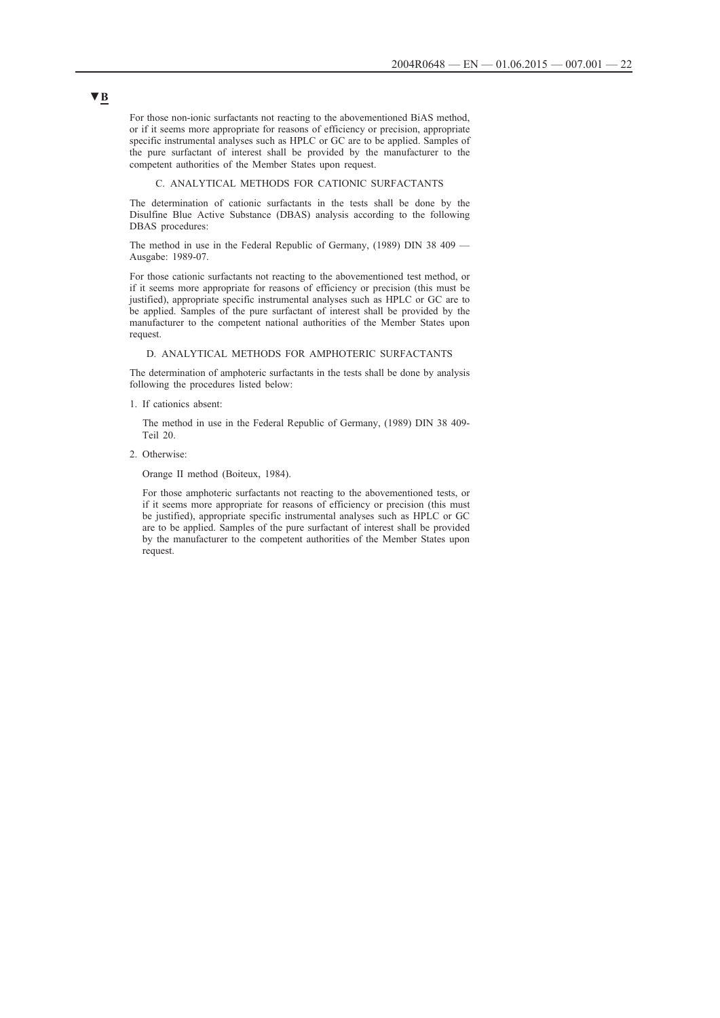For those non-ionic surfactants not reacting to the abovementioned BiAS method, or if it seems more appropriate for reasons of efficiency or precision, appropriate specific instrumental analyses such as HPLC or GC are to be applied. Samples of the pure surfactant of interest shall be provided by the manufacturer to the competent authorities of the Member States upon request.

#### C. ANALYTICAL METHODS FOR CATIONIC SURFACTANTS

The determination of cationic surfactants in the tests shall be done by the Disulfine Blue Active Substance (DBAS) analysis according to the following DBAS procedures:

The method in use in the Federal Republic of Germany, (1989) DIN 38 409 — Ausgabe: 1989-07.

For those cationic surfactants not reacting to the abovementioned test method, or if it seems more appropriate for reasons of efficiency or precision (this must be justified), appropriate specific instrumental analyses such as HPLC or GC are to be applied. Samples of the pure surfactant of interest shall be provided by the manufacturer to the competent national authorities of the Member States upon request.

#### D. ANALYTICAL METHODS FOR AMPHOTERIC SURFACTANTS

The determination of amphoteric surfactants in the tests shall be done by analysis following the procedures listed below:

1. If cationics absent:

The method in use in the Federal Republic of Germany, (1989) DIN 38 409- Teil 20.

2. Otherwise:

Orange II method (Boiteux, 1984).

For those amphoteric surfactants not reacting to the abovementioned tests, or if it seems more appropriate for reasons of efficiency or precision (this must be justified), appropriate specific instrumental analyses such as HPLC or GC are to be applied. Samples of the pure surfactant of interest shall be provided by the manufacturer to the competent authorities of the Member States upon request.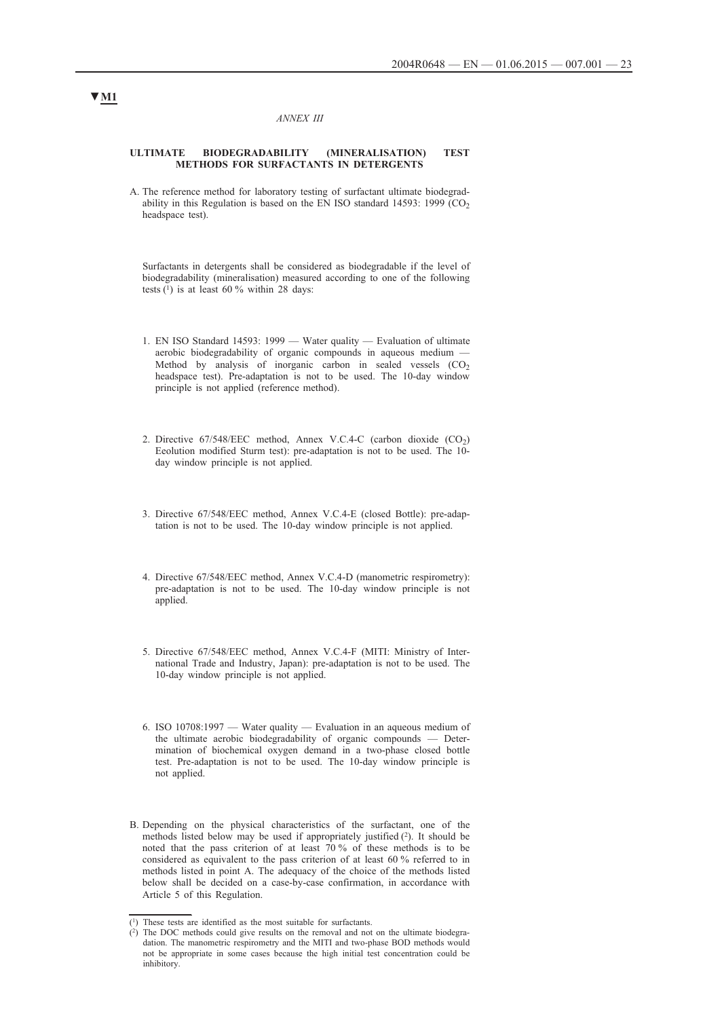#### *ANNEX III*

#### **ULTIMATE BIODEGRADABILITY (MINERALISATION) TEST METHODS FOR SURFACTANTS IN DETERGENTS**

A. The reference method for laboratory testing of surfactant ultimate biodegradability in this Regulation is based on the EN ISO standard 14593: 1999 (CO<sub>2</sub>) headspace test).

Surfactants in detergents shall be considered as biodegradable if the level of biodegradability (mineralisation) measured according to one of the following tests  $(1)$  is at least 60 % within 28 days:

- 1. EN ISO Standard 14593: 1999 Water quality Evaluation of ultimate aerobic biodegradability of organic compounds in aqueous medium -Method by analysis of inorganic carbon in sealed vessels  $(CO<sub>2</sub>)$ headspace test). Pre-adaptation is not to be used. The 10-day window principle is not applied (reference method).
- 2. Directive 67/548/EEC method, Annex V.C.4-C (carbon dioxide (CO<sub>2</sub>) Eeolution modified Sturm test): pre-adaptation is not to be used. The 10 day window principle is not applied.
- 3. Directive 67/548/EEC method, Annex V.C.4-E (closed Bottle): pre-adaptation is not to be used. The 10-day window principle is not applied.
- 4. Directive 67/548/EEC method, Annex V.C.4-D (manometric respirometry): pre-adaptation is not to be used. The 10-day window principle is not applied.
- 5. Directive 67/548/EEC method, Annex V.C.4-F (MITI: Ministry of International Trade and Industry, Japan): pre-adaptation is not to be used. The 10-day window principle is not applied.
- 6. ISO 10708:1997 Water quality Evaluation in an aqueous medium of the ultimate aerobic biodegradability of organic compounds — Determination of biochemical oxygen demand in a two-phase closed bottle test. Pre-adaptation is not to be used. The 10-day window principle is not applied.
- B. Depending on the physical characteristics of the surfactant, one of the methods listed below may be used if appropriately justified (2). It should be noted that the pass criterion of at least 70 % of these methods is to be considered as equivalent to the pass criterion of at least 60 % referred to in methods listed in point A. The adequacy of the choice of the methods listed below shall be decided on a case-by-case confirmation, in accordance with Article 5 of this Regulation.

<sup>(1)</sup> These tests are identified as the most suitable for surfactants.

<sup>(2)</sup> The DOC methods could give results on the removal and not on the ultimate biodegradation. The manometric respirometry and the MITI and two-phase BOD methods would not be appropriate in some cases because the high initial test concentration could be inhibitory.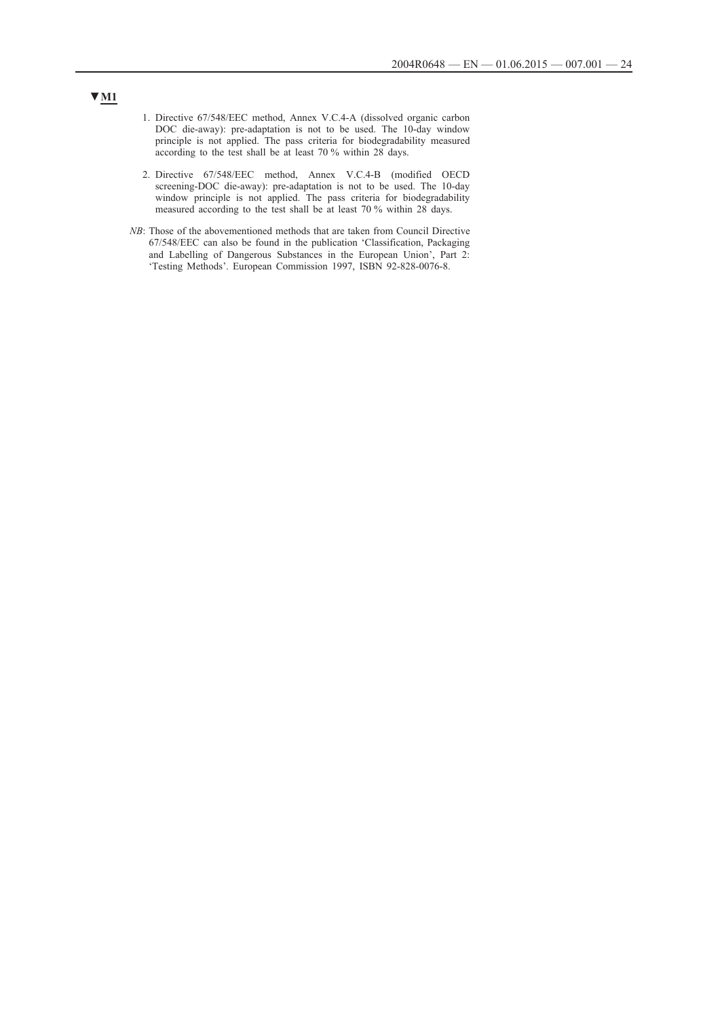- 1. Directive 67/548/EEC method, Annex V.C.4-A (dissolved organic carbon DOC die-away): pre-adaptation is not to be used. The 10-day window principle is not applied. The pass criteria for biodegradability measured according to the test shall be at least 70 % within 28 days.
- 2. Directive 67/548/EEC method, Annex V.C.4-B (modified OECD screening-DOC die-away): pre-adaptation is not to be used. The 10-day window principle is not applied. The pass criteria for biodegradability measured according to the test shall be at least 70 % within 28 days.
- *NB*: Those of the abovementioned methods that are taken from Council Directive 67/548/EEC can also be found in the publication 'Classification, Packaging and Labelling of Dangerous Substances in the European Union', Part 2: 'Testing Methods'. European Commission 1997, ISBN 92-828-0076-8.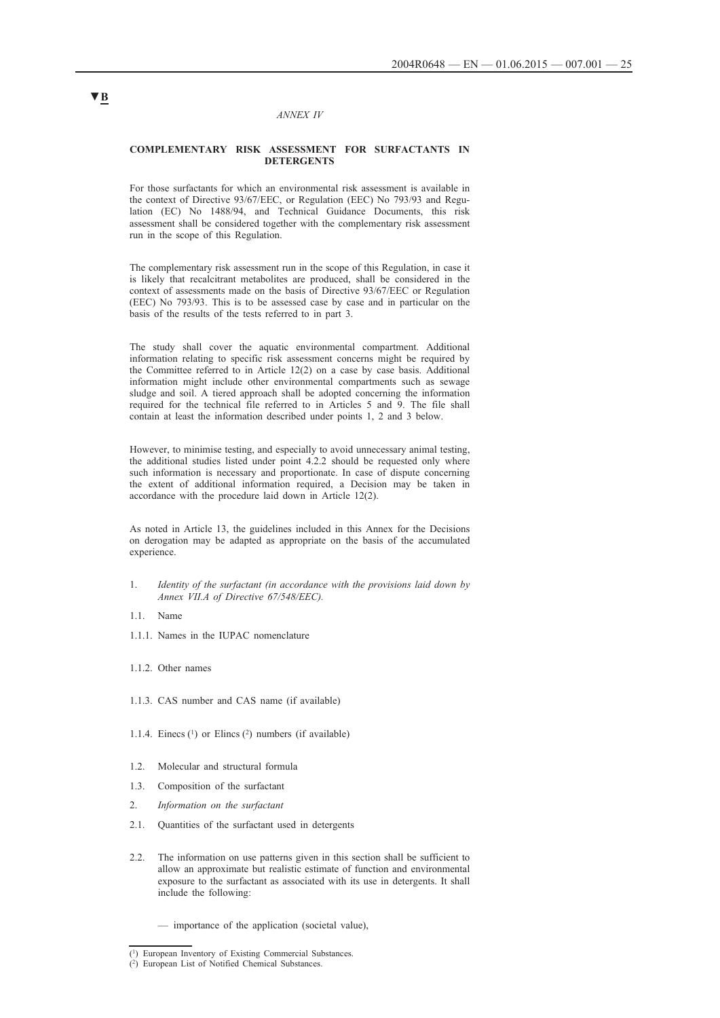### *ANNEX IV*

### **COMPLEMENTARY RISK ASSESSMENT FOR SURFACTANTS IN DETERGENTS**

For those surfactants for which an environmental risk assessment is available in the context of Directive 93/67/EEC, or Regulation (EEC) No 793/93 and Regulation (EC) No 1488/94, and Technical Guidance Documents, this risk assessment shall be considered together with the complementary risk assessment run in the scope of this Regulation.

The complementary risk assessment run in the scope of this Regulation, in case it is likely that recalcitrant metabolites are produced, shall be considered in the context of assessments made on the basis of Directive 93/67/EEC or Regulation (EEC) No 793/93. This is to be assessed case by case and in particular on the basis of the results of the tests referred to in part 3.

The study shall cover the aquatic environmental compartment. Additional information relating to specific risk assessment concerns might be required by the Committee referred to in Article 12(2) on a case by case basis. Additional information might include other environmental compartments such as sewage sludge and soil. A tiered approach shall be adopted concerning the information required for the technical file referred to in Articles 5 and 9. The file shall contain at least the information described under points 1, 2 and 3 below.

However, to minimise testing, and especially to avoid unnecessary animal testing, the additional studies listed under point 4.2.2 should be requested only where such information is necessary and proportionate. In case of dispute concerning the extent of additional information required, a Decision may be taken in accordance with the procedure laid down in Article 12(2).

As noted in Article 13, the guidelines included in this Annex for the Decisions on derogation may be adapted as appropriate on the basis of the accumulated experience.

- 1. *Identity of the surfactant (in accordance with the provisions laid down by Annex VII.A of Directive 67/548/EEC).*
- 1.1. Name
- 1.1.1. Names in the IUPAC nomenclature
- 1.1.2. Other names
- 1.1.3. CAS number and CAS name (if available)
- 1.1.4. Einecs  $(1)$  or Elincs  $(2)$  numbers (if available)
- 1.2. Molecular and structural formula
- 1.3. Composition of the surfactant
- 2. *Information on the surfactant*
- 2.1. Quantities of the surfactant used in detergents
- 2.2. The information on use patterns given in this section shall be sufficient to allow an approximate but realistic estimate of function and environmental exposure to the surfactant as associated with its use in detergents. It shall include the following:
	- importance of the application (societal value),

<sup>(1)</sup> European Inventory of Existing Commercial Substances.

<sup>(2)</sup> European List of Notified Chemical Substances.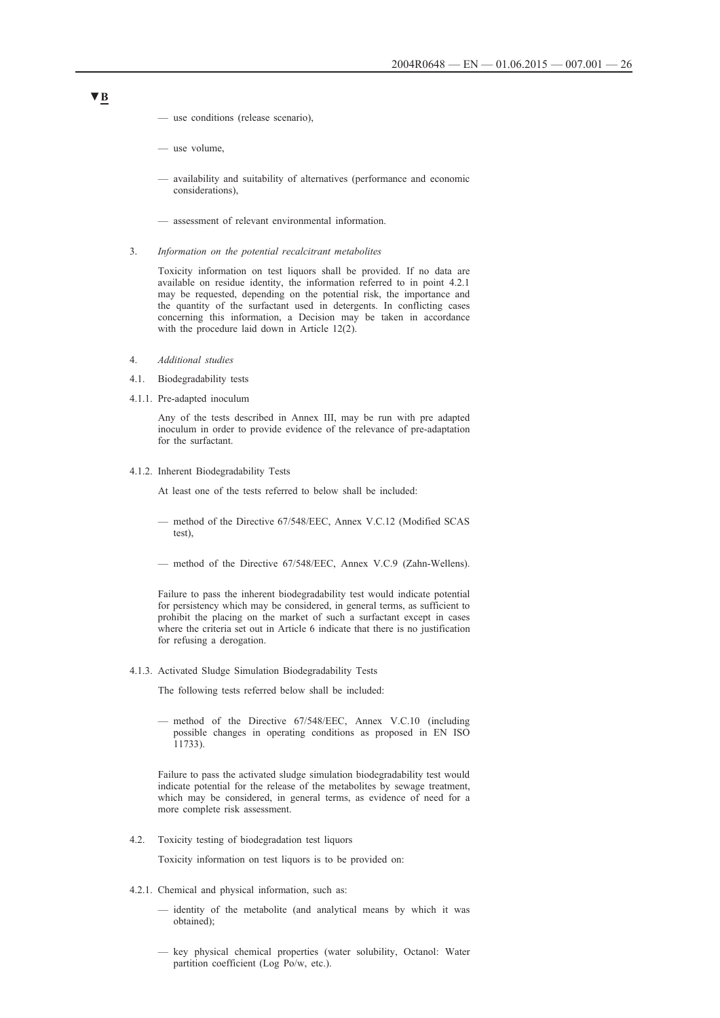- use conditions (release scenario),
- use volume,
- availability and suitability of alternatives (performance and economic considerations),
- assessment of relevant environmental information.
- 3. *Information on the potential recalcitrant metabolites*

Toxicity information on test liquors shall be provided. If no data are available on residue identity, the information referred to in point 4.2.1 may be requested, depending on the potential risk, the importance and the quantity of the surfactant used in detergents. In conflicting cases concerning this information, a Decision may be taken in accordance with the procedure laid down in Article 12(2).

- 4. *Additional studies*
- 4.1. Biodegradability tests
- 4.1.1. Pre-adapted inoculum

Any of the tests described in Annex III, may be run with pre adapted inoculum in order to provide evidence of the relevance of pre-adaptation for the surfactant.

4.1.2. Inherent Biodegradability Tests

At least one of the tests referred to below shall be included:

- method of the Directive 67/548/EEC, Annex V.C.12 (Modified SCAS test),
- method of the Directive 67/548/EEC, Annex V.C.9 (Zahn-Wellens).

Failure to pass the inherent biodegradability test would indicate potential for persistency which may be considered, in general terms, as sufficient to prohibit the placing on the market of such a surfactant except in cases where the criteria set out in Article 6 indicate that there is no justification for refusing a derogation.

4.1.3. Activated Sludge Simulation Biodegradability Tests

The following tests referred below shall be included:

— method of the Directive 67/548/EEC, Annex V.C.10 (including possible changes in operating conditions as proposed in EN ISO 11733).

Failure to pass the activated sludge simulation biodegradability test would indicate potential for the release of the metabolites by sewage treatment, which may be considered, in general terms, as evidence of need for a more complete risk assessment.

4.2. Toxicity testing of biodegradation test liquors

Toxicity information on test liquors is to be provided on:

- 4.2.1. Chemical and physical information, such as:
	- identity of the metabolite (and analytical means by which it was obtained);
	- key physical chemical properties (water solubility, Octanol: Water partition coefficient (Log Po/w, etc.).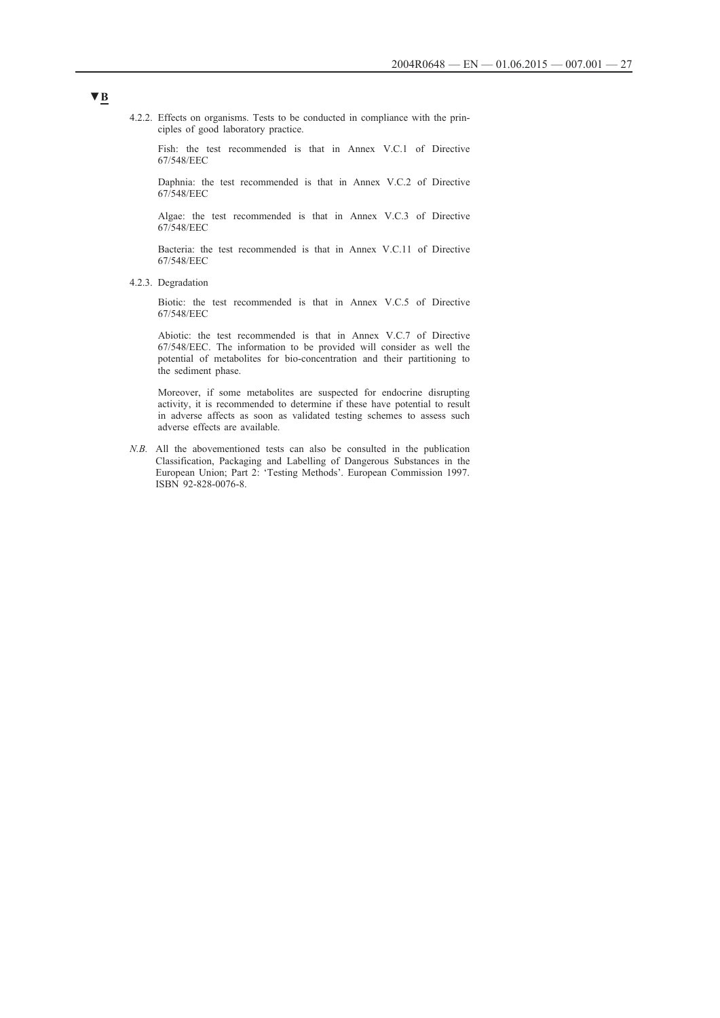4.2.2. Effects on organisms. Tests to be conducted in compliance with the principles of good laboratory practice.

Fish: the test recommended is that in Annex V.C.1 of Directive 67/548/EEC

Daphnia: the test recommended is that in Annex V.C.2 of Directive 67/548/EEC

Algae: the test recommended is that in Annex V.C.3 of Directive 67/548/EEC

Bacteria: the test recommended is that in Annex V.C.11 of Directive 67/548/EEC

4.2.3. Degradation

Biotic: the test recommended is that in Annex V.C.5 of Directive 67/548/EEC

Abiotic: the test recommended is that in Annex V.C.7 of Directive 67/548/EEC. The information to be provided will consider as well the potential of metabolites for bio-concentration and their partitioning to the sediment phase.

Moreover, if some metabolites are suspected for endocrine disrupting activity, it is recommended to determine if these have potential to result in adverse affects as soon as validated testing schemes to assess such adverse effects are available.

*N.B.* All the abovementioned tests can also be consulted in the publication Classification, Packaging and Labelling of Dangerous Substances in the European Union; Part 2: 'Testing Methods'. European Commission 1997. ISBN 92-828-0076-8.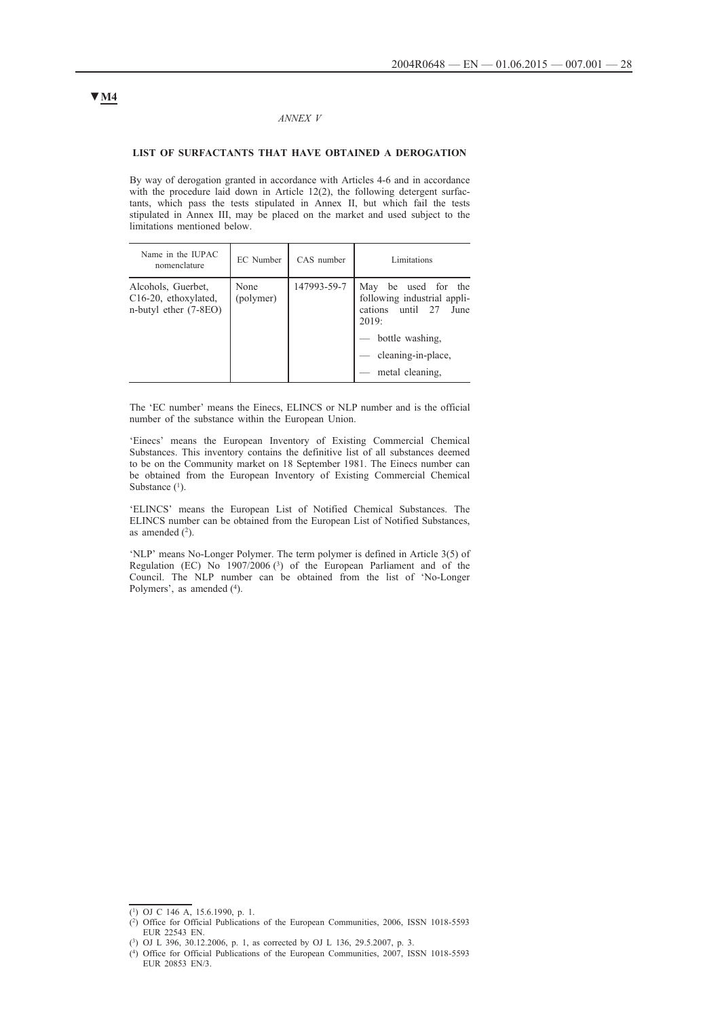### *ANNEX V*

## **LIST OF SURFACTANTS THAT HAVE OBTAINED A DEROGATION**

By way of derogation granted in accordance with Articles 4-6 and in accordance with the procedure laid down in Article 12(2), the following detergent surfactants, which pass the tests stipulated in Annex II, but which fail the tests stipulated in Annex III, may be placed on the market and used subject to the limitations mentioned below.

| Name in the IUPAC<br>nomenclature                                                | <b>EC</b> Number  | CAS number  | Limitations                                                                                                                                            |
|----------------------------------------------------------------------------------|-------------------|-------------|--------------------------------------------------------------------------------------------------------------------------------------------------------|
| Alcohols, Guerbet,<br>C <sub>16</sub> -20, ethoxylated,<br>n-butyl ether (7-8EO) | None<br>(polymer) | 147993-59-7 | be used for the<br>May<br>following industrial appli-<br>cations until 27<br>June<br>2019:<br>bottle washing.<br>cleaning-in-place.<br>metal cleaning. |

The 'EC number' means the Einecs, ELINCS or NLP number and is the official number of the substance within the European Union.

'Einecs' means the European Inventory of Existing Commercial Chemical Substances. This inventory contains the definitive list of all substances deemed to be on the Community market on 18 September 1981. The Einecs number can be obtained from the European Inventory of Existing Commercial Chemical Substance  $(1)$ .

'ELINCS' means the European List of Notified Chemical Substances. The ELINCS number can be obtained from the European List of Notified Substances, as amended  $(2)$ .

'NLP' means No-Longer Polymer. The term polymer is defined in Article 3(5) of Regulation (EC) No 1907/2006 (3) of the European Parliament and of the Council. The NLP number can be obtained from the list of 'No-Longer Polymers', as amended (4).

<sup>(1)</sup> OJ C 146 A, 15.6.1990, p. 1.

<sup>(2)</sup> Office for Official Publications of the European Communities, 2006, ISSN 1018-5593 EUR 22543 EN.

<sup>(3)</sup> OJ L 396, 30.12.2006, p. 1, as corrected by OJ L 136, 29.5.2007, p. 3.

<sup>(4)</sup> Office for Official Publications of the European Communities, 2007, ISSN 1018-5593 EUR 20853 EN/3.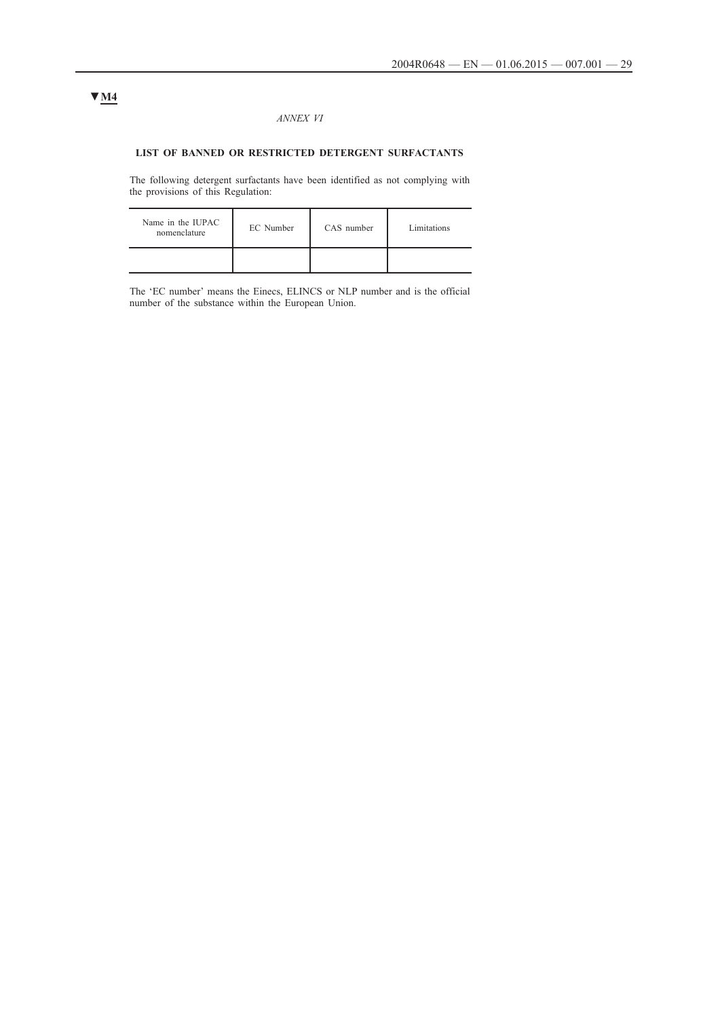### *ANNEX VI*

## **LIST OF BANNED OR RESTRICTED DETERGENT SURFACTANTS**

The following detergent surfactants have been identified as not complying with the provisions of this Regulation:

| Name in the IUPAC<br>nomenclature | EC Number | CAS number | Limitations |
|-----------------------------------|-----------|------------|-------------|
|                                   |           |            |             |

The 'EC number' means the Einecs, ELINCS or NLP number and is the official number of the substance within the European Union.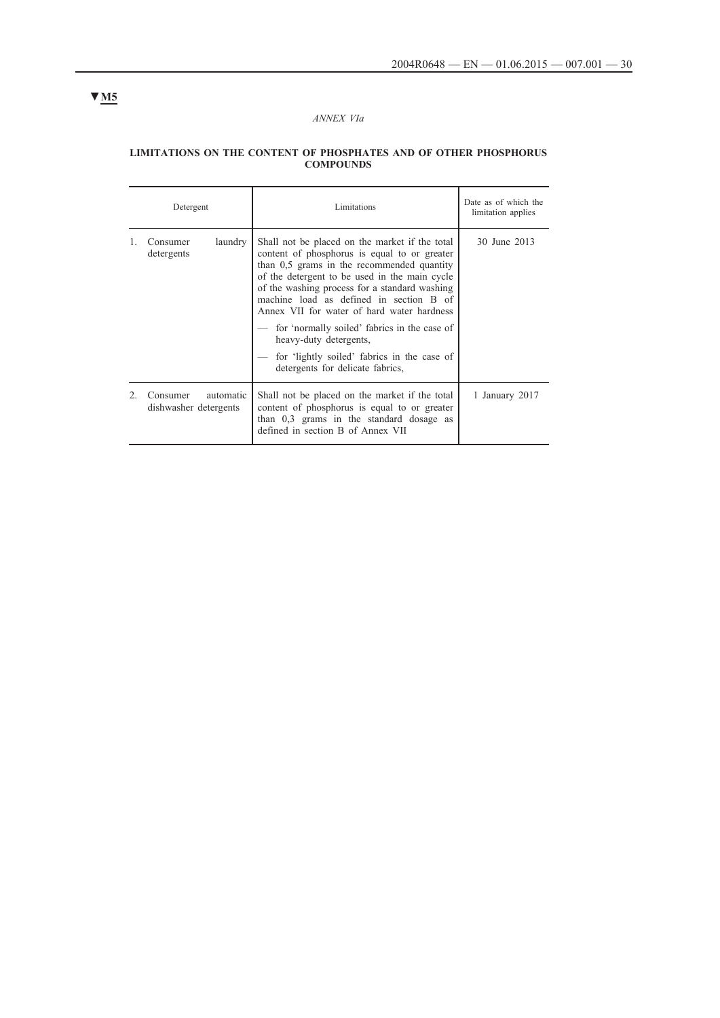## *ANNEX VIa*

#### **LIMITATIONS ON THE CONTENT OF PHOSPHATES AND OF OTHER PHOSPHORUS COMPOUNDS**

| Detergent                                      | Limitations                                                                                                                                                                                                                                                                                                                                                                                                                                                                                          | Date as of which the<br>limitation applies |
|------------------------------------------------|------------------------------------------------------------------------------------------------------------------------------------------------------------------------------------------------------------------------------------------------------------------------------------------------------------------------------------------------------------------------------------------------------------------------------------------------------------------------------------------------------|--------------------------------------------|
| laundry<br>Consumer<br>detergents              | Shall not be placed on the market if the total<br>content of phosphorus is equal to or greater<br>than 0.5 grams in the recommended quantity<br>of the detergent to be used in the main cycle<br>of the washing process for a standard washing<br>machine load as defined in section B of<br>Annex VII for water of hard water hardness<br>for 'normally soiled' fabrics in the case of<br>heavy-duty detergents,<br>for 'lightly soiled' fabrics in the case of<br>detergents for delicate fabrics, | 30 June 2013                               |
| Consumer<br>automatic<br>dishwasher detergents | Shall not be placed on the market if the total<br>content of phosphorus is equal to or greater<br>than $0,3$ grams in the standard dosage as<br>defined in section B of Annex VII                                                                                                                                                                                                                                                                                                                    | 1 January 2017                             |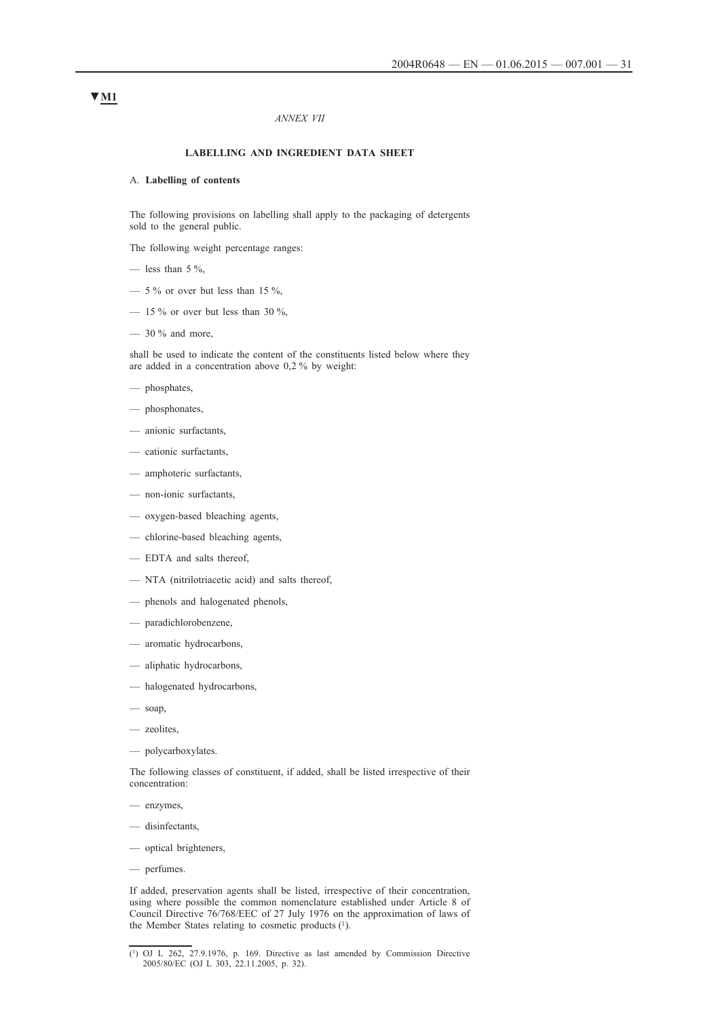#### *ANNEX VII*

### **LABELLING AND INGREDIENT DATA SHEET**

### A. **Labelling of contents**

The following provisions on labelling shall apply to the packaging of detergents sold to the general public.

The following weight percentage ranges:

- less than  $5\%$ ,
- $-$  5 % or over but less than 15 %,
- $-$  15 % or over but less than 30 %,
- $-30\%$  and more,

shall be used to indicate the content of the constituents listed below where they are added in a concentration above 0,2 % by weight:

- phosphates,
- phosphonates,
- anionic surfactants,
- cationic surfactants,
- amphoteric surfactants,
- non-ionic surfactants,
- oxygen-based bleaching agents,
- chlorine-based bleaching agents,
- EDTA and salts thereof,
- NTA (nitrilotriacetic acid) and salts thereof,
- phenols and halogenated phenols,
- paradichlorobenzene,
- aromatic hydrocarbons,
- aliphatic hydrocarbons,
- halogenated hydrocarbons,
- $-$  soap,
- zeolites,
- polycarboxylates.

The following classes of constituent, if added, shall be listed irrespective of their concentration:

- enzymes,
- disinfectants,
- optical brighteners,
- perfumes.

If added, preservation agents shall be listed, irrespective of their concentration, using where possible the common nomenclature established under Article 8 of Council Directive 76/768/EEC of 27 July 1976 on the approximation of laws of the Member States relating to cosmetic products (1).

 $(1)$  OJ L 262, 27.9.1976, p. 169. Directive as last amended by Commission Directive 2005/80/EC (OJ L 303, 22.11.2005, p. 32).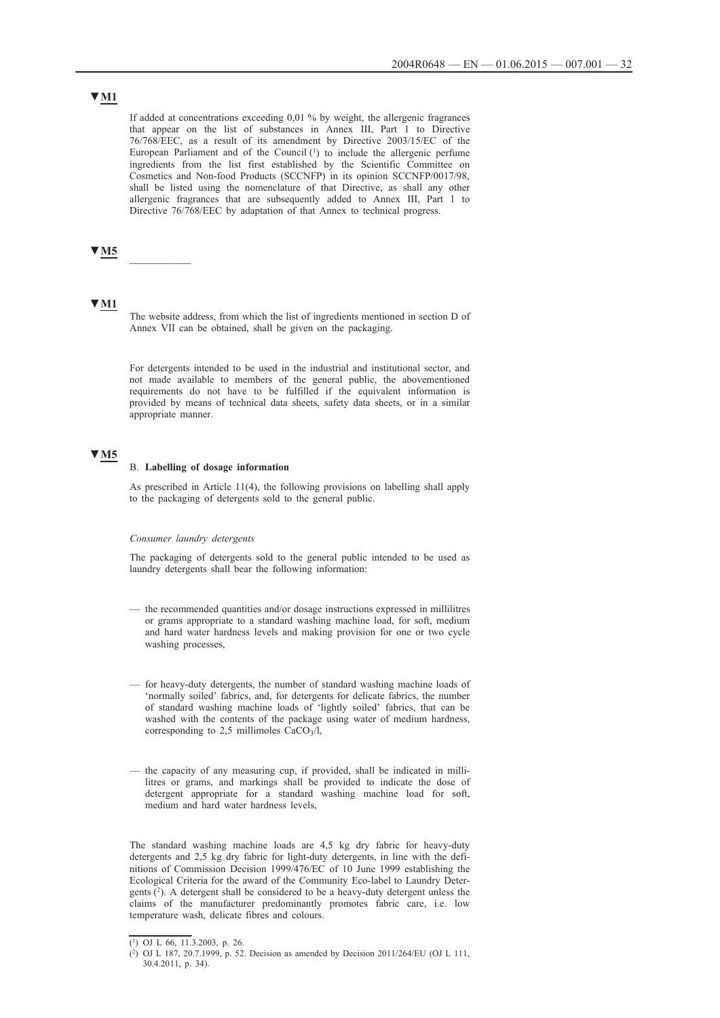# **▼M1**

If added at concentrations exceeding 0,01 % by weight, the allergenic fragrances that appear on the list of substances in Annex III, Part 1 to Directive 76/768/EEC, as a result of its amendment by Directive 2003/15/EC of the European Parliament and of the Council (1) to include the allergenic perfume ingredients from the list first established by the Scientific Committee on Cosmetics and Non-food Products (SCCNFP) in its opinion SCCNFP/0017/98, shall be listed using the nomenclature of that Directive, as shall any other allergenic fragrances that are subsequently added to Annex III, Part 1 to Directive 76/768/EEC by adaptation of that Annex to technical progress.

## **▼M5** \_\_\_\_\_\_\_\_\_\_

### **▼M1**

The website address, from which the list of ingredients mentioned in section D of Annex VII can be obtained, shall be given on the packaging.

For detergents intended to be used in the industrial and institutional sector, and not made available to members of the general public, the abovementioned requirements do not have to be fulfilled if the equivalent information is provided by means of technical data sheets, safety data sheets, or in a similar appropriate manner.

## **▼M5**

#### B. **Labelling of dosage information**

As prescribed in Article 11(4), the following provisions on labelling shall apply to the packaging of detergents sold to the general public.

#### *Consumer laundry detergents*

The packaging of detergents sold to the general public intended to be used as laundry detergents shall bear the following information:

- the recommended quantities and/or dosage instructions expressed in millilitres or grams appropriate to a standard washing machine load, for soft, medium and hard water hardness levels and making provision for one or two cycle washing processes,
- for heavy-duty detergents, the number of standard washing machine loads of 'normally soiled' fabrics, and, for detergents for delicate fabrics, the number of standard washing machine loads of 'lightly soiled' fabrics, that can be washed with the contents of the package using water of medium hardness, corresponding to 2,5 millimoles  $CaCO<sub>3</sub>/l$ ,
- the capacity of any measuring cup, if provided, shall be indicated in millilitres or grams, and markings shall be provided to indicate the dose of detergent appropriate for a standard washing machine load for soft, medium and hard water hardness levels

The standard washing machine loads are 4,5 kg dry fabric for heavy-duty detergents and 2,5 kg dry fabric for light-duty detergents, in line with the definitions of Commission Decision 1999/476/EC of 10 June 1999 establishing the Ecological Criteria for the award of the Community Eco-label to Laundry Detergents (2). A detergent shall be considered to be a heavy-duty detergent unless the claims of the manufacturer predominantly promotes fabric care, i.e. low temperature wash, delicate fibres and colours.

<sup>(1)</sup> OJ L 66, 11.3.2003, p. 26.

<sup>(2)</sup> OJ L 187, 20.7.1999, p. 52. Decision as amended by Decision 2011/264/EU (OJ L 111, 30.4.2011, p. 34).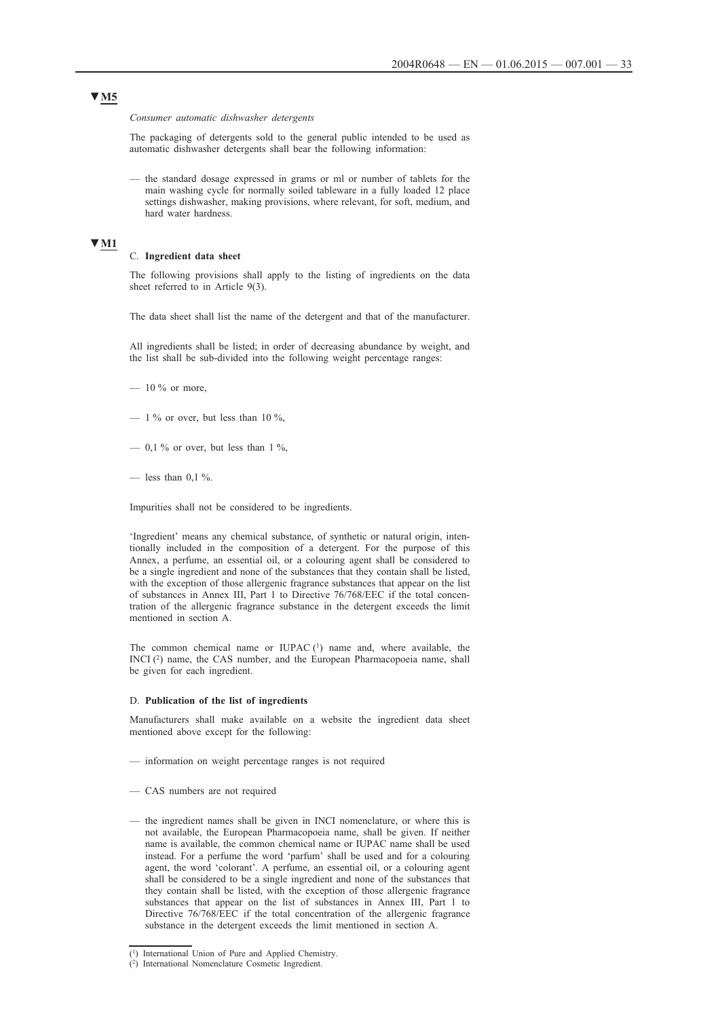*Consumer automatic dishwasher detergents*

The packaging of detergents sold to the general public intended to be used as automatic dishwasher detergents shall bear the following information:

— the standard dosage expressed in grams or ml or number of tablets for the main washing cycle for normally soiled tableware in a fully loaded 12 place settings dishwasher, making provisions, where relevant, for soft, medium, and hard water hardness.

### **▼M1**

#### C. **Ingredient data sheet**

The following provisions shall apply to the listing of ingredients on the data sheet referred to in Article 9(3).

The data sheet shall list the name of the detergent and that of the manufacturer.

All ingredients shall be listed; in order of decreasing abundance by weight, and the list shall be sub-divided into the following weight percentage ranges:

- $-10\%$  or more,
- $-1\%$  or over, but less than 10 %,
- $-$  0.1 % or over, but less than 1 %.
- less than  $0.1\%$ .

Impurities shall not be considered to be ingredients.

'Ingredient' means any chemical substance, of synthetic or natural origin, intentionally included in the composition of a detergent. For the purpose of this Annex, a perfume, an essential oil, or a colouring agent shall be considered to be a single ingredient and none of the substances that they contain shall be listed, with the exception of those allergenic fragrance substances that appear on the list of substances in Annex III, Part 1 to Directive 76/768/EEC if the total concentration of the allergenic fragrance substance in the detergent exceeds the limit mentioned in section A.

The common chemical name or IUPAC $(1)$  name and, where available, the INCI (2) name, the CAS number, and the European Pharmacopoeia name, shall be given for each ingredient.

#### D. **Publication of the list of ingredients**

Manufacturers shall make available on a website the ingredient data sheet mentioned above except for the following:

- information on weight percentage ranges is not required
- CAS numbers are not required
- the ingredient names shall be given in INCI nomenclature, or where this is not available, the European Pharmacopoeia name, shall be given. If neither name is available, the common chemical name or IUPAC name shall be used instead. For a perfume the word 'parfum' shall be used and for a colouring agent, the word 'colorant'. A perfume, an essential oil, or a colouring agent shall be considered to be a single ingredient and none of the substances that they contain shall be listed, with the exception of those allergenic fragrance substances that appear on the list of substances in Annex III, Part 1 to Directive 76/768/EEC if the total concentration of the allergenic fragrance substance in the detergent exceeds the limit mentioned in section A.

<sup>(1)</sup> International Union of Pure and Applied Chemistry.

<sup>(2)</sup> International Nomenclature Cosmetic Ingredient.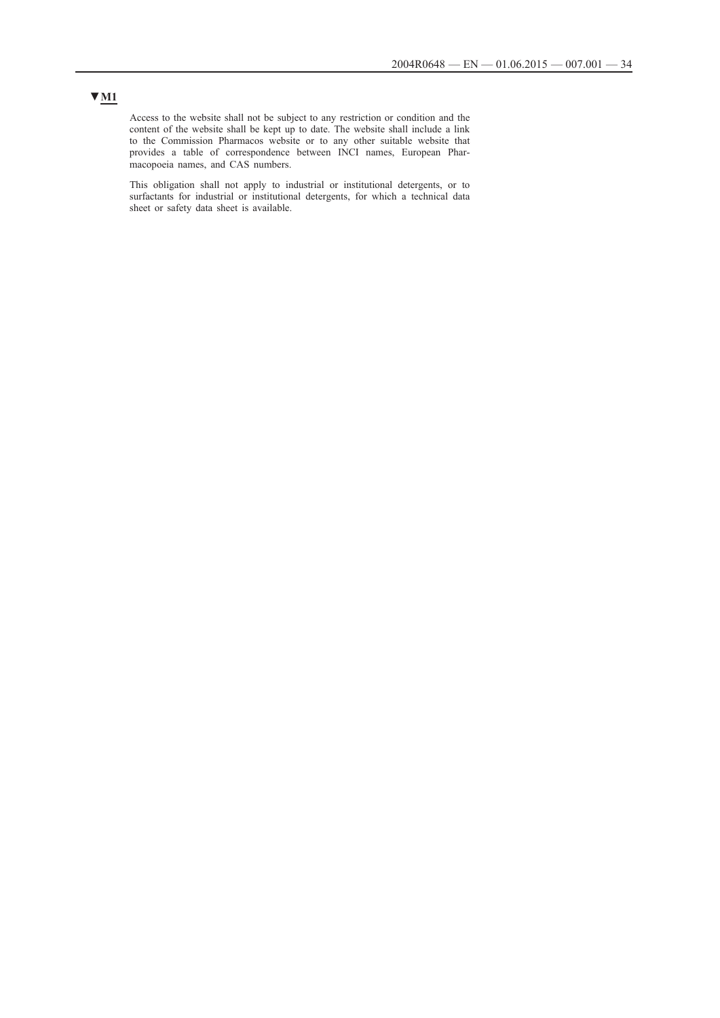## **▼M1**

Access to the website shall not be subject to any restriction or condition and the content of the website shall be kept up to date. The website shall include a link to the Commission Pharmacos website or to any other suitable website that provides a table of correspondence between INCI names, European Pharmacopoeia names, and CAS numbers.

This obligation shall not apply to industrial or institutional detergents, or to surfactants for industrial or institutional detergents, for which a technical data sheet or safety data sheet is available.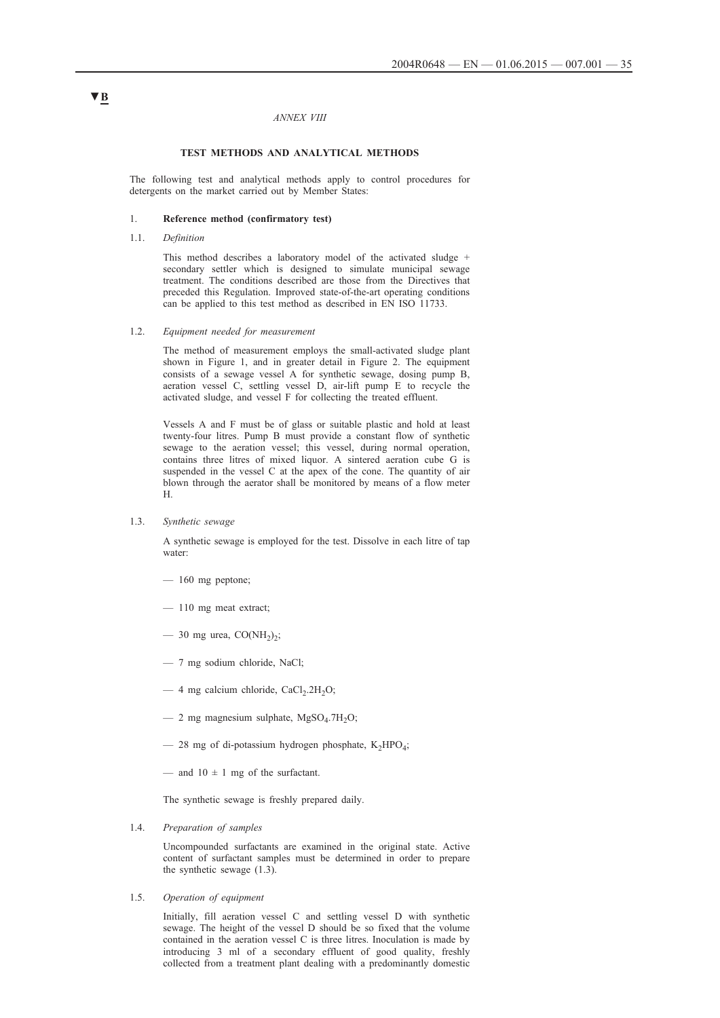#### *ANNEX VIII*

#### **TEST METHODS AND ANALYTICAL METHODS**

The following test and analytical methods apply to control procedures for detergents on the market carried out by Member States:

### 1. **Reference method (confirmatory test)**

### 1.1. *Definition*

This method describes a laboratory model of the activated sludge + secondary settler which is designed to simulate municipal sewage treatment. The conditions described are those from the Directives that preceded this Regulation. Improved state-of-the-art operating conditions can be applied to this test method as described in EN ISO 11733.

#### 1.2. *Equipment needed for measurement*

The method of measurement employs the small-activated sludge plant shown in Figure 1, and in greater detail in Figure 2. The equipment consists of a sewage vessel A for synthetic sewage, dosing pump B, aeration vessel C, settling vessel D, air-lift pump E to recycle the activated sludge, and vessel F for collecting the treated effluent.

Vessels A and F must be of glass or suitable plastic and hold at least twenty-four litres. Pump B must provide a constant flow of synthetic sewage to the aeration vessel; this vessel, during normal operation, contains three litres of mixed liquor. A sintered aeration cube G is suspended in the vessel C at the apex of the cone. The quantity of air blown through the aerator shall be monitored by means of a flow meter H.

1.3. *Synthetic sewage*

A synthetic sewage is employed for the test. Dissolve in each litre of tap water:

- 160 mg peptone;
- 110 mg meat extract;
- 30 mg urea,  $CO(NH<sub>2</sub>)<sub>2</sub>$ ;
- 7 mg sodium chloride, NaCl;
- $-$  4 mg calcium chloride, CaCl<sub>2</sub>.2H<sub>2</sub>O;
- $-$  2 mg magnesium sulphate, MgSO<sub>4</sub>.7H<sub>2</sub>O;
- $-$  28 mg of di-potassium hydrogen phosphate, K<sub>2</sub>HPO<sub>4</sub>;
- and  $10 \pm 1$  mg of the surfactant.

The synthetic sewage is freshly prepared daily.

1.4. *Preparation of samples*

Uncompounded surfactants are examined in the original state. Active content of surfactant samples must be determined in order to prepare the synthetic sewage (1.3).

1.5. *Operation of equipment*

Initially, fill aeration vessel C and settling vessel D with synthetic sewage. The height of the vessel D should be so fixed that the volume contained in the aeration vessel C is three litres. Inoculation is made by introducing 3 ml of a secondary effluent of good quality, freshly collected from a treatment plant dealing with a predominantly domestic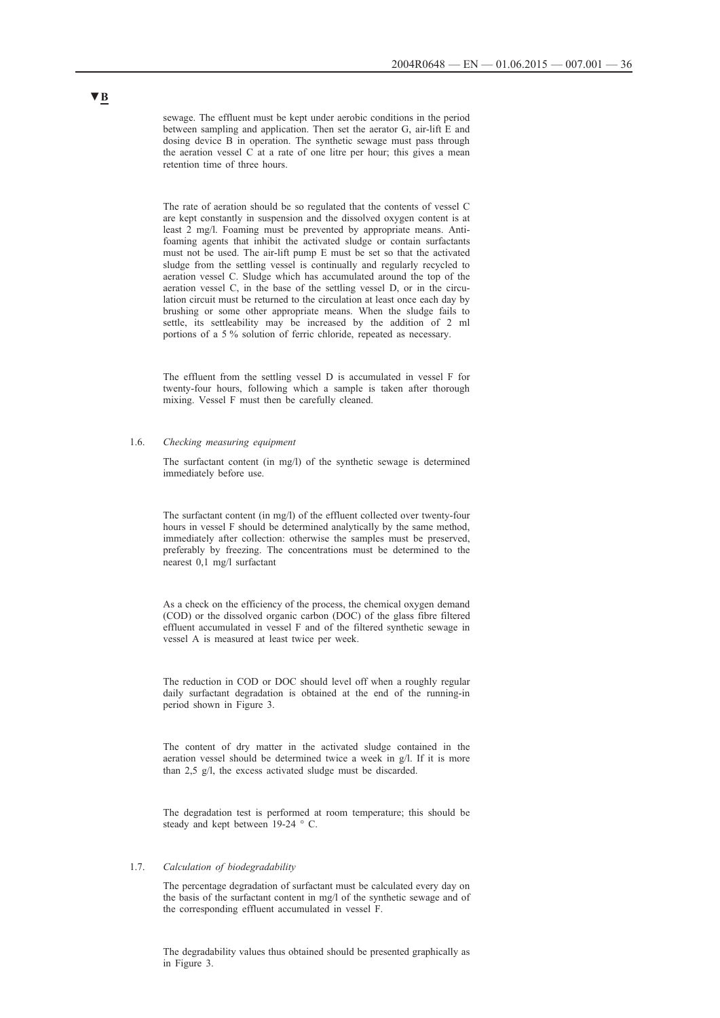sewage. The effluent must be kept under aerobic conditions in the period between sampling and application. Then set the aerator G, air-lift E and dosing device B in operation. The synthetic sewage must pass through the aeration vessel C at a rate of one litre per hour; this gives a mean retention time of three hours.

The rate of aeration should be so regulated that the contents of vessel C are kept constantly in suspension and the dissolved oxygen content is at least 2 mg/l. Foaming must be prevented by appropriate means. Antifoaming agents that inhibit the activated sludge or contain surfactants must not be used. The air-lift pump E must be set so that the activated sludge from the settling vessel is continually and regularly recycled to aeration vessel C. Sludge which has accumulated around the top of the aeration vessel C, in the base of the settling vessel D, or in the circulation circuit must be returned to the circulation at least once each day by brushing or some other appropriate means. When the sludge fails to settle, its settleability may be increased by the addition of 2 ml portions of a 5 % solution of ferric chloride, repeated as necessary.

The effluent from the settling vessel D is accumulated in vessel F for twenty-four hours, following which a sample is taken after thorough mixing. Vessel F must then be carefully cleaned.

### 1.6. *Checking measuring equipment*

The surfactant content (in mg/l) of the synthetic sewage is determined immediately before use.

The surfactant content (in mg/l) of the effluent collected over twenty-four hours in vessel F should be determined analytically by the same method, immediately after collection: otherwise the samples must be preserved, preferably by freezing. The concentrations must be determined to the nearest 0,1 mg/l surfactant

As a check on the efficiency of the process, the chemical oxygen demand (COD) or the dissolved organic carbon (DOC) of the glass fibre filtered effluent accumulated in vessel F and of the filtered synthetic sewage in vessel A is measured at least twice per week.

The reduction in COD or DOC should level off when a roughly regular daily surfactant degradation is obtained at the end of the running-in period shown in Figure 3.

The content of dry matter in the activated sludge contained in the aeration vessel should be determined twice a week in g/l. If it is more than 2,5 g/l, the excess activated sludge must be discarded.

The degradation test is performed at room temperature; this should be steady and kept between 19-24 ° C.

### 1.7. *Calculation of biodegradability*

The percentage degradation of surfactant must be calculated every day on the basis of the surfactant content in mg/l of the synthetic sewage and of the corresponding effluent accumulated in vessel F.

The degradability values thus obtained should be presented graphically as in Figure 3.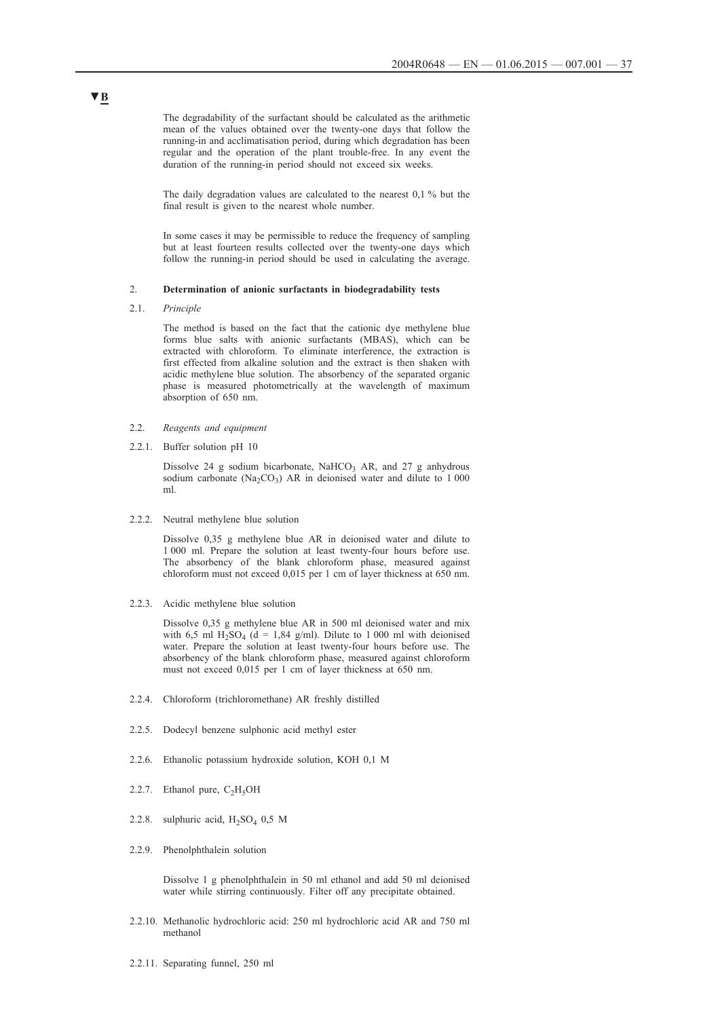The degradability of the surfactant should be calculated as the arithmetic mean of the values obtained over the twenty-one days that follow the running-in and acclimatisation period, during which degradation has been regular and the operation of the plant trouble-free. In any event the duration of the running-in period should not exceed six weeks.

The daily degradation values are calculated to the nearest 0,1 % but the final result is given to the nearest whole number.

In some cases it may be permissible to reduce the frequency of sampling but at least fourteen results collected over the twenty-one days which follow the running-in period should be used in calculating the average.

### 2. **Determination of anionic surfactants in biodegradability tests**

2.1. *Principle*

The method is based on the fact that the cationic dye methylene blue forms blue salts with anionic surfactants (MBAS), which can be extracted with chloroform. To eliminate interference, the extraction is first effected from alkaline solution and the extract is then shaken with acidic methylene blue solution. The absorbency of the separated organic phase is measured photometrically at the wavelength of maximum absorption of 650 nm.

- 2.2. *Reagents and equipment*
- 2.2.1. Buffer solution pH 10

Dissolve 24 g sodium bicarbonate, NaHCO<sub>3</sub> AR, and 27 g anhydrous sodium carbonate (Na<sub>2</sub>CO<sub>3</sub>) AR in deionised water and dilute to 1 000 ml.

2.2.2. Neutral methylene blue solution

Dissolve 0,35 g methylene blue AR in deionised water and dilute to 1 000 ml. Prepare the solution at least twenty-four hours before use. The absorbency of the blank chloroform phase, measured against chloroform must not exceed 0,015 per 1 cm of layer thickness at 650 nm.

2.2.3. Acidic methylene blue solution

Dissolve 0,35 g methylene blue AR in 500 ml deionised water and mix with 6,5 ml H<sub>2</sub>SO<sub>4</sub> (d = 1,84 g/ml). Dilute to 1 000 ml with deionised water. Prepare the solution at least twenty-four hours before use. The absorbency of the blank chloroform phase, measured against chloroform must not exceed 0,015 per 1 cm of layer thickness at 650 nm.

- 2.2.4. Chloroform (trichloromethane) AR freshly distilled
- 2.2.5. Dodecyl benzene sulphonic acid methyl ester
- 2.2.6. Ethanolic potassium hydroxide solution, KOH 0,1 M
- 2.2.7. Ethanol pure,  $C_2H_5OH$
- 2.2.8. sulphuric acid,  $H_2SO_4$  0,5 M
- 2.2.9. Phenolphthalein solution

Dissolve 1 g phenolphthalein in 50 ml ethanol and add 50 ml deionised water while stirring continuously. Filter off any precipitate obtained.

- 2.2.10. Methanolic hydrochloric acid: 250 ml hydrochloric acid AR and 750 ml methanol
- 2.2.11. Separating funnel, 250 ml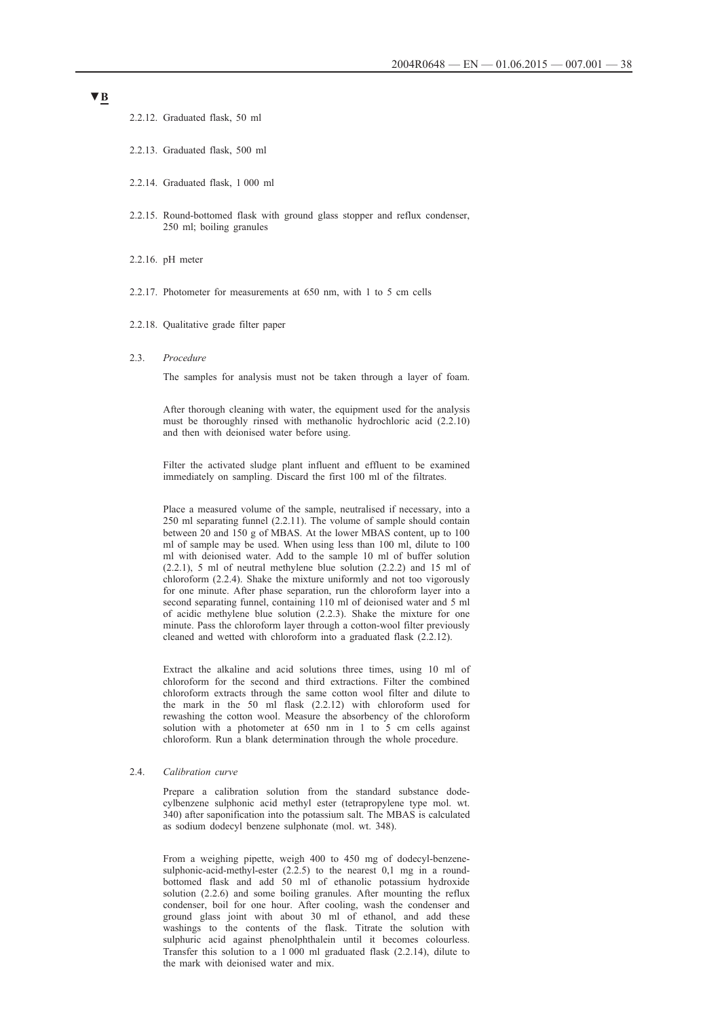2.2.12. Graduated flask, 50 ml

- 2.2.13. Graduated flask, 500 ml
- 2.2.14. Graduated flask, 1 000 ml
- 2.2.15. Round-bottomed flask with ground glass stopper and reflux condenser, 250 ml; boiling granules
- 2.2.16. pH meter
- 2.2.17. Photometer for measurements at 650 nm, with 1 to 5 cm cells
- 2.2.18. Qualitative grade filter paper
- 2.3. *Procedure*

The samples for analysis must not be taken through a layer of foam.

After thorough cleaning with water, the equipment used for the analysis must be thoroughly rinsed with methanolic hydrochloric acid (2.2.10) and then with deionised water before using.

Filter the activated sludge plant influent and effluent to be examined immediately on sampling. Discard the first 100 ml of the filtrates.

Place a measured volume of the sample, neutralised if necessary, into a 250 ml separating funnel (2.2.11). The volume of sample should contain between 20 and 150 g of MBAS. At the lower MBAS content, up to 100 ml of sample may be used. When using less than 100 ml, dilute to 100 ml with deionised water. Add to the sample 10 ml of buffer solution (2.2.1), 5 ml of neutral methylene blue solution (2.2.2) and 15 ml of chloroform (2.2.4). Shake the mixture uniformly and not too vigorously for one minute. After phase separation, run the chloroform layer into a second separating funnel, containing 110 ml of deionised water and 5 ml of acidic methylene blue solution (2.2.3). Shake the mixture for one minute. Pass the chloroform layer through a cotton-wool filter previously cleaned and wetted with chloroform into a graduated flask (2.2.12).

Extract the alkaline and acid solutions three times, using 10 ml of chloroform for the second and third extractions. Filter the combined chloroform extracts through the same cotton wool filter and dilute to the mark in the 50 ml flask (2.2.12) with chloroform used for rewashing the cotton wool. Measure the absorbency of the chloroform solution with a photometer at 650 nm in 1 to 5 cm cells against chloroform. Run a blank determination through the whole procedure.

### 2.4. *Calibration curve*

Prepare a calibration solution from the standard substance dodecylbenzene sulphonic acid methyl ester (tetrapropylene type mol. wt. 340) after saponification into the potassium salt. The MBAS is calculated as sodium dodecyl benzene sulphonate (mol. wt. 348).

From a weighing pipette, weigh 400 to 450 mg of dodecyl-benzenesulphonic-acid-methyl-ester (2.2.5) to the nearest 0,1 mg in a roundbottomed flask and add 50 ml of ethanolic potassium hydroxide solution (2.2.6) and some boiling granules. After mounting the reflux condenser, boil for one hour. After cooling, wash the condenser and ground glass joint with about 30 ml of ethanol, and add these washings to the contents of the flask. Titrate the solution with sulphuric acid against phenolphthalein until it becomes colourless. Transfer this solution to a 1 000 ml graduated flask (2.2.14), dilute to the mark with deionised water and mix.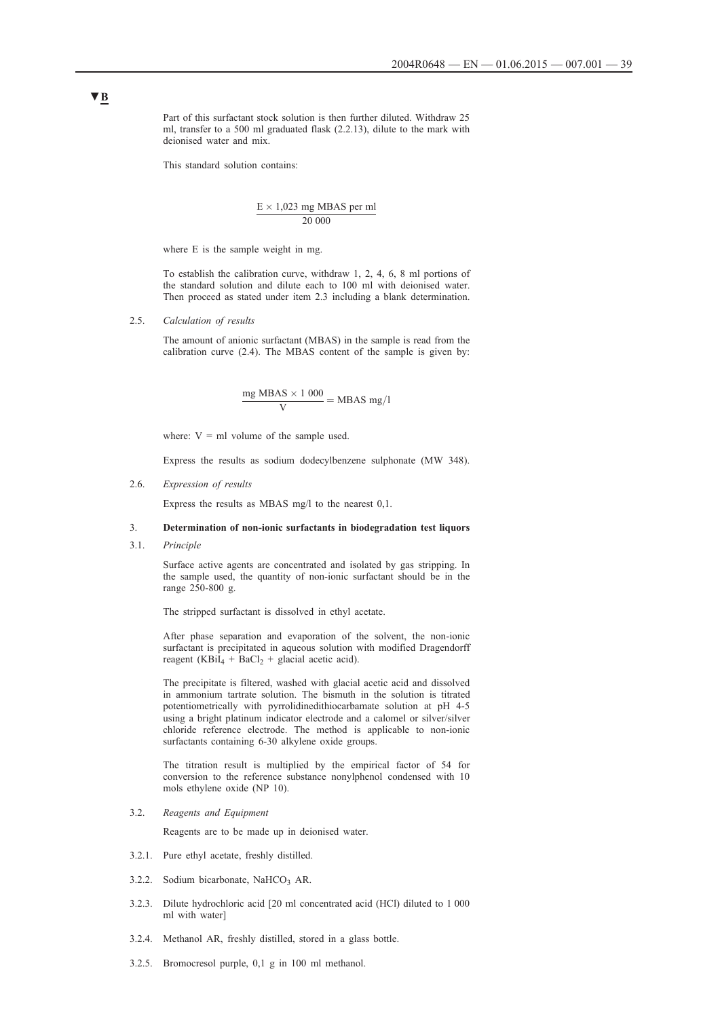Part of this surfactant stock solution is then further diluted. Withdraw 25 ml, transfer to a 500 ml graduated flask (2.2.13), dilute to the mark with deionised water and mix.

This standard solution contains:

$$
\frac{E \times 1,023 \text{ mg MBAS per ml}}{20\ 000}
$$

where E is the sample weight in mg.

To establish the calibration curve, withdraw 1, 2, 4, 6, 8 ml portions of the standard solution and dilute each to 100 ml with deionised water. Then proceed as stated under item 2.3 including a blank determination.

2.5. *Calculation of results*

The amount of anionic surfactant (MBAS) in the sample is read from the calibration curve (2.4). The MBAS content of the sample is given by:

$$
\frac{mg \text{ MBAS} \times 1000}{V} = \text{MBAS mg/l}
$$

where:  $V = ml$  volume of the sample used.

Express the results as sodium dodecylbenzene sulphonate (MW 348).

2.6. *Expression of results*

Express the results as MBAS mg/l to the nearest 0,1.

### 3. **Determination of non-ionic surfactants in biodegradation test liquors**

3.1. *Principle*

Surface active agents are concentrated and isolated by gas stripping. In the sample used, the quantity of non-ionic surfactant should be in the range 250-800 g.

The stripped surfactant is dissolved in ethyl acetate.

After phase separation and evaporation of the solvent, the non-ionic surfactant is precipitated in aqueous solution with modified Dragendorff reagent (KBiI<sub>4</sub> + BaCl<sub>2</sub> + glacial acetic acid).

The precipitate is filtered, washed with glacial acetic acid and dissolved in ammonium tartrate solution. The bismuth in the solution is titrated potentiometrically with pyrrolidinedithiocarbamate solution at pH 4-5 using a bright platinum indicator electrode and a calomel or silver/silver chloride reference electrode. The method is applicable to non-ionic surfactants containing 6-30 alkylene oxide groups.

The titration result is multiplied by the empirical factor of 54 for conversion to the reference substance nonylphenol condensed with 10 mols ethylene oxide (NP 10).

3.2. *Reagents and Equipment*

Reagents are to be made up in deionised water.

- 3.2.1. Pure ethyl acetate, freshly distilled.
- 3.2.2. Sodium bicarbonate, NaHCO<sub>3</sub> AR.
- 3.2.3. Dilute hydrochloric acid [20 ml concentrated acid (HCl) diluted to 1 000 ml with water]
- 3.2.4. Methanol AR, freshly distilled, stored in a glass bottle.
- 3.2.5. Bromocresol purple, 0,1 g in 100 ml methanol.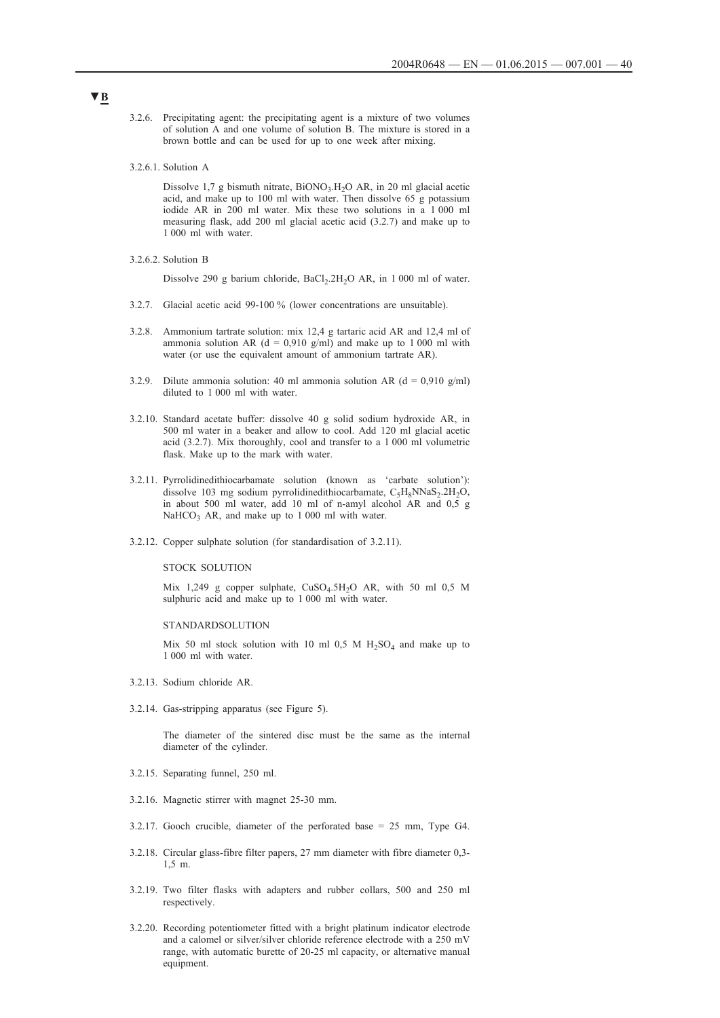- 3.2.6. Precipitating agent: the precipitating agent is a mixture of two volumes of solution A and one volume of solution B. The mixture is stored in a brown bottle and can be used for up to one week after mixing.
- 3.2.6.1. Solution A

Dissolve 1,7 g bismuth nitrate,  $BiONO<sub>3</sub>$ . H<sub>2</sub>O AR, in 20 ml glacial acetic acid, and make up to 100 ml with water. Then dissolve 65 g potassium iodide AR in 200 ml water. Mix these two solutions in a 1 000 ml measuring flask, add 200 ml glacial acetic acid (3.2.7) and make up to 1 000 ml with water.

3.2.6.2. Solution B

Dissolve 290 g barium chloride, BaCl<sub>2</sub>.2H<sub>2</sub>O AR, in 1 000 ml of water.

- 3.2.7. Glacial acetic acid 99-100 % (lower concentrations are unsuitable).
- 3.2.8. Ammonium tartrate solution: mix 12,4 g tartaric acid AR and 12,4 ml of ammonia solution AR (d = 0.910 g/ml) and make up to 1 000 ml with water (or use the equivalent amount of ammonium tartrate AR).
- 3.2.9. Dilute ammonia solution: 40 ml ammonia solution AR ( $d = 0.910$  g/ml) diluted to 1 000 ml with water.
- 3.2.10. Standard acetate buffer: dissolve 40 g solid sodium hydroxide AR, in 500 ml water in a beaker and allow to cool. Add 120 ml glacial acetic acid (3.2.7). Mix thoroughly, cool and transfer to a 1 000 ml volumetric flask. Make up to the mark with water.
- 3.2.11. Pyrrolidinedithiocarbamate solution (known as 'carbate solution'): dissolve 103 mg sodium pyrrolidinedithiocarbamate,  $C_5H_8NNaS_2.2H_2O$ , in about 500 ml water, add 10 ml of n-amyl alcohol AR and 0,5 g  $NaHCO<sub>3</sub>$  AR, and make up to 1 000 ml with water.
- 3.2.12. Copper sulphate solution (for standardisation of 3.2.11).

#### STOCK SOLUTION

Mix 1,249 g copper sulphate,  $CuSO<sub>4</sub>.5H<sub>2</sub>O$  AR, with 50 ml 0,5 M sulphuric acid and make up to 1 000 ml with water.

#### **STANDARDSOLUTION**

Mix 50 ml stock solution with 10 ml 0,5 M  $H_2SO_4$  and make up to 1 000 ml with water.

- 3.2.13. Sodium chloride AR.
- 3.2.14. Gas-stripping apparatus (see Figure 5).

The diameter of the sintered disc must be the same as the internal diameter of the cylinder.

- 3.2.15. Separating funnel, 250 ml.
- 3.2.16. Magnetic stirrer with magnet 25-30 mm.
- 3.2.17. Gooch crucible, diameter of the perforated base = 25 mm, Type G4.
- 3.2.18. Circular glass-fibre filter papers, 27 mm diameter with fibre diameter 0,3- 1,5 m.
- 3.2.19. Two filter flasks with adapters and rubber collars, 500 and 250 ml respectively.
- 3.2.20. Recording potentiometer fitted with a bright platinum indicator electrode and a calomel or silver/silver chloride reference electrode with a 250 mV range, with automatic burette of 20-25 ml capacity, or alternative manual equipment.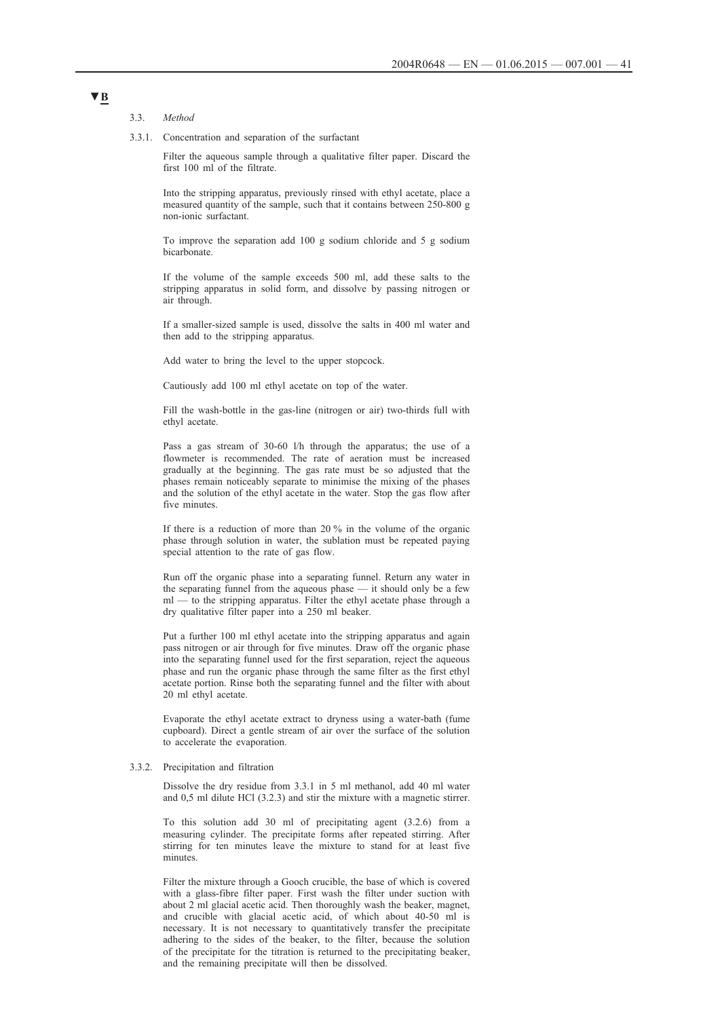#### 3.3. *Method*

3.3.1. Concentration and separation of the surfactant

Filter the aqueous sample through a qualitative filter paper. Discard the first 100 ml of the filtrate.

Into the stripping apparatus, previously rinsed with ethyl acetate, place a measured quantity of the sample, such that it contains between 250-800 g non-ionic surfactant.

To improve the separation add 100 g sodium chloride and 5 g sodium bicarbonate.

If the volume of the sample exceeds 500 ml, add these salts to the stripping apparatus in solid form, and dissolve by passing nitrogen or air through.

If a smaller-sized sample is used, dissolve the salts in 400 ml water and then add to the stripping apparatus.

Add water to bring the level to the upper stopcock.

Cautiously add 100 ml ethyl acetate on top of the water.

Fill the wash-bottle in the gas-line (nitrogen or air) two-thirds full with ethyl acetate.

Pass a gas stream of 30-60 l/h through the apparatus; the use of a flowmeter is recommended. The rate of aeration must be increased gradually at the beginning. The gas rate must be so adjusted that the phases remain noticeably separate to minimise the mixing of the phases and the solution of the ethyl acetate in the water. Stop the gas flow after five minutes.

If there is a reduction of more than 20 % in the volume of the organic phase through solution in water, the sublation must be repeated paying special attention to the rate of gas flow.

Run off the organic phase into a separating funnel. Return any water in the separating funnel from the aqueous phase — it should only be a few ml — to the stripping apparatus. Filter the ethyl acetate phase through a dry qualitative filter paper into a 250 ml beaker.

Put a further 100 ml ethyl acetate into the stripping apparatus and again pass nitrogen or air through for five minutes. Draw off the organic phase into the separating funnel used for the first separation, reject the aqueous phase and run the organic phase through the same filter as the first ethyl acetate portion. Rinse both the separating funnel and the filter with about 20 ml ethyl acetate.

Evaporate the ethyl acetate extract to dryness using a water-bath (fume cupboard). Direct a gentle stream of air over the surface of the solution to accelerate the evaporation.

#### 3.3.2. Precipitation and filtration

Dissolve the dry residue from 3.3.1 in 5 ml methanol, add 40 ml water and 0,5 ml dilute HCl (3.2.3) and stir the mixture with a magnetic stirrer.

To this solution add 30 ml of precipitating agent (3.2.6) from a measuring cylinder. The precipitate forms after repeated stirring. After stirring for ten minutes leave the mixture to stand for at least five minutes.

Filter the mixture through a Gooch crucible, the base of which is covered with a glass-fibre filter paper. First wash the filter under suction with about 2 ml glacial acetic acid. Then thoroughly wash the beaker, magnet, and crucible with glacial acetic acid, of which about 40-50 ml is necessary. It is not necessary to quantitatively transfer the precipitate adhering to the sides of the beaker, to the filter, because the solution of the precipitate for the titration is returned to the precipitating beaker, and the remaining precipitate will then be dissolved.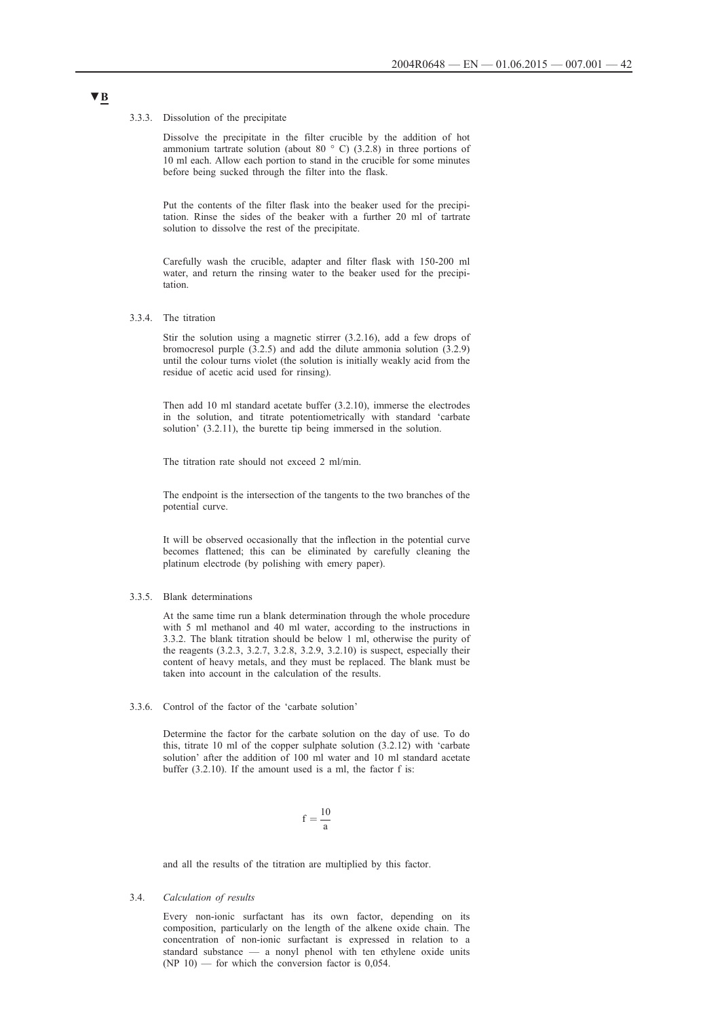#### 3.3.3. Dissolution of the precipitate

Dissolve the precipitate in the filter crucible by the addition of hot ammonium tartrate solution (about 80  $\degree$  C) (3.2.8) in three portions of 10 ml each. Allow each portion to stand in the crucible for some minutes before being sucked through the filter into the flask.

Put the contents of the filter flask into the beaker used for the precipitation. Rinse the sides of the beaker with a further 20 ml of tartrate solution to dissolve the rest of the precipitate.

Carefully wash the crucible, adapter and filter flask with 150-200 ml water, and return the rinsing water to the beaker used for the precipitation.

3.3.4. The titration

Stir the solution using a magnetic stirrer (3.2.16), add a few drops of bromocresol purple  $(3.2.5)$  and add the dilute ammonia solution  $(3.2.9)$ until the colour turns violet (the solution is initially weakly acid from the residue of acetic acid used for rinsing).

Then add 10 ml standard acetate buffer (3.2.10), immerse the electrodes in the solution, and titrate potentiometrically with standard 'carbate solution' (3.2.11), the burette tip being immersed in the solution.

The titration rate should not exceed 2 ml/min.

The endpoint is the intersection of the tangents to the two branches of the potential curve.

It will be observed occasionally that the inflection in the potential curve becomes flattened; this can be eliminated by carefully cleaning the platinum electrode (by polishing with emery paper).

#### 3.3.5. Blank determinations

At the same time run a blank determination through the whole procedure with 5 ml methanol and 40 ml water, according to the instructions in 3.3.2. The blank titration should be below 1 ml, otherwise the purity of the reagents (3.2.3, 3.2.7, 3.2.8, 3.2.9, 3.2.10) is suspect, especially their content of heavy metals, and they must be replaced. The blank must be taken into account in the calculation of the results.

### 3.3.6. Control of the factor of the 'carbate solution'

Determine the factor for the carbate solution on the day of use. To do this, titrate 10 ml of the copper sulphate solution (3.2.12) with 'carbate solution' after the addition of 100 ml water and 10 ml standard acetate buffer (3.2.10). If the amount used is a ml, the factor f is:

$$
f=\frac{10}{a}\,
$$

and all the results of the titration are multiplied by this factor.

#### 3.4. *Calculation of results*

Every non-ionic surfactant has its own factor, depending on its composition, particularly on the length of the alkene oxide chain. The concentration of non-ionic surfactant is expressed in relation to a standard substance — a nonyl phenol with ten ethylene oxide units  $(NP 10)$  — for which the conversion factor is 0,054.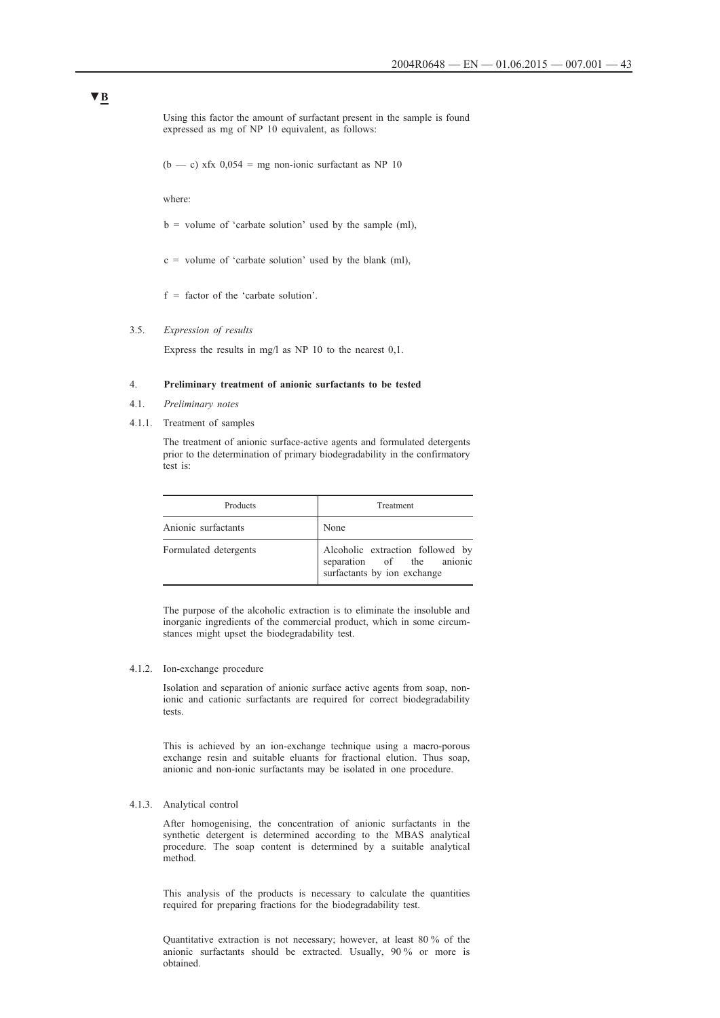Using this factor the amount of surfactant present in the sample is found expressed as mg of NP 10 equivalent, as follows:

(b — c) xfx  $0,054$  = mg non-ionic surfactant as NP 10

where:

- $b =$  volume of 'carbate solution' used by the sample (ml),
- $c =$  volume of 'carbate solution' used by the blank (ml),
- $f =$  factor of the 'carbate solution'.

### 3.5. *Expression of results*

Express the results in mg/l as NP 10 to the nearest 0,1.

### 4. **Preliminary treatment of anionic surfactants to be tested**

- 4.1. *Preliminary notes*
- 4.1.1. Treatment of samples

The treatment of anionic surface-active agents and formulated detergents prior to the determination of primary biodegradability in the confirmatory test is:

| Products              | Treatment                                                                                    |
|-----------------------|----------------------------------------------------------------------------------------------|
| Anionic surfactants   | None                                                                                         |
| Formulated detergents | Alcoholic extraction followed by<br>separation of the anionic<br>surfactants by ion exchange |

The purpose of the alcoholic extraction is to eliminate the insoluble and inorganic ingredients of the commercial product, which in some circumstances might upset the biodegradability test.

### 4.1.2. Ion-exchange procedure

Isolation and separation of anionic surface active agents from soap, nonionic and cationic surfactants are required for correct biodegradability tests.

This is achieved by an ion-exchange technique using a macro-porous exchange resin and suitable eluants for fractional elution. Thus soap, anionic and non-ionic surfactants may be isolated in one procedure.

#### 4.1.3. Analytical control

After homogenising, the concentration of anionic surfactants in the synthetic detergent is determined according to the MBAS analytical procedure. The soap content is determined by a suitable analytical method.

This analysis of the products is necessary to calculate the quantities required for preparing fractions for the biodegradability test.

Quantitative extraction is not necessary; however, at least 80 % of the anionic surfactants should be extracted. Usually, 90 % or more is obtained.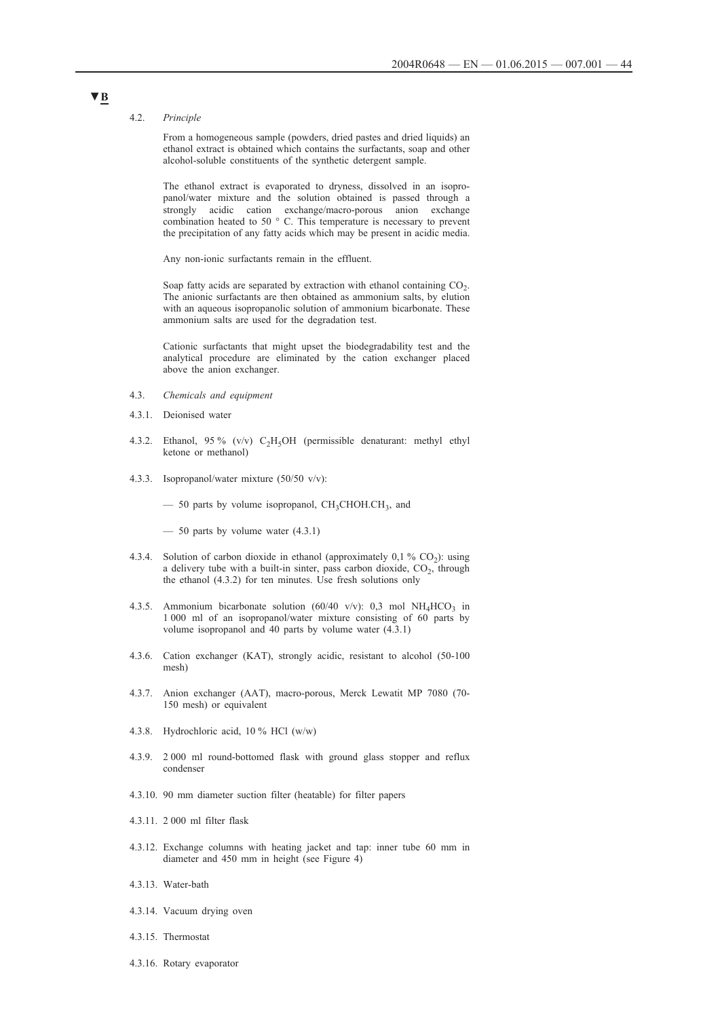#### 4.2. *Principle*

From a homogeneous sample (powders, dried pastes and dried liquids) an ethanol extract is obtained which contains the surfactants, soap and other alcohol-soluble constituents of the synthetic detergent sample.

The ethanol extract is evaporated to dryness, dissolved in an isopropanol/water mixture and the solution obtained is passed through a strongly acidic cation exchange/macro-porous anion exchange combination heated to 50 ° C. This temperature is necessary to prevent the precipitation of any fatty acids which may be present in acidic media.

Any non-ionic surfactants remain in the effluent.

Soap fatty acids are separated by extraction with ethanol containing  $CO<sub>2</sub>$ . The anionic surfactants are then obtained as ammonium salts, by elution with an aqueous isopropanolic solution of ammonium bicarbonate. These ammonium salts are used for the degradation test.

Cationic surfactants that might upset the biodegradability test and the analytical procedure are eliminated by the cation exchanger placed above the anion exchanger.

- 4.3. *Chemicals and equipment*
- 4.3.1. Deionised water
- 4.3.2. Ethanol, 95 % (v/v)  $C_2H_5OH$  (permissible denaturant: methyl ethyl ketone or methanol)
- 4.3.3. Isopropanol/water mixture (50/50 v/v):

 $-$  50 parts by volume isopropanol, CH<sub>3</sub>CHOH.CH<sub>3</sub>, and

 $-$  50 parts by volume water  $(4.3.1)$ 

- 4.3.4. Solution of carbon dioxide in ethanol (approximately  $0,1\%$  CO<sub>2</sub>): using a delivery tube with a built-in sinter, pass carbon dioxide,  $CO<sub>2</sub>$ , through the ethanol (4.3.2) for ten minutes. Use fresh solutions only
- 4.3.5. Ammonium bicarbonate solution (60/40 v/v): 0,3 mol NH<sub>4</sub>HCO<sub>3</sub> in 1 000 ml of an isopropanol/water mixture consisting of 60 parts by volume isopropanol and 40 parts by volume water (4.3.1)
- 4.3.6. Cation exchanger (KAT), strongly acidic, resistant to alcohol (50-100 mesh)
- 4.3.7. Anion exchanger (AAT), macro-porous, Merck Lewatit MP 7080 (70- 150 mesh) or equivalent
- 4.3.8. Hydrochloric acid, 10 % HCl (w/w)
- 4.3.9. 2 000 ml round-bottomed flask with ground glass stopper and reflux condenser
- 4.3.10. 90 mm diameter suction filter (heatable) for filter papers
- 4.3.11. 2 000 ml filter flask
- 4.3.12. Exchange columns with heating jacket and tap: inner tube 60 mm in diameter and 450 mm in height (see Figure 4)
- 4.3.13. Water-bath
- 4.3.14. Vacuum drying oven
- 4.3.15. Thermostat
- 4.3.16. Rotary evaporator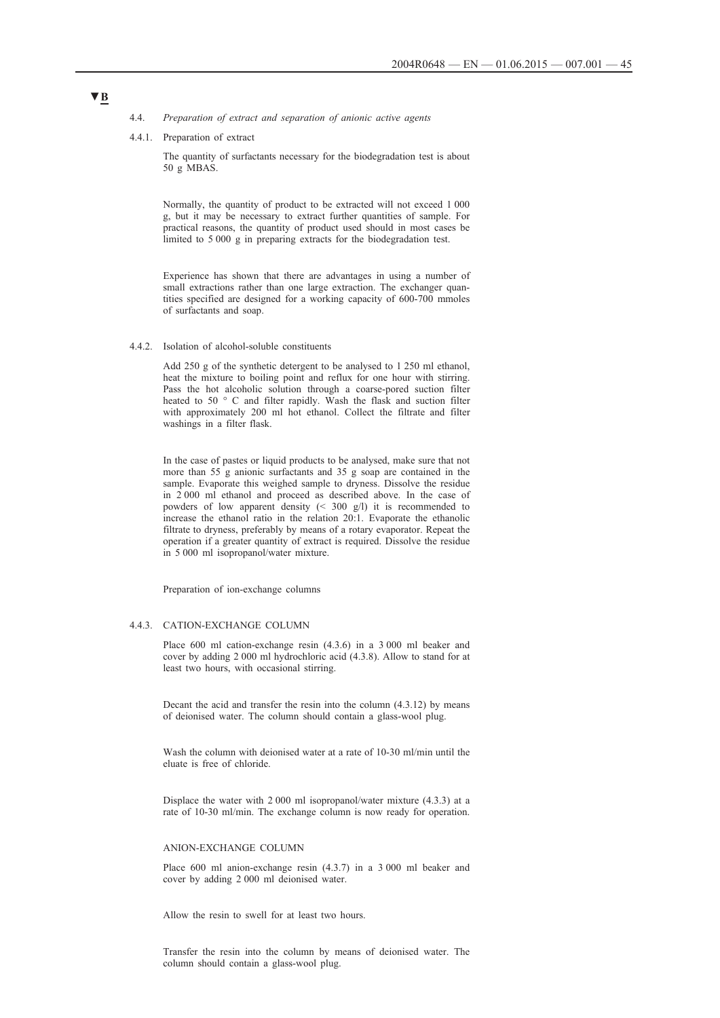- 4.4. *Preparation of extract and separation of anionic active agents*
- 4.4.1. Preparation of extract

The quantity of surfactants necessary for the biodegradation test is about 50 g MBAS.

Normally, the quantity of product to be extracted will not exceed 1 000 g, but it may be necessary to extract further quantities of sample. For practical reasons, the quantity of product used should in most cases be limited to 5 000 g in preparing extracts for the biodegradation test.

Experience has shown that there are advantages in using a number of small extractions rather than one large extraction. The exchanger quantities specified are designed for a working capacity of 600-700 mmoles of surfactants and soap.

4.4.2. Isolation of alcohol-soluble constituents

Add 250 g of the synthetic detergent to be analysed to 1 250 ml ethanol, heat the mixture to boiling point and reflux for one hour with stirring. Pass the hot alcoholic solution through a coarse-pored suction filter heated to 50 ° C and filter rapidly. Wash the flask and suction filter with approximately 200 ml hot ethanol. Collect the filtrate and filter washings in a filter flask.

In the case of pastes or liquid products to be analysed, make sure that not more than  $55<sup>o</sup>$  g anionic surfactants and  $35<sup>o</sup>$  g soap are contained in the sample. Evaporate this weighed sample to dryness. Dissolve the residue in 2 000 ml ethanol and proceed as described above. In the case of powders of low apparent density (< 300 g/l) it is recommended to increase the ethanol ratio in the relation 20:1. Evaporate the ethanolic filtrate to dryness, preferably by means of a rotary evaporator. Repeat the operation if a greater quantity of extract is required. Dissolve the residue in 5 000 ml isopropanol/water mixture.

Preparation of ion-exchange columns

### 4.4.3. CATION-EXCHANGE COLUMN

Place 600 ml cation-exchange resin (4.3.6) in a 3 000 ml beaker and cover by adding 2 000 ml hydrochloric acid (4.3.8). Allow to stand for at least two hours, with occasional stirring.

Decant the acid and transfer the resin into the column (4.3.12) by means of deionised water. The column should contain a glass-wool plug.

Wash the column with deionised water at a rate of 10-30 ml/min until the eluate is free of chloride.

Displace the water with 2 000 ml isopropanol/water mixture (4.3.3) at a rate of 10-30 ml/min. The exchange column is now ready for operation.

#### ANION-EXCHANGE COLUMN

Place 600 ml anion-exchange resin (4.3.7) in a 3 000 ml beaker and cover by adding 2 000 ml deionised water.

Allow the resin to swell for at least two hours.

Transfer the resin into the column by means of deionised water. The column should contain a glass-wool plug.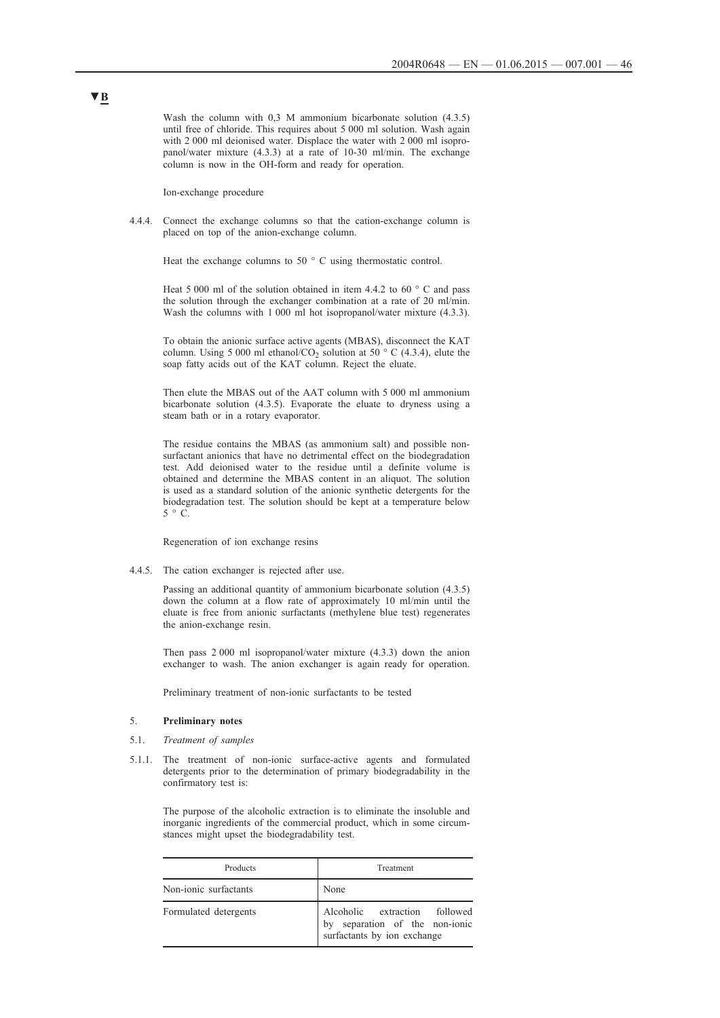Wash the column with 0,3 M ammonium bicarbonate solution  $(4.3.5)$ until free of chloride. This requires about 5 000 ml solution. Wash again with 2 000 ml deionised water. Displace the water with 2 000 ml isopropanol/water mixture (4.3.3) at a rate of 10-30 ml/min. The exchange column is now in the OH-form and ready for operation.

Ion-exchange procedure

4.4.4. Connect the exchange columns so that the cation-exchange column is placed on top of the anion-exchange column.

Heat the exchange columns to 50 $\degree$  C using thermostatic control.

Heat 5 000 ml of the solution obtained in item 4.4.2 to 60  $\degree$  C and pass the solution through the exchanger combination at a rate of 20 ml/min. Wash the columns with 1 000 ml hot isopropanol/water mixture  $(4.3.3)$ .

To obtain the anionic surface active agents (MBAS), disconnect the KAT column. Using 5 000 ml ethanol/CO<sub>2</sub> solution at 50  $\degree$  C (4.3.4), elute the soap fatty acids out of the KAT column. Reject the eluate.

Then elute the MBAS out of the AAT column with 5 000 ml ammonium bicarbonate solution (4.3.5). Evaporate the eluate to dryness using a steam bath or in a rotary evaporator.

The residue contains the MBAS (as ammonium salt) and possible nonsurfactant anionics that have no detrimental effect on the biodegradation test. Add deionised water to the residue until a definite volume is obtained and determine the MBAS content in an aliquot. The solution is used as a standard solution of the anionic synthetic detergents for the biodegradation test. The solution should be kept at a temperature below  $5 \circ C$ .

Regeneration of ion exchange resins

4.4.5. The cation exchanger is rejected after use.

Passing an additional quantity of ammonium bicarbonate solution (4.3.5) down the column at a flow rate of approximately 10 ml/min until the eluate is free from anionic surfactants (methylene blue test) regenerates the anion-exchange resin.

Then pass 2 000 ml isopropanol/water mixture (4.3.3) down the anion exchanger to wash. The anion exchanger is again ready for operation.

Preliminary treatment of non-ionic surfactants to be tested

#### 5. **Preliminary notes**

- 5.1. *Treatment of samples*
- 5.1.1. The treatment of non-ionic surface-active agents and formulated detergents prior to the determination of primary biodegradability in the confirmatory test is:

The purpose of the alcoholic extraction is to eliminate the insoluble and inorganic ingredients of the commercial product, which in some circumstances might upset the biodegradability test.

| Products              | Treatment                                                                                      |  |
|-----------------------|------------------------------------------------------------------------------------------------|--|
| Non-ionic surfactants | None                                                                                           |  |
| Formulated detergents | Alcoholic extraction followed<br>by separation of the non-ionic<br>surfactants by ion exchange |  |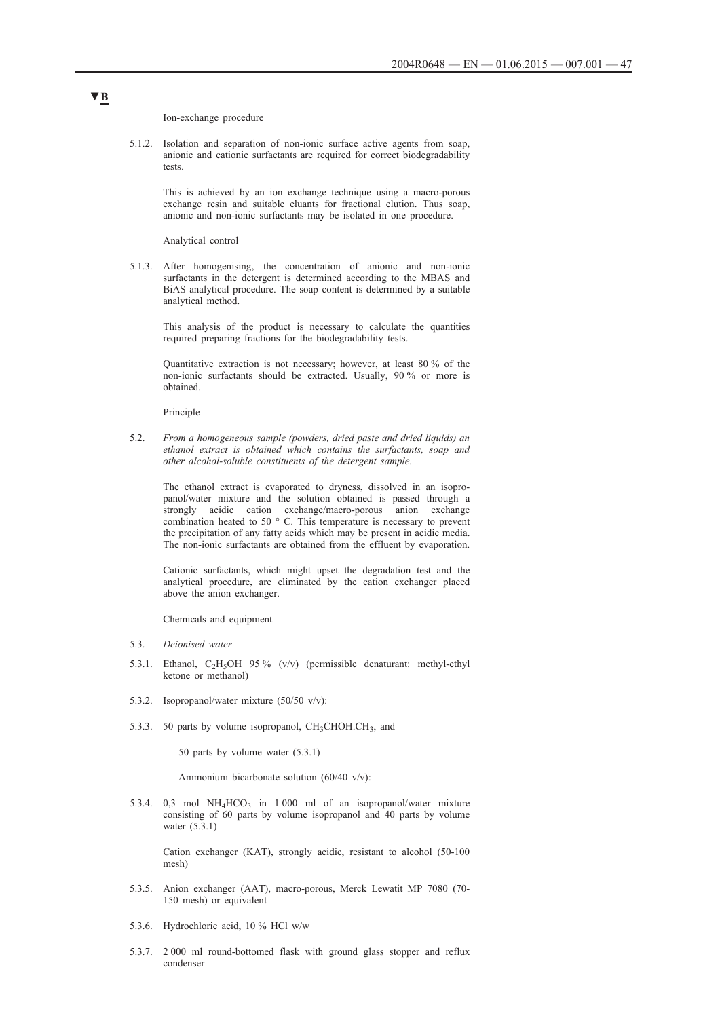Ion-exchange procedure

5.1.2. Isolation and separation of non-ionic surface active agents from soap, anionic and cationic surfactants are required for correct biodegradability tests.

This is achieved by an ion exchange technique using a macro-porous exchange resin and suitable eluants for fractional elution. Thus soap, anionic and non-ionic surfactants may be isolated in one procedure.

Analytical control

5.1.3. After homogenising, the concentration of anionic and non-ionic surfactants in the detergent is determined according to the MBAS and BiAS analytical procedure. The soap content is determined by a suitable analytical method.

This analysis of the product is necessary to calculate the quantities required preparing fractions for the biodegradability tests.

Quantitative extraction is not necessary; however, at least 80 % of the non-ionic surfactants should be extracted. Usually, 90 % or more is obtained.

Principle

5.2. *From a homogeneous sample (powders, dried paste and dried liquids) an ethanol extract is obtained which contains the surfactants, soap and other alcohol-soluble constituents of the detergent sample.*

The ethanol extract is evaporated to dryness, dissolved in an isopropanol/water mixture and the solution obtained is passed through a strongly acidic cation exchange/macro-porous anion exchange combination heated to 50 ° C. This temperature is necessary to prevent the precipitation of any fatty acids which may be present in acidic media. The non-ionic surfactants are obtained from the effluent by evaporation.

Cationic surfactants, which might upset the degradation test and the analytical procedure, are eliminated by the cation exchanger placed above the anion exchanger.

Chemicals and equipment

- 5.3. *Deionised water*
- 5.3.1. Ethanol,  $C_2H_5OH$  95% (v/v) (permissible denaturant: methyl-ethyl ketone or methanol)
- 5.3.2. Isopropanol/water mixture (50/50 v/v):
- 5.3.3. 50 parts by volume isopropanol,  $CH<sub>3</sub>CHOH.CH<sub>3</sub>$ , and
	- $-$  50 parts by volume water (5.3.1)
	- Ammonium bicarbonate solution  $(60/40 \text{ v/v})$ :
- 5.3.4. 0,3 mol  $NH_4HCO_3$  in 1 000 ml of an isopropanol/water mixture consisting of 60 parts by volume isopropanol and 40 parts by volume water (5.3.1)

Cation exchanger (KAT), strongly acidic, resistant to alcohol (50-100 mesh)

- 5.3.5. Anion exchanger (AAT), macro-porous, Merck Lewatit MP 7080 (70- 150 mesh) or equivalent
- 5.3.6. Hydrochloric acid, 10 % HCl w/w
- 5.3.7. 2 000 ml round-bottomed flask with ground glass stopper and reflux condenser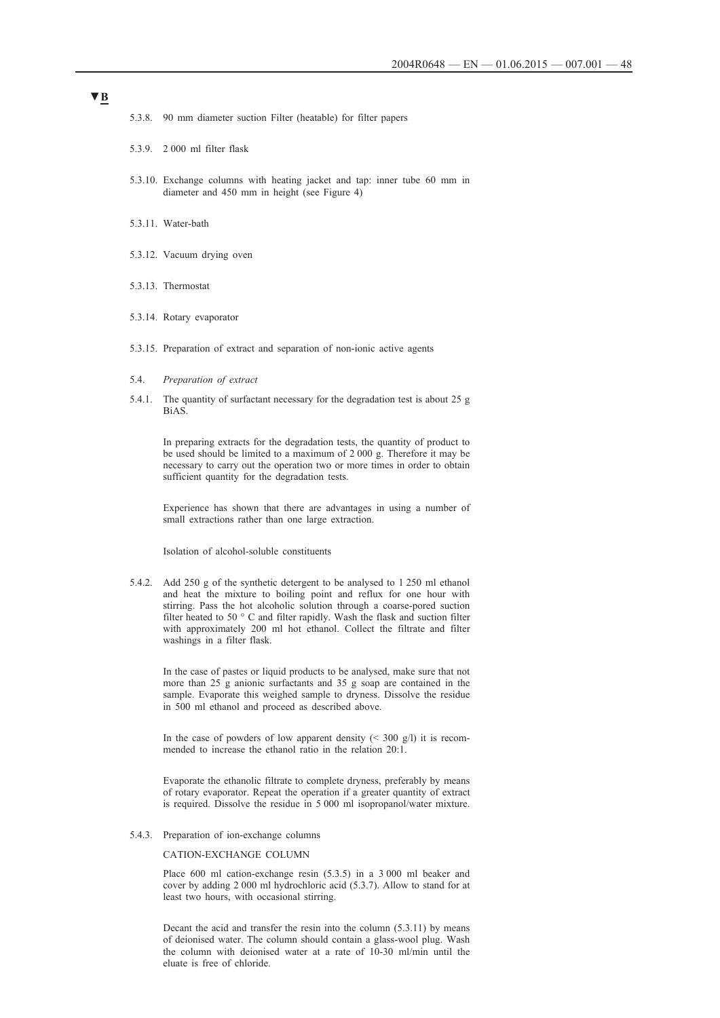- 5.3.8. 90 mm diameter suction Filter (heatable) for filter papers
- 5.3.9. 2 000 ml filter flask
- 5.3.10. Exchange columns with heating jacket and tap: inner tube 60 mm in diameter and 450 mm in height (see Figure 4)
- 5.3.11. Water-bath
- 5.3.12. Vacuum drying oven
- 5.3.13. Thermostat
- 5.3.14. Rotary evaporator
- 5.3.15. Preparation of extract and separation of non-ionic active agents
- 5.4. *Preparation of extract*
- 5.4.1. The quantity of surfactant necessary for the degradation test is about 25 g BiAS.

In preparing extracts for the degradation tests, the quantity of product to be used should be limited to a maximum of 2 000 g. Therefore it may be necessary to carry out the operation two or more times in order to obtain sufficient quantity for the degradation tests.

Experience has shown that there are advantages in using a number of small extractions rather than one large extraction.

Isolation of alcohol-soluble constituents

5.4.2. Add 250 g of the synthetic detergent to be analysed to 1 250 ml ethanol and heat the mixture to boiling point and reflux for one hour with stirring. Pass the hot alcoholic solution through a coarse-pored suction filter heated to 50 ° C and filter rapidly. Wash the flask and suction filter with approximately 200 ml hot ethanol. Collect the filtrate and filter washings in a filter flask.

In the case of pastes or liquid products to be analysed, make sure that not more than 25 g anionic surfactants and 35 g soap are contained in the sample. Evaporate this weighed sample to dryness. Dissolve the residue in 500 ml ethanol and proceed as described above.

In the case of powders of low apparent density  $($  < 300 g/l) it is recommended to increase the ethanol ratio in the relation 20:1.

Evaporate the ethanolic filtrate to complete dryness, preferably by means of rotary evaporator. Repeat the operation if a greater quantity of extract is required. Dissolve the residue in 5 000 ml isopropanol/water mixture.

5.4.3. Preparation of ion-exchange columns

#### CATION-EXCHANGE COLUMN

Place 600 ml cation-exchange resin (5.3.5) in a 3 000 ml beaker and cover by adding 2 000 ml hydrochloric acid (5.3.7). Allow to stand for at least two hours, with occasional stirring.

Decant the acid and transfer the resin into the column (5.3.11) by means of deionised water. The column should contain a glass-wool plug. Wash the column with deionised water at a rate of 10-30 ml/min until the eluate is free of chloride.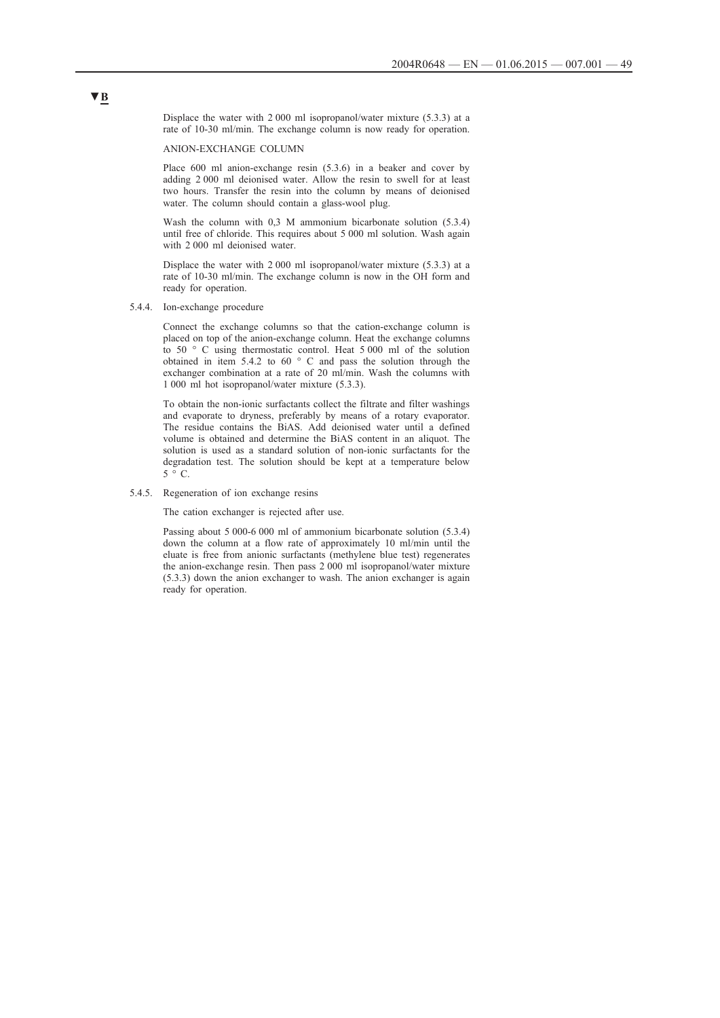Displace the water with 2 000 ml isopropanol/water mixture (5.3.3) at a rate of 10-30 ml/min. The exchange column is now ready for operation.

ANION-EXCHANGE COLUMN

Place 600 ml anion-exchange resin (5.3.6) in a beaker and cover by adding 2 000 ml deionised water. Allow the resin to swell for at least two hours. Transfer the resin into the column by means of deionised water. The column should contain a glass-wool plug.

Wash the column with 0,3 M ammonium bicarbonate solution (5.3.4) until free of chloride. This requires about 5 000 ml solution. Wash again with 2 000 ml deionised water.

Displace the water with 2 000 ml isopropanol/water mixture (5.3.3) at a rate of 10-30 ml/min. The exchange column is now in the OH form and ready for operation.

5.4.4. Ion-exchange procedure

Connect the exchange columns so that the cation-exchange column is placed on top of the anion-exchange column. Heat the exchange columns to 50 ° C using thermostatic control. Heat 5 000 ml of the solution obtained in item 5.4.2 to 60 ° C and pass the solution through the exchanger combination at a rate of 20 ml/min. Wash the columns with 1 000 ml hot isopropanol/water mixture (5.3.3).

To obtain the non-ionic surfactants collect the filtrate and filter washings and evaporate to dryness, preferably by means of a rotary evaporator. The residue contains the BiAS. Add deionised water until a defined volume is obtained and determine the BiAS content in an aliquot. The solution is used as a standard solution of non-ionic surfactants for the degradation test. The solution should be kept at a temperature below  $5 \degree C$ 

#### 5.4.5. Regeneration of ion exchange resins

The cation exchanger is rejected after use.

Passing about 5 000-6 000 ml of ammonium bicarbonate solution (5.3.4) down the column at a flow rate of approximately 10 ml/min until the eluate is free from anionic surfactants (methylene blue test) regenerates the anion-exchange resin. Then pass 2 000 ml isopropanol/water mixture (5.3.3) down the anion exchanger to wash. The anion exchanger is again ready for operation.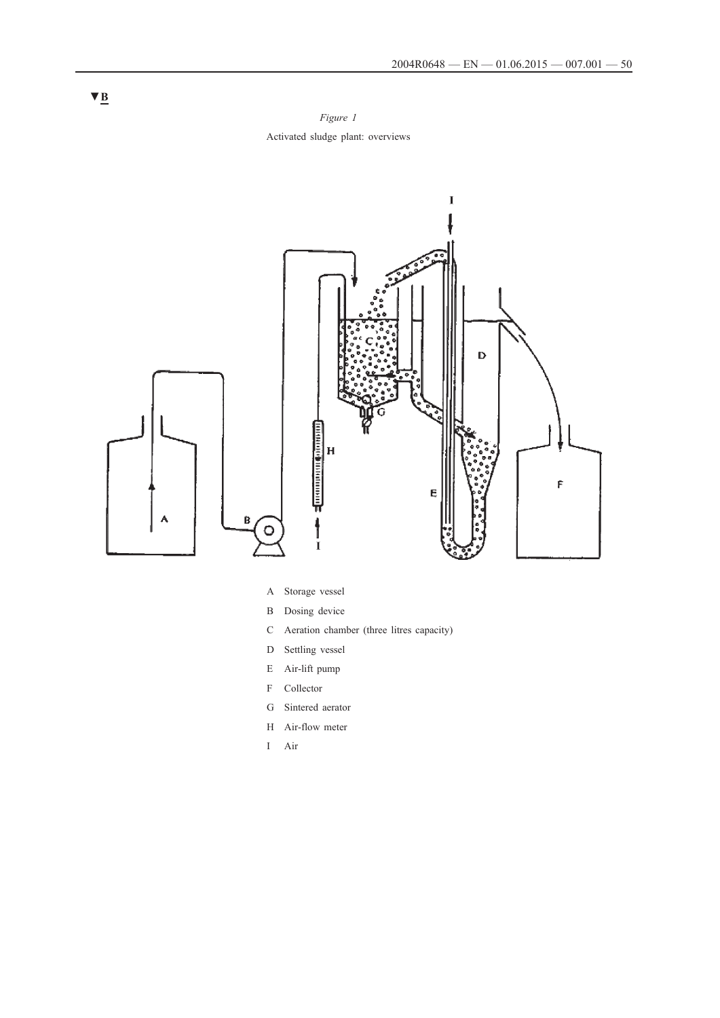*Figure 1* Activated sludge plant: overviews



- A Storage vessel
- B Dosing device
- C Aeration chamber (three litres capacity)
- D Settling vessel
- E Air-lift pump
- F Collector
- G Sintered aerator
- H Air-flow meter
- I Air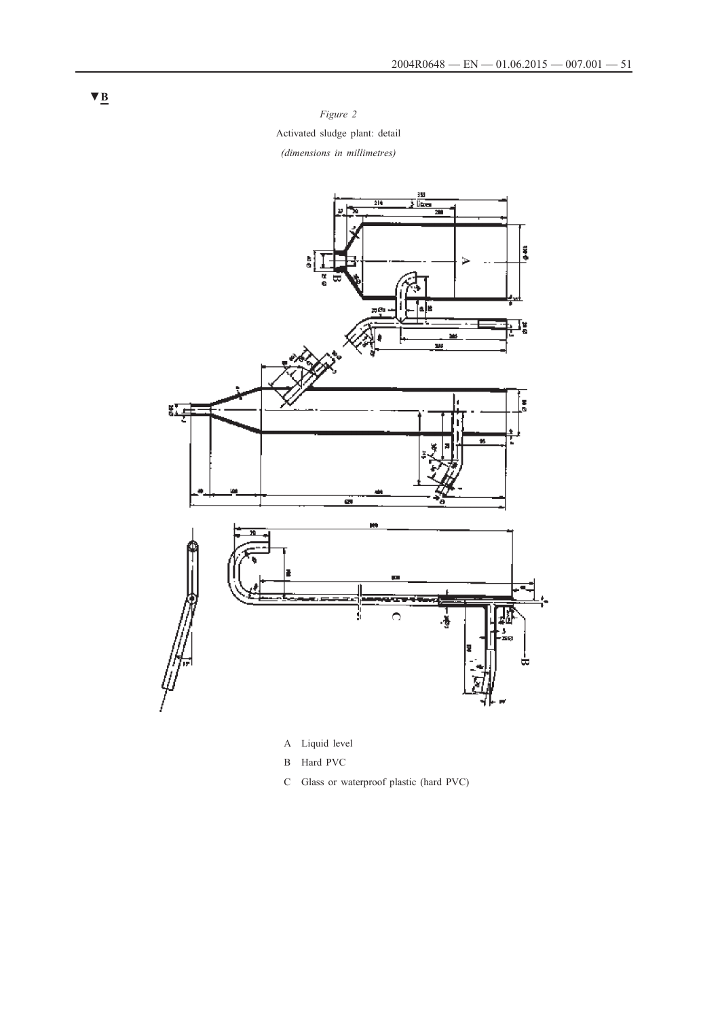*Figure 2* Activated sludge plant: detail *(dimensions in millimetres)*



A Liquid level

- B Hard PVC
- C Glass or waterproof plastic (hard PVC)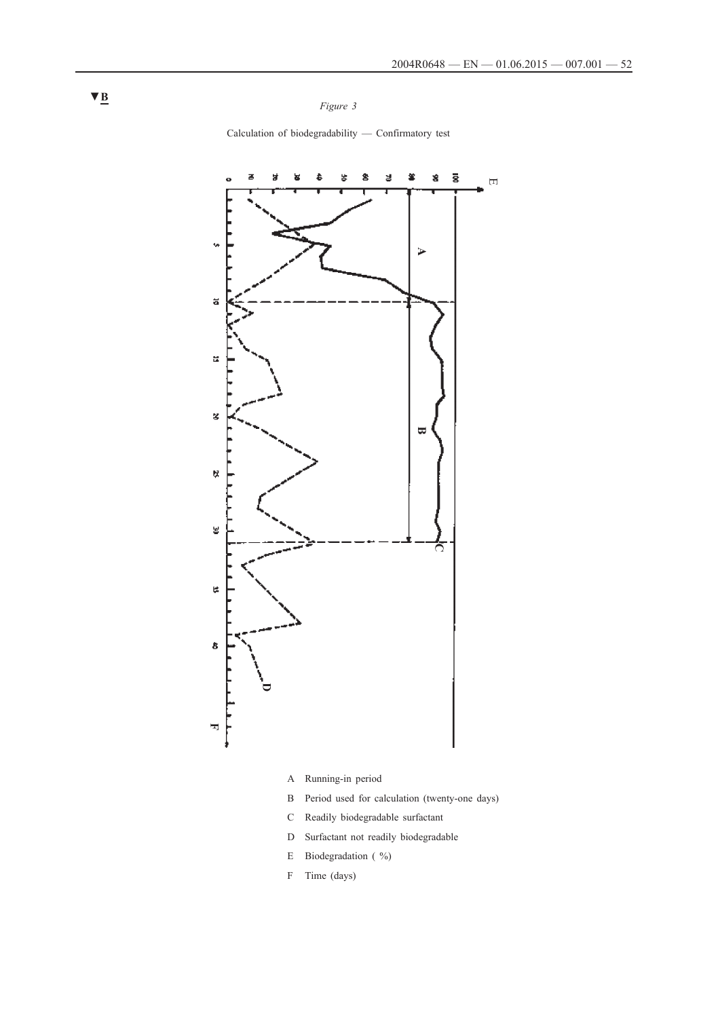*Figure 3*

Calculation of biodegradability — Confirmatory test



- A Running-in period
- B Period used for calculation (twenty-one days)
- C Readily biodegradable surfactant
- D Surfactant not readily biodegradable
- E Biodegradation ( %)
- F Time (days)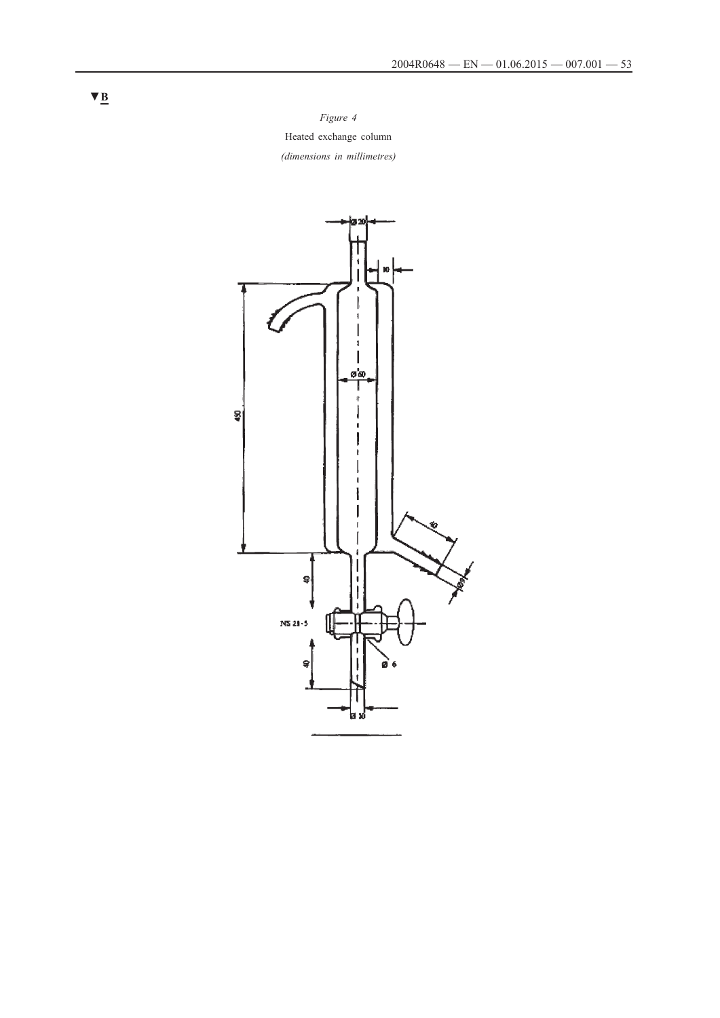*Figure 4* Heated exchange column *(dimensions in millimetres)*